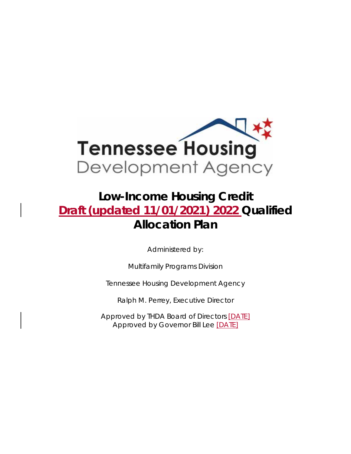

# **Low-Income Housing Credit Draft (updated 11/01/2021) 2022 Qualified Allocation Plan**

Administered by:

Multifamily Programs Division

Tennessee Housing Development Agency

Ralph M. Perrey, Executive Director

Approved by THDA Board of Directors [DATE] Approved by Governor Bill Lee [DATE]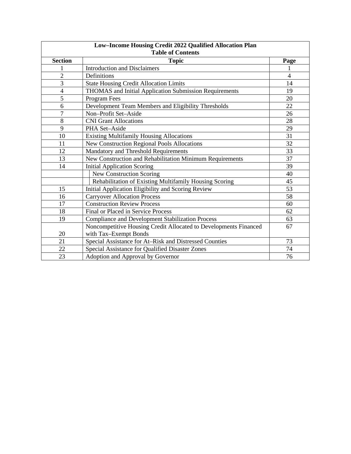| Low-Income Housing Credit 2022 Qualified Allocation Plan<br><b>Table of Contents</b> |                                                                  |                |  |  |  |  |
|--------------------------------------------------------------------------------------|------------------------------------------------------------------|----------------|--|--|--|--|
| <b>Section</b>                                                                       | <b>Topic</b>                                                     |                |  |  |  |  |
|                                                                                      | <b>Introduction and Disclaimers</b>                              | Page           |  |  |  |  |
| $\overline{2}$                                                                       | Definitions                                                      | $\overline{4}$ |  |  |  |  |
| 3                                                                                    | <b>State Housing Credit Allocation Limits</b>                    | 14             |  |  |  |  |
| $\overline{\mathcal{A}}$                                                             | THOMAS and Initial Application Submission Requirements           | 19             |  |  |  |  |
| 5                                                                                    | Program Fees                                                     | 20             |  |  |  |  |
| 6                                                                                    | Development Team Members and Eligibility Thresholds              | 22             |  |  |  |  |
| $\overline{7}$                                                                       | Non-Profit Set-Aside                                             | 26             |  |  |  |  |
| 8                                                                                    | <b>CNI Grant Allocations</b>                                     | 28             |  |  |  |  |
| 9                                                                                    | PHA Set-Aside                                                    | 29             |  |  |  |  |
| 10                                                                                   | <b>Existing Multifamily Housing Allocations</b>                  | 31             |  |  |  |  |
| 11                                                                                   | <b>New Construction Regional Pools Allocations</b>               | 32             |  |  |  |  |
| 12                                                                                   | Mandatory and Threshold Requirements                             | 33             |  |  |  |  |
| 13                                                                                   | New Construction and Rehabilitation Minimum Requirements         | 37             |  |  |  |  |
| 14                                                                                   | <b>Initial Application Scoring</b>                               | 39             |  |  |  |  |
|                                                                                      | New Construction Scoring                                         | 40             |  |  |  |  |
|                                                                                      | Rehabilitation of Existing Multifamily Housing Scoring           | 45             |  |  |  |  |
| 15                                                                                   | Initial Application Eligibility and Scoring Review               | 53             |  |  |  |  |
| 16                                                                                   | <b>Carryover Allocation Process</b>                              | 58             |  |  |  |  |
| 17                                                                                   | <b>Construction Review Process</b>                               | 60             |  |  |  |  |
| 18                                                                                   | Final or Placed in Service Process                               | 62             |  |  |  |  |
| 19                                                                                   | <b>Compliance and Development Stabilization Process</b>          | 63             |  |  |  |  |
|                                                                                      | Noncompetitive Housing Credit Allocated to Developments Financed | 67             |  |  |  |  |
| 20                                                                                   | with Tax-Exempt Bonds                                            |                |  |  |  |  |
| 21                                                                                   | Special Assistance for At-Risk and Distressed Counties           | 73             |  |  |  |  |
| 22                                                                                   | Special Assistance for Qualified Disaster Zones                  | 74             |  |  |  |  |
| 23                                                                                   | Adoption and Approval by Governor                                | 76             |  |  |  |  |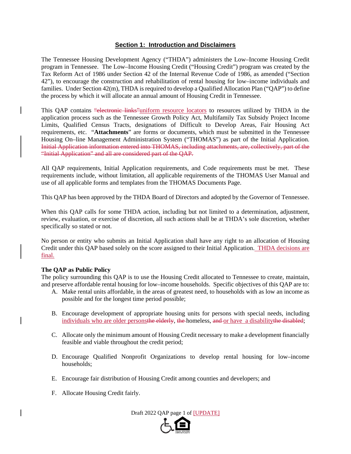## **Section 1: Introduction and Disclaimers**

The Tennessee Housing Development Agency ("THDA") administers the Low–Income Housing Credit program in Tennessee. The Low–Income Housing Credit ("Housing Credit") program was created by the Tax Reform Act of 1986 under Section 42 of the Internal Revenue Code of 1986, as amended ("Section 42"), to encourage the construction and rehabilitation of rental housing for low–income individuals and families. Under Section 42(m), THDA is required to develop a Qualified Allocation Plan ("QAP") to define the process by which it will allocate an annual amount of Housing Credit in Tennessee.

This QAP contains "electronic links"uniform resource locators to resources utilized by THDA in the application process such as the Tennessee Growth Policy Act, Multifamily Tax Subsidy Project Income Limits, Qualified Census Tracts, designations of Difficult to Develop Areas, Fair Housing Act requirements, etc. "**Attachments**" are forms or documents, which must be submitted in the Tennessee Housing On–line Management Administration System ("THOMAS") as part of the Initial Application. Initial Application information entered into THOMAS, including attachments, are, collectively, part of the "Initial Application" and all are considered part of the QAP.

All QAP requirements, Initial Application requirements, and Code requirements must be met. These requirements include, without limitation, all applicable requirements of the THOMAS User Manual and use of all applicable forms and templates from the THOMAS Documents Page.

This QAP has been approved by the THDA Board of Directors and adopted by the Governor of Tennessee.

When this QAP calls for some THDA action, including but not limited to a determination, adjustment, review, evaluation, or exercise of discretion, all such actions shall be at THDA's sole discretion, whether specifically so stated or not.

No person or entity who submits an Initial Application shall have any right to an allocation of Housing Credit under this QAP based solely on the score assigned to their Initial Application. THDA decisions are final.

## **The QAP as Public Policy**

The policy surrounding this QAP is to use the Housing Credit allocated to Tennessee to create, maintain, and preserve affordable rental housing for low–income households. Specific objectives of this QAP are to:

- A. Make rental units affordable, in the areas of greatest need, to households with as low an income as possible and for the longest time period possible;
- B. Encourage development of appropriate housing units for persons with special needs, including individuals who are older persons<del>the elderly, the homeless, and or</del> have a disabilitythe disabled;
- C. Allocate only the minimum amount of Housing Credit necessary to make a development financially feasible and viable throughout the credit period;
- D. Encourage Qualified Nonprofit Organizations to develop rental housing for low–income households;
- E. Encourage fair distribution of Housing Credit among counties and developers; and
- F. Allocate Housing Credit fairly.

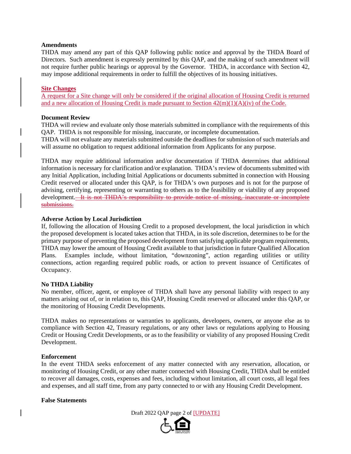#### **Amendments**

THDA may amend any part of this QAP following public notice and approval by the THDA Board of Directors. Such amendment is expressly permitted by this QAP, and the making of such amendment will not require further public hearings or approval by the Governor. THDA, in accordance with Section 42, may impose additional requirements in order to fulfill the objectives of its housing initiatives.

#### **Site Changes**

A request for a Site change will only be considered if the original allocation of Housing Credit is returned and a new allocation of Housing Credit is made pursuant to Section  $42(m)(1)(A)(iv)$  of the Code.

## **Document Review**

THDA will review and evaluate only those materials submitted in compliance with the requirements of this QAP. THDA is not responsible for missing, inaccurate, or incomplete documentation.

THDA will not evaluate any materials submitted outside the deadlines for submission of such materials and will assume no obligation to request additional information from Applicants for any purpose.

THDA may require additional information and/or documentation if THDA determines that additional information is necessary for clarification and/or explanation. THDA's review of documents submitted with any Initial Application, including Initial Applications or documents submitted in connection with Housing Credit reserved or allocated under this QAP, is for THDA's own purposes and is not for the purpose of advising, certifying, representing or warranting to others as to the feasibility or viability of any proposed development. It is not THDA's responsibility to provide notice of missing, inaccurate or incomplete submissions.

#### **Adverse Action by Local Jurisdiction**

If, following the allocation of Housing Credit to a proposed development, the local jurisdiction in which the proposed development is located takes action that THDA, in its sole discretion, determines to be for the primary purpose of preventing the proposed development from satisfying applicable program requirements, THDA may lower the amount of Housing Credit available to that jurisdiction in future Qualified Allocation Plans. Examples include, without limitation, "downzoning", action regarding utilities or utility connections, action regarding required public roads, or action to prevent issuance of Certificates of Occupancy.

## **No THDA Liability**

No member, officer, agent, or employee of THDA shall have any personal liability with respect to any matters arising out of, or in relation to, this QAP, Housing Credit reserved or allocated under this QAP, or the monitoring of Housing Credit Developments.

THDA makes no representations or warranties to applicants, developers, owners, or anyone else as to compliance with Section 42, Treasury regulations, or any other laws or regulations applying to Housing Credit or Housing Credit Developments, or as to the feasibility or viability of any proposed Housing Credit Development.

#### **Enforcement**

In the event THDA seeks enforcement of any matter connected with any reservation, allocation, or monitoring of Housing Credit, or any other matter connected with Housing Credit, THDA shall be entitled to recover all damages, costs, expenses and fees, including without limitation, all court costs, all legal fees and expenses, and all staff time, from any party connected to or with any Housing Credit Development.

#### **False Statements**

Draft 2022 QAP page 2 of [UPDATE]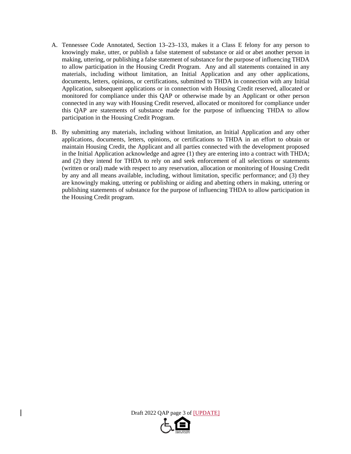- A. Tennessee Code Annotated, Section 13–23–133, makes it a Class E felony for any person to knowingly make, utter, or publish a false statement of substance or aid or abet another person in making, uttering, or publishing a false statement of substance for the purpose of influencing THDA to allow participation in the Housing Credit Program. Any and all statements contained in any materials, including without limitation, an Initial Application and any other applications, documents, letters, opinions, or certifications, submitted to THDA in connection with any Initial Application, subsequent applications or in connection with Housing Credit reserved, allocated or monitored for compliance under this QAP or otherwise made by an Applicant or other person connected in any way with Housing Credit reserved, allocated or monitored for compliance under this QAP are statements of substance made for the purpose of influencing THDA to allow participation in the Housing Credit Program.
- B. By submitting any materials, including without limitation, an Initial Application and any other applications, documents, letters, opinions, or certifications to THDA in an effort to obtain or maintain Housing Credit, the Applicant and all parties connected with the development proposed in the Initial Application acknowledge and agree (1) they are entering into a contract with THDA; and (2) they intend for THDA to rely on and seek enforcement of all selections or statements (written or oral) made with respect to any reservation, allocation or monitoring of Housing Credit by any and all means available, including, without limitation, specific performance; and (3) they are knowingly making, uttering or publishing or aiding and abetting others in making, uttering or publishing statements of substance for the purpose of influencing THDA to allow participation in the Housing Credit program.



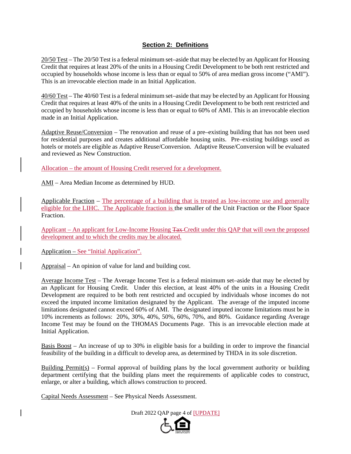## **Section 2: Definitions**

20/50 Test – The 20/50 Test is a federal minimum set–aside that may be elected by an Applicant for Housing Credit that requires at least 20% of the units in a Housing Credit Development to be both rent restricted and occupied by households whose income is less than or equal to 50% of area median gross income ("AMI"). This is an irrevocable election made in an Initial Application.

40/60 Test – The 40/60 Test is a federal minimum set–aside that may be elected by an Applicant for Housing Credit that requires at least 40% of the units in a Housing Credit Development to be both rent restricted and occupied by households whose income is less than or equal to 60% of AMI. This is an irrevocable election made in an Initial Application.

Adaptive Reuse/Conversion – The renovation and reuse of a pre–existing building that has not been used for residential purposes and creates additional affordable housing units. Pre–existing buildings used as hotels or motels are eligible as Adaptive Reuse/Conversion. Adaptive Reuse/Conversion will be evaluated and reviewed as New Construction.

Allocation – the amount of Housing Credit reserved for a development.

AMI – Area Median Income as determined by HUD.

Applicable Fraction – The percentage of a building that is treated as low-income use and generally eligible for the LIHC. The Applicable fraction is the smaller of the Unit Fraction or the Floor Space Fraction.

Applicant – An applicant for Low-Income Housing Tax Credit under this QAP that will own the proposed development and to which the credits may be allocated.

Application – See "Initial Application".

Appraisal – An opinion of value for land and building cost.

Average Income Test – The Average Income Test is a federal minimum set–aside that may be elected by an Applicant for Housing Credit. Under this election, at least 40% of the units in a Housing Credit Development are required to be both rent restricted and occupied by individuals whose incomes do not exceed the imputed income limitation designated by the Applicant. The average of the imputed income limitations designated cannot exceed 60% of AMI. The designated imputed income limitations must be in 10% increments as follows: 20%, 30%, 40%, 50%, 60%, 70%, and 80%. Guidance regarding Average Income Test may be found on the THOMAS Documents Page. This is an irrevocable election made at Initial Application.

Basis Boost – An increase of up to 30% in eligible basis for a building in order to improve the financial feasibility of the building in a difficult to develop area, as determined by THDA in its sole discretion.

Building Permit( $s$ ) – Formal approval of building plans by the local government authority or building department certifying that the building plans meet the requirements of applicable codes to construct, enlarge, or alter a building, which allows construction to proceed.

Capital Needs Assessment – See Physical Needs Assessment.

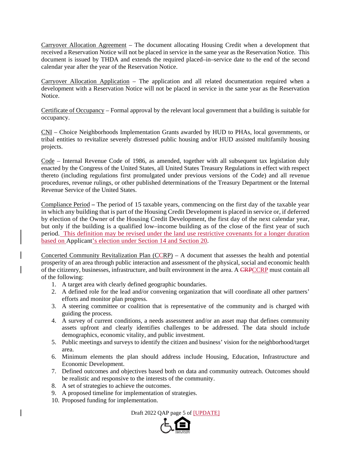Carryover Allocation Agreement – The document allocating Housing Credit when a development that received a Reservation Notice will not be placed in service in the same year as the Reservation Notice. This document is issued by THDA and extends the required placed–in–service date to the end of the second calendar year after the year of the Reservation Notice.

Carryover Allocation Application – The application and all related documentation required when a development with a Reservation Notice will not be placed in service in the same year as the Reservation Notice.

Certificate of Occupancy – Formal approval by the relevant local government that a building is suitable for occupancy.

CNI – Choice Neighborhoods Implementation Grants awarded by HUD to PHAs, local governments, or tribal entities to revitalize severely distressed public housing and/or HUD assisted multifamily housing projects.

Code – Internal Revenue Code of 1986, as amended, together with all subsequent tax legislation duly enacted by the Congress of the United States, all United States Treasury Regulations in effect with respect thereto (including regulations first promulgated under previous versions of the Code) and all revenue procedures, revenue rulings, or other published determinations of the Treasury Department or the Internal Revenue Service of the United States.

Compliance Period **–** The period of 15 taxable years, commencing on the first day of the taxable year in which any building that is part of the Housing Credit Development is placed in service or, if deferred by election of the Owner of the Housing Credit Development, the first day of the next calendar year, but only if the building is a qualified low–income building as of the close of the first year of such period. This definition may be revised under the land use restrictive covenants for a longer duration based on Applicant's election under Section 14 and Section 20.

Concerted Community Revitalization Plan (CCRP) – A document that assesses the health and potential prosperity of an area through public interaction and assessment of the physical, social and economic health of the citizenry, businesses, infrastructure, and built environment in the area. A CRPCCRP must contain all of the following:

- 1. A target area with clearly defined geographic boundaries.
- 2. A defined role for the lead and/or convening organization that will coordinate all other partners' efforts and monitor plan progress.
- 3. A steering committee or coalition that is representative of the community and is charged with guiding the process.
- 4. A survey of current conditions, a needs assessment and/or an asset map that defines community assets upfront and clearly identifies challenges to be addressed. The data should include demographics, economic vitality, and public investment.
- 5. Public meetings and surveys to identify the citizen and business' vision for the neighborhood/target area.
- 6. Minimum elements the plan should address include Housing, Education, Infrastructure and Economic Development.
- 7. Defined outcomes and objectives based both on data and community outreach. Outcomes should be realistic and responsive to the interests of the community.
- 8. A set of strategies to achieve the outcomes.
- 9. A proposed timeline for implementation of strategies.
- 10. Proposed funding for implementation.

Draft 2022 QAP page 5 of [UPDATE]

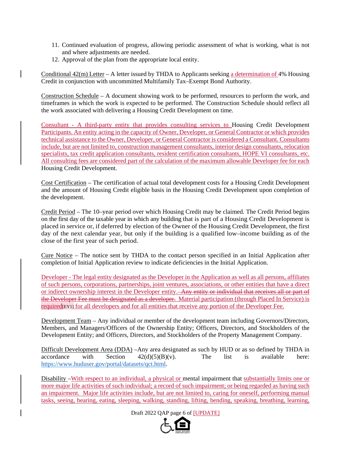- 11. Continued evaluation of progress, allowing periodic assessment of what is working, what is not and where adjustments are needed.
- 12. Approval of the plan from the appropriate local entity.

Conditional 42(m) Letter – A letter issued by THDA to Applicants seeking a determination of 4% Housing Credit in conjunction with uncommitted Multifamily Tax–Exempt Bond Authority.

Construction Schedule – A document showing work to be performed, resources to perform the work, and timeframes in which the work is expected to be performed. The Construction Schedule should reflect all the work associated with delivering a Housing Credit Development on time.

Consultant - A third-party entity that provides consulting services to Housing Credit Development Participants. An entity acting in the capacity of Owner, Developer, or General Contractor or which provides technical assistance to the Owner, Developer, or General Contractor is considered a Consultant. Consultants include, but are not limited to, construction management consultants, interior design consultants, relocation specialists, tax credit application consultants, resident certification consultants, HOPE VI consultants, etc. All consulting fees are considered part of the calculation of the maximum allowable Developer fee for each Housing Credit Development.

Cost Certification – The certification of actual total development costs for a Housing Credit Development and the amount of Housing Credit eligible basis in the Housing Credit Development upon completion of the development.

Credit Period – The 10–year period over which Housing Credit may be claimed. The Credit Period begins on the first day of the taxable year in which any building that is part of a Housing Credit Development is placed in service or, if deferred by election of the Owner of the Housing Credit Development, the first day of the next calendar year, but only if the building is a qualified low–income building as of the close of the first year of such period.

Cure Notice – The notice sent by THDA to the contact person specified in an Initial Application after completion of Initial Application review to indicate deficiencies in the Initial Application.

Developer - The legal entity designated as the Developer in the Application as well as all persons, affiliates of such persons, corporations, partnerships, joint ventures, associations, or other entities that have a direct or indirect ownership interest in the Developer entity. Any entity or individual that receives all or part of the Developer Fee must be designated as a developer. Material participation (through Placed In Service) is required[EY1] for all developers and for all entities that receive any portion of the Developer Fee.

Development Team – Any individual or member of the development team including Governors/Directors, Members, and Managers/Officers of the Ownership Entity; Officers, Directors, and Stockholders of the Development Entity; and Officers, Directors, and Stockholders of the Property Management Company.

Difficult Development Area (DDA) –Any area designated as such by HUD or as so defined by THDA in accordance with Section  $42(d)(5)(B)(v)$ . The list is available here: https://www.huduser.gov/portal/datasets/qct.html.

Disability –With respect to an individual, a physical or mental impairment that substantially limits one or more major life activities of such individual; a record of such impairment; or being regarded as having such an impairment. Major life activities include, but are not limited to, caring for oneself, performing manual tasks, seeing, hearing, eating, sleeping, walking, standing, lifting, bending, speaking, breathing, learning,

## Draft 2022 QAP page 6 of [UPDATE]

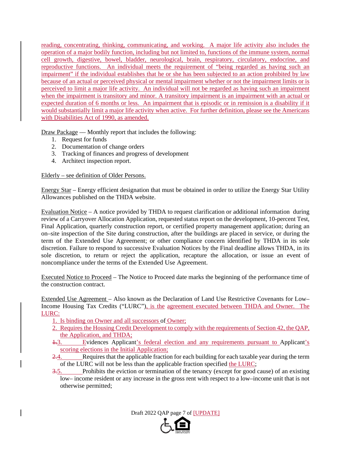reading, concentrating, thinking, communicating, and working. A major life activity also includes the operation of a major bodily function, including but not limited to, functions of the immune system, normal cell growth, digestive, bowel, bladder, neurological, brain, respiratory, circulatory, endocrine, and reproductive functions. An individual meets the requirement of "being regarded as having such an impairment" if the individual establishes that he or she has been subjected to an action prohibited by law because of an actual or perceived physical or mental impairment whether or not the impairment limits or is perceived to limit a major life activity. An individual will not be regarded as having such an impairment when the impairment is transitory and minor. A transitory impairment is an impairment with an actual or expected duration of 6 months or less. An impairment that is episodic or in remission is a disability if it would substantially limit a major life activity when active. For further definition, please see the Americans with Disabilities Act of 1990, as amended.

Draw Package — Monthly report that includes the following:

- 1. Request for funds
- 2. Documentation of change orders
- 3. Tracking of finances and progress of development
- 4. Architect inspection report.

## Elderly – see definition of Older Persons.

Energy Star – Energy efficient designation that must be obtained in order to utilize the Energy Star Utility Allowances published on the THDA website.

Evaluation Notice – A notice provided by THDA to request clarification or additional information during review of a Carryover Allocation Application, requested status report on the development, 10-percent Test, Final Application, quarterly construction report, or certified property management application; during an on–site inspection of the Site during construction, after the buildings are placed in service, or during the term of the Extended Use Agreement; or other compliance concern identified by THDA in its sole discretion. Failure to respond to successive Evaluation Notices by the Final deadline allows THDA, in its sole discretion, to return or reject the application, recapture the allocation, or issue an event of noncompliance under the terms of the Extended Use Agreement.

Executed Notice to Proceed – The Notice to Proceed date marks the beginning of the performance time of the construction contract.

Extended Use Agreement – Also known as the Declaration of Land Use Restrictive Covenants for Low– Income Housing Tax Credits ("LURC"), is the agreement executed between THDA and Owner. The LURC:

- 1. Is binding on Owner and all successors of Owner;
- 2. Requires the Housing Credit Development to comply with the requirements of Section 42, the QAP, the Application, and THDA;
- 1.3. Evidences Applicant's federal election and any requirements pursuant to Applicant's scoring elections in the Initial Application;
- 2.4. Requires that the applicable fraction for each building for each taxable year during the term of the LURC will not be less than the applicable fraction specified the LURC;
- 3.5. Prohibits the eviction or termination of the tenancy (except for good cause) of an existing low– income resident or any increase in the gross rent with respect to a low–income unit that is not otherwise permitted;

Draft 2022 QAP page 7 of [UPDATE]

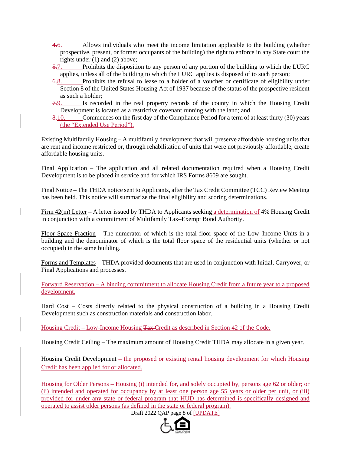- 4.6. Allows individuals who meet the income limitation applicable to the building (whether prospective, present, or former occupants of the building) the right to enforce in any State court the rights under (1) and (2) above;
- 5.7. Prohibits the disposition to any person of any portion of the building to which the LURC applies, unless all of the building to which the LURC applies is disposed of to such person;
- 6.8. Prohibits the refusal to lease to a holder of a voucher or certificate of eligibility under Section 8 of the United States Housing Act of 1937 because of the status of the prospective resident as such a holder;
- 7.9. Is recorded in the real property records of the county in which the Housing Credit Development is located as a restrictive covenant running with the land; and
- 8.10. Commences on the first day of the Compliance Period for a term of at least thirty (30) years (the "Extended Use Period").

Existing Multifamily Housing – A multifamily development that will preserve affordable housing units that are rent and income restricted or, through rehabilitation of units that were not previously affordable, create affordable housing units.

Final Application – The application and all related documentation required when a Housing Credit Development is to be placed in service and for which IRS Forms 8609 are sought.

Final Notice – The THDA notice sent to Applicants, after the Tax Credit Committee (TCC) Review Meeting has been held. This notice will summarize the final eligibility and scoring determinations.

Firm 42(m) Letter – A letter issued by THDA to Applicants seeking a determination of 4% Housing Credit in conjunction with a commitment of Multifamily Tax–Exempt Bond Authority.

Floor Space Fraction – The numerator of which is the total floor space of the Low–Income Units in a building and the denominator of which is the total floor space of the residential units (whether or not occupied) in the same building.

Forms and Templates – THDA provided documents that are used in conjunction with Initial, Carryover, or Final Applications and processes.

Forward Reservation – A binding commitment to allocate Housing Credit from a future year to a proposed development.

Hard Cost – Costs directly related to the physical construction of a building in a Housing Credit Development such as construction materials and construction labor.

Housing Credit – Low-Income Housing Tax Credit as described in Section 42 of the Code.

Housing Credit Ceiling – The maximum amount of Housing Credit THDA may allocate in a given year.

Housing Credit Development – the proposed or existing rental housing development for which Housing Credit has been applied for or allocated.

Housing for Older Persons – Housing (i) intended for, and solely occupied by, persons age 62 or older; or (ii) intended and operated for occupancy by at least one person age 55 years or older per unit, or (iii) provided for under any state or federal program that HUD has determined is specifically designed and operated to assist older persons (as defined in the state or federal program).

Draft 2022 QAP page 8 of [UPDATE]

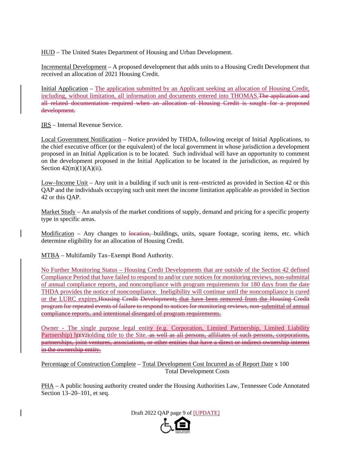HUD – The United States Department of Housing and Urban Development.

Incremental Development – A proposed development that adds units to a Housing Credit Development that received an allocation of 2021 Housing Credit.

Initial Application – The application submitted by an Applicant seeking an allocation of Housing Credit, including, without limitation, all information and documents entered into THOMAS. The application and all related documentation required when an allocation of Housing Credit is sought for a proposed development.

IRS – Internal Revenue Service.

Local Government Notification – Notice provided by THDA, following receipt of Initial Applications, to the chief executive officer (or the equivalent) of the local government in whose jurisdiction a development proposed in an Initial Application is to be located. Such individual will have an opportunity to comment on the development proposed in the Initial Application to be located in the jurisdiction, as required by Section  $42(m)(1)(A)(ii)$ .

Low–Income Unit – Any unit in a building if such unit is rent–restricted as provided in Section 42 or this QAP and the individuals occupying such unit meet the income limitation applicable as provided in Section 42 or this QAP.

Market Study – An analysis of the market conditions of supply, demand and pricing for a specific property type in specific areas.

Modification – Any changes to location, buildings, units, square footage, scoring items, etc. which determine eligibility for an allocation of Housing Credit.

MTBA – Multifamily Tax–Exempt Bond Authority.

No Further Monitoring Status – Housing Credit Developments that are outside of the Section 42 defined Compliance Period that have failed to respond to and/or cure notices for monitoring reviews, non-submittal of annual compliance reports, and noncompliance with program requirements for 180 days from the date THDA provides the notice of noncompliance. Ineligibility will continue until the noncompliance is cured or the LURC expires.Housing Credit Developments that have been removed from the Housing Credit program for repeated events of failure to respond to notices for monitoring reviews, non-submittal of annual compliance reports, and intentional disregard of program requirements.

Owner - The single purpose legal entity (e.g. Corporation, Limited Partnership, Limited Liability Partnership) h<sub>[EY2]</sub>olding title to the Site. as well as all persons, affiliates of such persons, corporations, partnerships, joint ventures, associations, or other entities that have a direct or indirect ownership interest in the ownership entity.

Percentage of Construction Complete – Total Development Cost Incurred as of Report Date x 100 Total Development Costs

PHA – A public housing authority created under the Housing Authorities Law, Tennessee Code Annotated Section 13–20–101, et seq.

Draft 2022 QAP page 9 of [UPDATE]

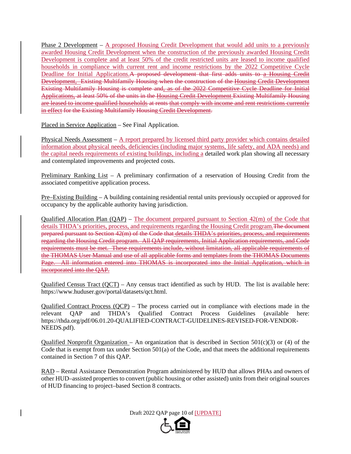Phase 2 Development – A proposed Housing Credit Development that would add units to a previously awarded Housing Credit Development when the construction of the previously awarded Housing Credit Development is complete and at least 50% of the credit restricted units are leased to income qualified households in compliance with current rent and income restrictions by the 2022 Competitive Cycle Deadline for Initial Applications. A proposed development that first adds units to a Housing Credit Development, Existing Multifamily Housing when the construction of the Housing Credit Development Existing Multifamily Housing is complete and, as of the 2022 Competitive Cycle Deadline for Initial Applications, at least 50% of the units in the Housing Credit Development Existing Multifamily Housing are leased to income qualified households at rents that comply with income and rent restrictions currently in effect for the Existing Multifamily Housing Credit Development.

Placed in Service Application – See Final Application.

Physical Needs Assessment – A report prepared by licensed third party provider which contains detailed information about physical needs, deficiencies (including major systems, life safety, and ADA needs) and the capital needs requirements of existing buildings, including a detailed work plan showing all necessary and contemplated improvements and projected costs.

Preliminary Ranking List – A preliminary confirmation of a reservation of Housing Credit from the associated competitive application process.

Pre–Existing Building – A building containing residential rental units previously occupied or approved for occupancy by the applicable authority having jurisdiction.

Qualified Allocation Plan  $(OAP)$  – The document prepared pursuant to Section  $42(m)$  of the Code that details THDA's priorities, process, and requirements regarding the Housing Credit program. The document prepared pursuant to Section 42(m) of the Code that details THDA's priorities, process, and requirements regarding the Housing Credit program. All QAP requirements, Initial Application requirements, and Code requirements must be met. These requirements include, without limitation, all applicable requirements of the THOMAS User Manual and use of all applicable forms and templates from the THOMAS Documents Page. All information entered into THOMAS is incorporated into the Initial Application, which in incorporated into the QAP.

Qualified Census Tract (QCT) – Any census tract identified as such by HUD. The list is available here: https://www.huduser.gov/portal/datasets/qct.html.

Qualified Contract Process (QCP) – The process carried out in compliance with elections made in the relevant QAP and THDA's Qualified Contract Process Guidelines (available here: https://thda.org/pdf/06.01.20-QUALIFIED-CONTRACT-GUIDELINES-REVISED-FOR-VENDOR-NEEDS.pdf).

Qualified Nonprofit Organization – An organization that is described in Section 501(c)(3) or (4) of the Code that is exempt from tax under Section 501(a) of the Code, and that meets the additional requirements contained in Section 7 of this QAP.

RAD – Rental Assistance Demonstration Program administered by HUD that allows PHAs and owners of other HUD–assisted properties to convert (public housing or other assisted) units from their original sources of HUD financing to project–based Section 8 contracts.

Draft 2022 QAP page 10 of [UPDATE]

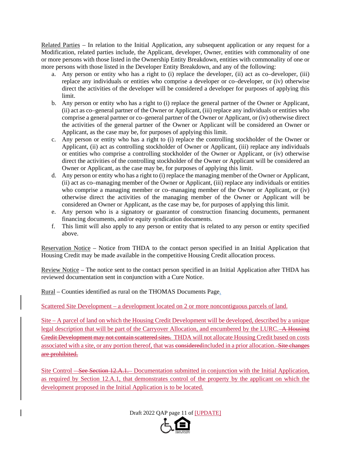Related Parties – In relation to the Initial Application, any subsequent application or any request for a Modification, related parties include, the Applicant, developer, Owner, entities with commonality of one or more persons with those listed in the Ownership Entity Breakdown, entities with commonality of one or more persons with those listed in the Developer Entity Breakdown, and any of the following:

- a. Any person or entity who has a right to (i) replace the developer, (ii) act as co–developer, (iii) replace any individuals or entities who comprise a developer or co–developer, or (iv) otherwise direct the activities of the developer will be considered a developer for purposes of applying this limit.
- b. Any person or entity who has a right to (i) replace the general partner of the Owner or Applicant, (ii) act as co–general partner of the Owner or Applicant, (iii) replace any individuals or entities who comprise a general partner or co–general partner of the Owner or Applicant, or (iv) otherwise direct the activities of the general partner of the Owner or Applicant will be considered an Owner or Applicant, as the case may be, for purposes of applying this limit.
- c. Any person or entity who has a right to (i) replace the controlling stockholder of the Owner or Applicant, (ii) act as controlling stockholder of Owner or Applicant, (iii) replace any individuals or entities who comprise a controlling stockholder of the Owner or Applicant, or (iv) otherwise direct the activities of the controlling stockholder of the Owner or Applicant will be considered an Owner or Applicant, as the case may be, for purposes of applying this limit.
- d. Any person or entity who has a right to (i) replace the managing member of the Owner or Applicant, (ii) act as co–managing member of the Owner or Applicant, (iii) replace any individuals or entities who comprise a managing member or co–managing member of the Owner or Applicant, or (iv) otherwise direct the activities of the managing member of the Owner or Applicant will be considered an Owner or Applicant, as the case may be, for purposes of applying this limit.
- e. Any person who is a signatory or guarantor of construction financing documents, permanent financing documents, and/or equity syndication documents.
- f. This limit will also apply to any person or entity that is related to any person or entity specified above.

Reservation Notice – Notice from THDA to the contact person specified in an Initial Application that Housing Credit may be made available in the competitive Housing Credit allocation process.

Review Notice – The notice sent to the contact person specified in an Initial Application after THDA has reviewed documentation sent in conjunction with a Cure Notice.

Rural – Counties identified as rural on the THOMAS Documents Page.

Scattered Site Development – a development located on 2 or more noncontiguous parcels of land.

Site – A parcel of land on which the Housing Credit Development will be developed, described by a unique legal description that will be part of the Carryover Allocation, and encumbered by the LURC. A Housing Credit Development may not contain scattered sites. THDA will not allocate Housing Credit based on costs associated with a site, or any portion thereof, that was consideredincluded in a prior allocation. Site changes are prohibited.

Site Control – See Section 12.A.1. Documentation submitted in conjunction with the Initial Application, as required by Section 12.A.1, that demonstrates control of the property by the applicant on which the development proposed in the Initial Application is to be located.

Draft 2022 QAP page 11 of [UPDATE]

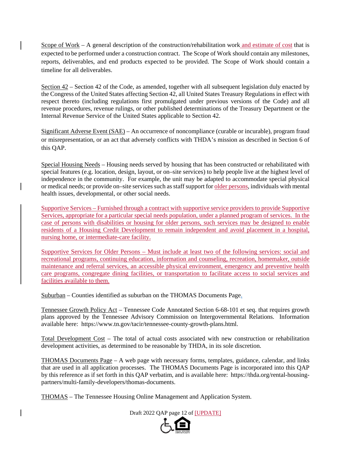Scope of Work – A general description of the construction/rehabilitation work and estimate of cost that is expected to be performed under a construction contract. The Scope of Work should contain any milestones, reports, deliverables, and end products expected to be provided. The Scope of Work should contain a timeline for all deliverables.

Section 42 – Section 42 of the Code, as amended, together with all subsequent legislation duly enacted by the Congress of the United States affecting Section 42, all United States Treasury Regulations in effect with respect thereto (including regulations first promulgated under previous versions of the Code) and all revenue procedures, revenue rulings, or other published determinations of the Treasury Department or the Internal Revenue Service of the United States applicable to Section 42.

Significant Adverse Event (SAE) – An occurrence of noncompliance (curable or incurable), program fraud or misrepresentation, or an act that adversely conflicts with THDA's mission as described in Section 6 of this QAP.

Special Housing Needs – Housing needs served by housing that has been constructed or rehabilitated with special features (e.g. location, design, layout, or on–site services) to help people live at the highest level of independence in the community. For example, the unit may be adapted to accommodate special physical or medical needs; or provide on–site services such as staff support for older persons, individuals with mental health issues, developmental, or other social needs.

Supportive Services – Furnished through a contract with supportive service providers to provide Supportive Services, appropriate for a particular special needs population, under a planned program of services. In the case of persons with disabilities or housing for older persons, such services may be designed to enable residents of a Housing Credit Development to remain independent and avoid placement in a hospital, nursing home, or intermediate-care facility.

Supportive Services for Older Persons – Must include at least two of the following services: social and recreational programs, continuing education, information and counseling, recreation, homemaker, outside maintenance and referral services, an accessible physical environment, emergency and preventive health care programs, congregate dining facilities, or transportation to facilitate access to social services and facilities available to them.

Suburban – Counties identified as suburban on the THOMAS Documents Page.

Tennessee Growth Policy Act – Tennessee Code Annotated Section 6-68-101 et seq. that requires growth plans approved by the Tennessee Advisory Commission on Intergovernmental Relations. Information available here: https://www.tn.gov/tacir/tennessee-county-growth-plans.html.

Total Development Cost – The total of actual costs associated with new construction or rehabilitation development activities, as determined to be reasonable by THDA, in its sole discretion.

THOMAS Documents Page – A web page with necessary forms, templates, guidance, calendar, and links that are used in all application processes. The THOMAS Documents Page is incorporated into this QAP by this reference as if set forth in this QAP verbatim, and is available here: https://thda.org/rental-housingpartners/multi-family-developers/thomas-documents.

THOMAS – The Tennessee Housing Online Management and Application System.

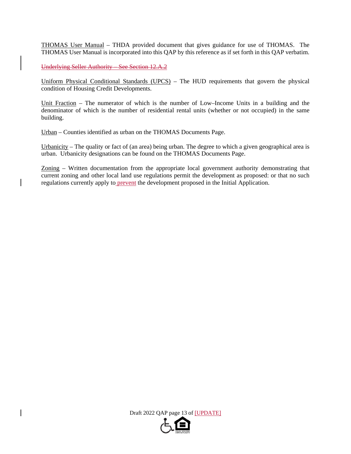THOMAS User Manual – THDA provided document that gives guidance for use of THOMAS. The THOMAS User Manual is incorporated into this QAP by this reference as if set forth in this QAP verbatim.

Underlying Seller Authority – See Section 12.A.2

Uniform Physical Conditional Standards (UPCS) – The HUD requirements that govern the physical condition of Housing Credit Developments.

Unit Fraction – The numerator of which is the number of Low–Income Units in a building and the denominator of which is the number of residential rental units (whether or not occupied) in the same building.

Urban – Counties identified as urban on the THOMAS Documents Page.

Urbanicity – The quality or fact of (an area) being urban. The degree to which a given geographical area is urban. Urbanicity designations can be found on the THOMAS Documents Page.

Zoning – Written documentation from the appropriate local government authority demonstrating that current zoning and other local land use regulations permit the development as proposed: or that no such regulations currently apply to **prevent** the development proposed in the Initial Application.

Draft 2022 QAP page 13 of [UPDATE]

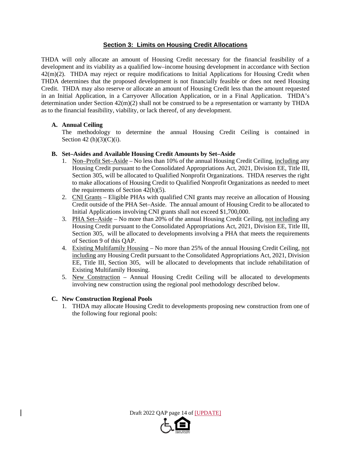## **Section 3: Limits on Housing Credit Allocations**

THDA will only allocate an amount of Housing Credit necessary for the financial feasibility of a development and its viability as a qualified low–income housing development in accordance with Section 42(m)(2). THDA may reject or require modifications to Initial Applications for Housing Credit when THDA determines that the proposed development is not financially feasible or does not need Housing Credit. THDA may also reserve or allocate an amount of Housing Credit less than the amount requested in an Initial Application, in a Carryover Allocation Application, or in a Final Application. THDA's determination under Section 42(m)(2) shall not be construed to be a representation or warranty by THDA as to the financial feasibility, viability, or lack thereof, of any development.

## **A. Annual Ceiling**

 The methodology to determine the annual Housing Credit Ceiling is contained in Section  $42(h)(3)(C)(i)$ .

## **B. Set–Asides and Available Housing Credit Amounts by Set–Aside**

- 1. Non–Profit Set–Aside No less than 10% of the annual Housing Credit Ceiling, including any Housing Credit pursuant to the Consolidated Appropriations Act, 2021, Division EE, Title III, Section 305, will be allocated to Qualified Nonprofit Organizations. THDA reserves the right to make allocations of Housing Credit to Qualified Nonprofit Organizations as needed to meet the requirements of Section  $42(h)(5)$ .
- 2. CNI Grants Eligible PHAs with qualified CNI grants may receive an allocation of Housing Credit outside of the PHA Set–Aside. The annual amount of Housing Credit to be allocated to Initial Applications involving CNI grants shall not exceed \$1,700,000.
- 3. PHA Set–Aside No more than 20% of the annual Housing Credit Ceiling, not including any Housing Credit pursuant to the Consolidated Appropriations Act, 2021, Division EE, Title III, Section 305, will be allocated to developments involving a PHA that meets the requirements of Section 9 of this QAP.
- 4. Existing Multifamily Housing No more than 25% of the annual Housing Credit Ceiling, not including any Housing Credit pursuant to the Consolidated Appropriations Act, 2021, Division EE, Title III, Section 305, will be allocated to developments that include rehabilitation of Existing Multifamily Housing.
- 5. New Construction Annual Housing Credit Ceiling will be allocated to developments involving new construction using the regional pool methodology described below.

## **C. New Construction Regional Pools**

1. THDA may allocate Housing Credit to developments proposing new construction from one of the following four regional pools:

Draft 2022 QAP page 14 of [UPDATE]

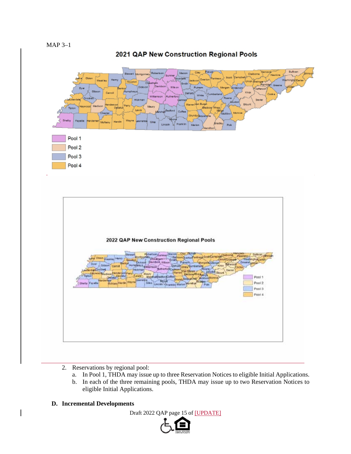# 2021 QAP New Construction Regional Pools





- 2. Reservations by regional pool:
	- a. In Pool 1, THDA may issue up to three Reservation Notices to eligible Initial Applications.
	- b. In each of the three remaining pools, THDA may issue up to two Reservation Notices to eligible Initial Applications.
- **D. Incremental Developments**

Draft 2022 QAP page 15 of [UPDATE]

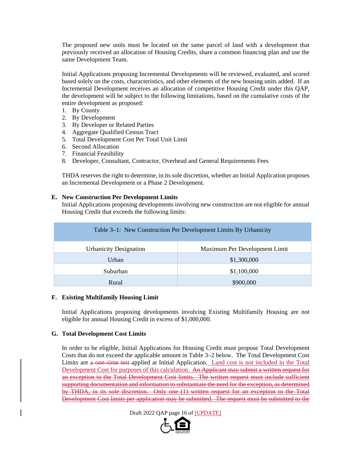The proposed new units must be located on the same parcel of land with a development that previously received an allocation of Housing Credits, share a common financing plan and use the same Development Team.

Initial Applications proposing Incremental Developments will be reviewed, evaluated, and scored based solely on the costs, characteristics, and other elements of the new housing units added. If an Incremental Development receives an allocation of competitive Housing Credit under this QAP, the development will be subject to the following limitations, based on the cumulative costs of the entire development as proposed:

- 1. By County
- 2. By Development
- 3. By Developer or Related Parties
- 4. Aggregate Qualified Census Tract
- 5. Total Development Cost Per Total Unit Limit
- 6. Second Allocation
- 7. Financial Feasibility
- 8. Developer, Consultant, Contractor, Overhead and General Requirements Fees

THDA reserves the right to determine, in its sole discretion, whether an Initial Application proposes an Incremental Development or a Phase 2 Development.

#### **E. New Construction Per Development Limits**

Initial Applications proposing developments involving new construction are not eligible for annual Housing Credit that exceeds the following limits:

| Table 3–1: New Construction Per Development Limits By Urbanicity |                               |  |  |  |  |
|------------------------------------------------------------------|-------------------------------|--|--|--|--|
| <b>Urbanicity Designation</b>                                    | Maximum Per Development Limit |  |  |  |  |
| Urban                                                            | \$1,300,000                   |  |  |  |  |
| Suburban                                                         | \$1,100,000                   |  |  |  |  |
| \$900,000<br>Rural                                               |                               |  |  |  |  |

#### **F. Existing Multifamily Housing Limit**

Initial Applications proposing developments involving Existing Multifamily Housing are not eligible for annual Housing Credit in excess of \$1,000,000.

#### **G. Total Development Cost Limits**

In order to be eligible, Initial Applications for Housing Credit must propose Total Development Costs that do not exceed the applicable amount in Table 3–2 below. The Total Development Cost Limits are a one–time test applied at Initial Application. Land cost is not included in the Total Development Cost for purposes of this calculation. An Applicant may submit a written request for an exception to the Total Development Cost limits. The written request must include sufficient supporting documentation and information to substantiate the need for the exception, as determined by THDA, in its sole discretion. Only one (1) written request for an exception to the Total Development Cost limits per application may be submitted. The request must be submitted to the

Draft 2022 QAP page 16 of [UPDATE]

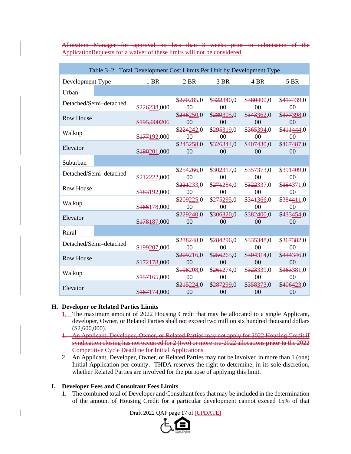|                                                                                  |  |  |  |  |  | Allocation Manager for approval no less than 3 weeks prior to submission of the |  |
|----------------------------------------------------------------------------------|--|--|--|--|--|---------------------------------------------------------------------------------|--|
|                                                                                  |  |  |  |  |  |                                                                                 |  |
| <b>Application Requests for a waiver of these limits will not be considered.</b> |  |  |  |  |  |                                                                                 |  |

| Table 3–2: Total Development Cost Limits Per Unit by Development Type |                        |              |                              |                                      |                              |                              |  |
|-----------------------------------------------------------------------|------------------------|--------------|------------------------------|--------------------------------------|------------------------------|------------------------------|--|
| Development Type                                                      |                        | 1 BR         | 2 BR                         | 3 BR                                 | 4 BR                         | 5 BR                         |  |
| Urban                                                                 |                        |              |                              |                                      |                              |                              |  |
|                                                                       | Detached/Semi-detached | \$226238,000 | \$270285,0<br>00             | \$322340,0<br>00                     | \$380400,0<br>00             | \$417439,0<br>$00\,$         |  |
| <b>Row House</b>                                                      |                        | \$195,000206 | \$236250,0<br>00             | \$289305,0<br>\$343362,0<br>00<br>00 |                              | \$377398,0<br>00             |  |
| Walkup                                                                |                        | \$177192,000 | \$224242,0<br>00             | \$295319,0<br>00                     | \$365394,0<br>00             | \$411444,0<br>00             |  |
| Elevator                                                              |                        | \$490201,000 | \$245258,0<br>00             | \$326344,0<br>00                     | \$407430,0<br>00             | \$467487,0<br>00             |  |
| Suburban                                                              |                        |              |                              |                                      |                              |                              |  |
| Detached/Semi-detached                                                |                        | \$212222,000 | \$254266,0<br>0 <sup>0</sup> | \$302317,0<br>0 <sup>0</sup>         | \$357373,0<br>00             | \$391409,0<br>00             |  |
| <b>Row House</b>                                                      |                        | \$183192,000 | \$221233,0<br>00             | \$271284,0<br>00                     | \$322337,0<br>00             | \$354371,0<br>00             |  |
| Walkup                                                                |                        | \$466178,000 | \$209225,0<br>00             | \$275295,0<br>00                     | \$341366,0<br>00             | \$384411,0<br>$00\,$         |  |
| Elevator                                                              |                        | \$178187,000 | \$229240,0<br>0 <sup>0</sup> | \$306320,0<br>0 <sup>0</sup>         | \$382400,0<br>00             | \$433454,0<br>0 <sup>0</sup> |  |
| Rural                                                                 |                        |              |                              |                                      |                              |                              |  |
| Detached/Semi-detached                                                |                        | \$499207,000 | \$238248,0<br>0 <sup>0</sup> | \$284296,0<br>0 <sup>0</sup>         | \$335348,0<br>0 <sup>0</sup> | \$367382,0<br>0 <sup>0</sup> |  |
| <b>Row House</b>                                                      |                        | \$472178,000 | \$209216,0<br>00             | \$256265,0<br>0 <sup>0</sup>         | \$304314,0<br>00             | \$334346,0<br>00             |  |
| Walkup                                                                |                        | \$457165,000 | \$198208,0<br>$00\,$         | \$261274,0<br>0 <sup>0</sup>         | \$323339,0<br>00             | \$363381,0<br>$00\,$         |  |
| Elevator                                                              |                        | \$167174,000 | \$215224,0<br>0 <sup>0</sup> | \$287299,0<br>00                     | \$358373,0<br>00             | \$406423,0<br>00             |  |

## **H. Developer or Related Parties Limits**

- 1. The maximum amount of 2022 Housing Credit that may be allocated to a single Applicant, developer, Owner, or Related Parties shall not exceed two million six hundred thousand dollars (\$2,600,000).
- 1. An Applicant, Developer, Owner, or Related Parties may not apply for 2022 Housing Credit if syndication closing has not occurred for 2 (two) or more pre-2022 allocations **prior to** the 2022 Competitive Cycle Deadline for Initial Applications.
- 2. An Applicant, Developer, Owner, or Related Parties may not be involved in more than 1 (one) Initial Application per county. THDA reserves the right to determine, in its sole discretion, whether Related Parties are involved for the purpose of applying this limit.

#### **I. Developer Fees and Consultant Fees Limits**

1. The combined total of Developer and Consultant fees that may be included in the determination of the amount of Housing Credit for a particular development cannot exceed 15% of that

Draft 2022 QAP page 17 of [UPDATE]

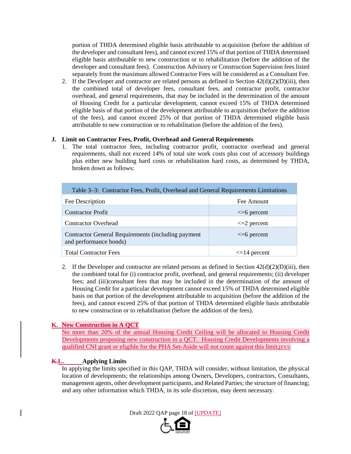portion of THDA determined eligible basis attributable to acquisition (before the addition of the developer and consultant fees), and cannot exceed 15% of that portion of THDA determined eligible basis attributable to new construction or to rehabilitation (before the addition of the developer and consultant fees). Construction Advisory or Construction Supervision fees listed separately from the maximum allowed Contractor Fees will be considered as a Consultant Fee.

2. If the Developer and contractor are related persons as defined in Section  $42(d)(2)(D)(iii)$ , then the combined total of developer fees, consultant fees, and contractor profit, contractor overhead, and general requirements, that may be included in the determination of the amount of Housing Credit for a particular development, cannot exceed 15% of THDA determined eligible basis of that portion of the development attributable to acquisition (before the addition of the fees), and cannot exceed 25% of that portion of THDA determined eligible basis attributable to new construction or to rehabilitation (before the addition of the fees).

## **J. Limit on Contractor Fees, Profit, Overhead and General Requirements**

1. The total contractor fees, including contractor profit, contractor overhead and general requirements, shall not exceed 14% of total site work costs plus cost of accessory buildings plus either new building hard costs or rehabilitation hard costs, as determined by THDA, broken down as follows:

| Table 3–3: Contractor Fees, Profit, Overhead and General Requirements Limitations |                   |  |  |  |  |
|-----------------------------------------------------------------------------------|-------------------|--|--|--|--|
| Fee Description                                                                   | Fee Amount        |  |  |  |  |
| <b>Contractor Profit</b>                                                          | $\leq 6$ percent  |  |  |  |  |
| <b>Contractor Overhead</b>                                                        | $\leq$ 2 percent  |  |  |  |  |
| Contractor General Requirements (including payment<br>and performance bonds)      | $\leq 6$ percent  |  |  |  |  |
| <b>Total Contractor Fees</b>                                                      | $\leq$ 14 percent |  |  |  |  |

2. If the Developer and contractor are related persons as defined in Section  $42(d)(2)(D)(iii)$ , then the combined total for (i) contractor profit, overhead, and general requirements; (ii) developer fees; and (iii)consultant fees that may be included in the determination of the amount of Housing Credit for a particular development cannot exceed 15% of THDA determined eligible basis on that portion of the development attributable to acquisition (before the addition of the fees), and cannot exceed 25% of that portion of THDA determined eligible basis attributable to new construction or to rehabilitation (before the addition of the fees).

## **K. New Construction in A QCT**

No more than 20% of the annual Housing Credit Ceiling will be allocated to Housing Credit Developments proposing new construction in a QCT. Housing Credit Developments involving a qualified CNI grant or eligible for the PHA Set-Aside will not count against this limit.[EY3]

## **K.L. Applying Limits**

In applying the limits specified in this QAP, THDA will consider, without limitation, the physical location of developments; the relationships among Owners, Developers, contractors, Consultants, management agents, other development participants, and Related Parties; the structure of financing; and any other information which THDA, in its sole discretion, may deem necessary.

Draft 2022 QAP page 18 of [UPDATE]

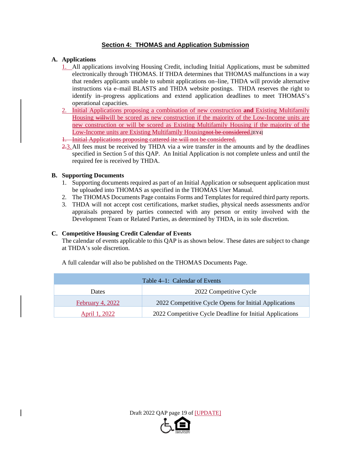## **Section 4: THOMAS and Application Submission**

## **A. Applications**

- 1. All applications involving Housing Credit, including Initial Applications, must be submitted electronically through THOMAS. If THDA determines that THOMAS malfunctions in a way that renders applicants unable to submit applications on–line, THDA will provide alternative instructions via e–mail BLASTS and THDA website postings. THDA reserves the right to identify in–progress applications and extend application deadlines to meet THOMAS's operational capacities.
- 2. Initial Applications proposing a combination of new construction **and** Existing Multifamily Housing willwill be scored as new construction if the majority of the Low-Income units are new construction or will be scored as Existing Multifamily Housing if the majority of the Low-Income units are Existing Multifamily Housingnot be considered. [EY4]
- 1. Initial Applications proposing cattered ite will not be considered.
- 2.3.All fees must be received by THDA via a wire transfer in the amounts and by the deadlines specified in Section 5 of this QAP. An Initial Application is not complete unless and until the required fee is received by THDA.

## **B. Supporting Documents**

- 1. Supporting documents required as part of an Initial Application or subsequent application must be uploaded into THOMAS as specified in the THOMAS User Manual.
- 2. The THOMAS Documents Page contains Forms and Templates for required third party reports.
- 3. THDA will not accept cost certifications, market studies, physical needs assessments and/or appraisals prepared by parties connected with any person or entity involved with the Development Team or Related Parties, as determined by THDA, in its sole discretion.

## **C. Competitive Housing Credit Calendar of Events**

The calendar of events applicable to this QAP is as shown below. These dates are subject to change at THDA's sole discretion.

| Table 4–1: Calendar of Events          |                                                          |  |  |  |  |
|----------------------------------------|----------------------------------------------------------|--|--|--|--|
| 2022 Competitive Cycle<br><b>Dates</b> |                                                          |  |  |  |  |
| February 4, 2022                       | 2022 Competitive Cycle Opens for Initial Applications    |  |  |  |  |
| April 1, 2022                          | 2022 Competitive Cycle Deadline for Initial Applications |  |  |  |  |

A full calendar will also be published on the THOMAS Documents Page.



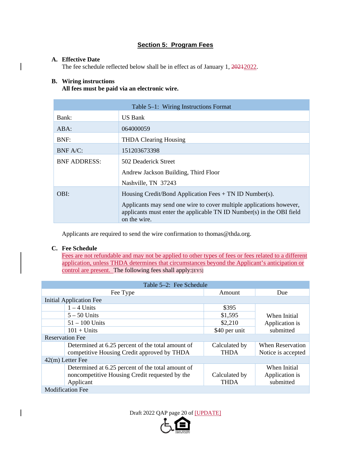# **Section 5: Program Fees**

#### **A. Effective Date**

The fee schedule reflected below shall be in effect as of January 1, 20212022.

## **B. Wiring instructions**

**All fees must be paid via an electronic wire.** 

| Table 5–1: Wiring Instructions Format |                                                                                                                                                               |  |  |  |  |  |
|---------------------------------------|---------------------------------------------------------------------------------------------------------------------------------------------------------------|--|--|--|--|--|
| Bank:                                 | US Bank                                                                                                                                                       |  |  |  |  |  |
| $ABA$ :                               | 064000059                                                                                                                                                     |  |  |  |  |  |
| BNF:                                  | <b>THDA Clearing Housing</b>                                                                                                                                  |  |  |  |  |  |
| $BNF A/C$ :                           | 151203673398                                                                                                                                                  |  |  |  |  |  |
| <b>BNF ADDRESS:</b>                   | 502 Deaderick Street                                                                                                                                          |  |  |  |  |  |
|                                       | Andrew Jackson Building, Third Floor                                                                                                                          |  |  |  |  |  |
|                                       | Nashville, TN 37243                                                                                                                                           |  |  |  |  |  |
| OBI:                                  | Housing Credit/Bond Application Fees + TN ID Number(s).                                                                                                       |  |  |  |  |  |
|                                       | Applicants may send one wire to cover multiple applications however,<br>applicants must enter the applicable TN ID Number(s) in the OBI field<br>on the wire. |  |  |  |  |  |

Applicants are required to send the wire confirmation to thomas@thda.org.

## **C. Fee Schedule**

Fees are not refundable and may not be applied to other types of fees or fees related to a different application, unless THDA determines that circumstances beyond the Applicant's anticipation or control are present. The following fees shall apply:[EY5]

| Table 5–2: Fee Schedule                        |                                                   |               |                    |  |  |  |  |  |
|------------------------------------------------|---------------------------------------------------|---------------|--------------------|--|--|--|--|--|
|                                                | Fee Type<br>Due<br>Amount                         |               |                    |  |  |  |  |  |
|                                                | Initial Application Fee                           |               |                    |  |  |  |  |  |
| $1 - 4$ Units                                  |                                                   | \$395         |                    |  |  |  |  |  |
| $5 - 50$ Units                                 |                                                   | \$1,595       | When Initial       |  |  |  |  |  |
|                                                | $51 - 100$ Units                                  | \$2,210       | Application is     |  |  |  |  |  |
| $101 +$ Units                                  |                                                   | \$40 per unit | submitted          |  |  |  |  |  |
|                                                | <b>Reservation Fee</b>                            |               |                    |  |  |  |  |  |
|                                                | Determined at 6.25 percent of the total amount of | Calculated by | When Reservation   |  |  |  |  |  |
| competitive Housing Credit approved by THDA    |                                                   | <b>THDA</b>   | Notice is accepted |  |  |  |  |  |
| $42(m)$ Letter Fee                             |                                                   |               |                    |  |  |  |  |  |
|                                                | Determined at 6.25 percent of the total amount of |               | When Initial       |  |  |  |  |  |
| noncompetitive Housing Credit requested by the |                                                   | Calculated by | Application is     |  |  |  |  |  |
| Applicant                                      |                                                   | <b>THDA</b>   | submitted          |  |  |  |  |  |
| <b>Modification Fee</b>                        |                                                   |               |                    |  |  |  |  |  |

Draft 2022 QAP page 20 of [UPDATE]

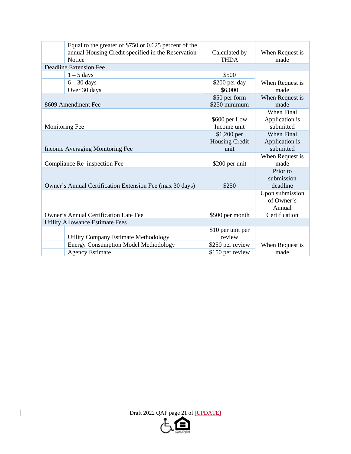|                                 | Equal to the greater of \$750 or 0.625 percent of the<br>annual Housing Credit specified in the Reservation | Calculated by                  | When Request is         |
|---------------------------------|-------------------------------------------------------------------------------------------------------------|--------------------------------|-------------------------|
|                                 | Notice                                                                                                      | <b>THDA</b>                    | made                    |
|                                 | <b>Deadline Extension Fee</b>                                                                               |                                |                         |
|                                 | $1 - 5$ days                                                                                                | \$500                          |                         |
|                                 | $6 - 30$ days                                                                                               | \$200 per day                  | When Request is         |
|                                 | Over 30 days                                                                                                | \$6,000                        | made                    |
|                                 | 8609 Amendment Fee                                                                                          | \$50 per form<br>\$250 minimum | When Request is<br>made |
|                                 |                                                                                                             |                                | When Final              |
|                                 |                                                                                                             | \$600 per Low                  | Application is          |
|                                 | <b>Monitoring Fee</b>                                                                                       | Income unit                    | submitted               |
|                                 |                                                                                                             | \$1,200 per                    | <b>When Final</b>       |
|                                 |                                                                                                             | <b>Housing Credit</b>          | Application is          |
| Income Averaging Monitoring Fee |                                                                                                             | unit                           | submitted               |
|                                 |                                                                                                             |                                | When Request is         |
|                                 | Compliance Re-inspection Fee                                                                                | \$200 per unit                 | made                    |
|                                 |                                                                                                             |                                | Prior to<br>submission  |
|                                 | Owner's Annual Certification Extension Fee (max 30 days)                                                    | \$250                          | deadline                |
|                                 |                                                                                                             |                                | Upon submission         |
|                                 |                                                                                                             |                                | of Owner's              |
|                                 |                                                                                                             |                                | Annual                  |
|                                 | <b>Owner's Annual Certification Late Fee</b>                                                                | \$500 per month                | Certification           |
|                                 | <b>Utility Allowance Estimate Fees</b>                                                                      |                                |                         |
|                                 |                                                                                                             | \$10 per unit per              |                         |
|                                 | <b>Utility Company Estimate Methodology</b>                                                                 | review                         |                         |
|                                 | <b>Energy Consumption Model Methodology</b>                                                                 | \$250 per review               | When Request is         |
|                                 | <b>Agency Estimate</b>                                                                                      | \$150 per review               | made                    |

Draft 2022 QAP page 21 of [UPDATE]

 $\overline{\mathbf{I}}$ 

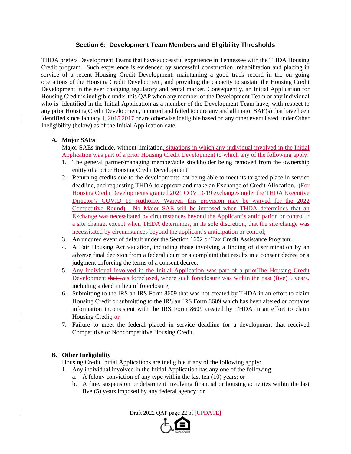## **Section 6: Development Team Members and Eligibility Thresholds**

THDA prefers Development Teams that have successful experience in Tennessee with the THDA Housing Credit program. Such experience is evidenced by successful construction, rehabilitation and placing in service of a recent Housing Credit Development, maintaining a good track record in the on–going operations of the Housing Credit Development, and providing the capacity to sustain the Housing Credit Development in the ever changing regulatory and rental market. Consequently, an Initial Application for Housing Credit is ineligible under this QAP when any member of the Development Team or any individual who is identified in the Initial Application as a member of the Development Team have, with respect to any prior Housing Credit Development, incurred and failed to cure any and all major SAE(s) that have been identified since January 1, 2015 2017 or are otherwise ineligible based on any other event listed under Other Ineligibility (below) as of the Initial Application date.

## **A. Major SAEs**

Major SAEs include, without limitation, situations in which any individual involved in the Initial Application was part of a prior Housing Credit Development to which any of the following apply:

- 1. The general partner/managing member/sole stockholder being removed from the ownership entity of a prior Housing Credit Development
- 2. Returning credits due to the developments not being able to meet its targeted place in service deadline, and requesting THDA to approve and make an Exchange of Credit Allocation. (For Housing Credit Developments granted 2021 COVID-19 exchanges under the THDA Executive Director's COVID 19 Authority Waiver, this provision may be waived for the 2022 Competitive Round). No Major SAE will be imposed when THDA determines that an Exchange was necessitated by circumstances beyond the Applicant's anticipation or control. $\pm$ a site change, except when THDA determines, in its sole discretion, that the site change was necessitated by circumstances beyond the applicant's anticipation or control;
- 3. An uncured event of default under the Section 1602 or Tax Credit Assistance Program;
- 4. A Fair Housing Act violation, including those involving a finding of discrimination by an adverse final decision from a federal court or a complaint that results in a consent decree or a judgment enforcing the terms of a consent decree;
- 5. Any individual involved in the Initial Application was part of a prior The Housing Credit Development that was foreclosed, where such foreclosure was within the past (five) 5 years, including a deed in lieu of foreclosure;
- 6. Submitting to the IRS an IRS Form 8609 that was not created by THDA in an effort to claim Housing Credit or submitting to the IRS an IRS Form 8609 which has been altered or contains information inconsistent with the IRS Form 8609 created by THDA in an effort to claim Housing Credit; or
- 7. Failure to meet the federal placed in service deadline for a development that received Competitive or Noncompetitive Housing Credit.

## **B. Other Ineligibility**

Housing Credit Initial Applications are ineligible if any of the following apply:

1. Any individual involved in the Initial Application has any one of the following:

- a. A felony conviction of any type within the last ten (10) years; or
- b. A fine, suspension or debarment involving financial or housing activities within the last five (5) years imposed by any federal agency; or

Draft 2022 QAP page 22 of [UPDATE]

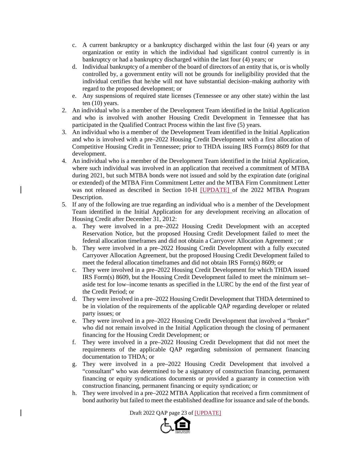- c. A current bankruptcy or a bankruptcy discharged within the last four (4) years or any organization or entity in which the individual had significant control currently is in bankruptcy or had a bankruptcy discharged within the last four (4) years; or
- d. Individual bankruptcy of a member of the board of directors of an entity that is, or is wholly controlled by, a government entity will not be grounds for ineligibility provided that the individual certifies that he/she will not have substantial decision–making authority with regard to the proposed development; or
- e. Any suspensions of required state licenses (Tennessee or any other state) within the last ten (10) years.
- 2. An individual who is a member of the Development Team identified in the Initial Application and who is involved with another Housing Credit Development in Tennessee that has participated in the Qualified Contract Process within the last five (5) years.
- 3. An individual who is a member of the Development Team identified in the Initial Application and who is involved with a pre–2022 Housing Credit Development with a first allocation of Competitive Housing Credit in Tennessee; prior to THDA issuing IRS Form(s) 8609 for that development.
- 4. An individual who is a member of the Development Team identified in the Initial Application, where such individual was involved in an application that received a commitment of MTBA during 2021, but such MTBA bonds were not issued and sold by the expiration date (original or extended) of the MTBA Firm Commitment Letter and the MTBA Firm Commitment Letter was not released as described in Section 10-H [UPDATE] of the 2022 MTBA Program Description.
- 5. If any of the following are true regarding an individual who is a member of the Development Team identified in the Initial Application for any development receiving an allocation of Housing Credit after December 31, 2012:
	- a. They were involved in a pre–2022 Housing Credit Development with an accepted Reservation Notice, but the proposed Housing Credit Development failed to meet the federal allocation timeframes and did not obtain a Carryover Allocation Agreement ; or
	- b. They were involved in a pre–2022 Housing Credit Development with a fully executed Carryover Allocation Agreement, but the proposed Housing Credit Development failed to meet the federal allocation timeframes and did not obtain IRS Form(s) 8609; or
	- c. They were involved in a pre–2022 Housing Credit Development for which THDA issued IRS Form(s) 8609, but the Housing Credit Development failed to meet the minimum set– aside test for low–income tenants as specified in the LURC by the end of the first year of the Credit Period; or
	- d. They were involved in a pre–2022 Housing Credit Development that THDA determined to be in violation of the requirements of the applicable QAP regarding developer or related party issues; or
	- e. They were involved in a pre–2022 Housing Credit Development that involved a "broker" who did not remain involved in the Initial Application through the closing of permanent financing for the Housing Credit Development; or
	- f. They were involved in a pre–2022 Housing Credit Development that did not meet the requirements of the applicable QAP regarding submission of permanent financing documentation to THDA; or
	- g. They were involved in a pre–2022 Housing Credit Development that involved a "consultant" who was determined to be a signatory of construction financing, permanent financing or equity syndications documents or provided a guaranty in connection with construction financing, permanent financing or equity syndication; or
	- h. They were involved in a pre–2022 MTBA Application that received a firm commitment of bond authority but failed to meet the established deadline for issuance and sale of the bonds.

Draft 2022 QAP page 23 of [UPDATE]

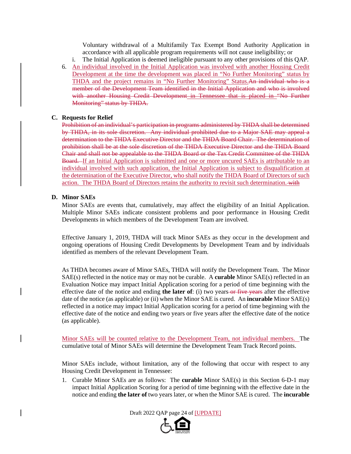Voluntary withdrawal of a Multifamily Tax Exempt Bond Authority Application in accordance with all applicable program requirements will not cause ineligibility; or

- i. The Initial Application is deemed ineligible pursuant to any other provisions of this QAP.
- 6. An individual involved in the Initial Application was involved with another Housing Credit Development at the time the development was placed in "No Further Monitoring" status by THDA and the project remains in "No Further Monitoring" Status.An individual who is a member of the Development Team identified in the Initial Application and who is involved with another Housing Credit Development in Tennessee that is placed in "No Further Monitoring" status by THDA.

#### **C. Requests for Relief**

Prohibition of an individual's participation in programs administered by THDA shall be determined by THDA, in its sole discretion. Any individual prohibited due to a Major SAE may appeal a determination to the THDA Executive Director and the THDA Board Chair. The determination of prohibition shall be at the sole discretion of the THDA Executive Director and the THDA Board Chair and shall not be appealable to the THDA Board or the Tax Credit Committee of the THDA Board. If an Initial Application is submitted and one or more uncured SAEs is attributable to an individual involved with such application, the Initial Application is subject to disqualification at the determination of the Executive Director, who shall notify the THDA Board of Directors of such action. The THDA Board of Directors retains the authority to revisit such determination. with

## **D. Minor SAEs**

Minor SAEs are events that, cumulatively, may affect the eligibility of an Initial Application. Multiple Minor SAEs indicate consistent problems and poor performance in Housing Credit Developments in which members of the Development Team are involved.

Effective January 1, 2019, THDA will track Minor SAEs as they occur in the development and ongoing operations of Housing Credit Developments by Development Team and by individuals identified as members of the relevant Development Team.

As THDA becomes aware of Minor SAEs, THDA will notify the Development Team. The Minor SAE(s) reflected in the notice may or may not be curable. A **curable** Minor SAE(s) reflected in an Evaluation Notice may impact Initial Application scoring for a period of time beginning with the effective date of the notice and ending **the later of**: (i) two years or five years after the effective date of the notice (as applicable) or (ii) when the Minor SAE is cured. An **incurable** Minor SAE(s) reflected in a notice may impact Initial Application scoring for a period of time beginning with the effective date of the notice and ending two years or five years after the effective date of the notice (as applicable).

Minor SAEs will be counted relative to the Development Team, not individual members. The cumulative total of Minor SAEs will determine the Development Team Track Record points.

Minor SAEs include, without limitation, any of the following that occur with respect to any Housing Credit Development in Tennessee:

1. Curable Minor SAEs are as follows: The **curable** Minor SAE(s) in this Section 6-D-1 may impact Initial Application Scoring for a period of time beginning with the effective date in the notice and ending **the later of** two years later, or when the Minor SAE is cured. The **incurable**

Draft 2022 QAP page 24 of [UPDATE]

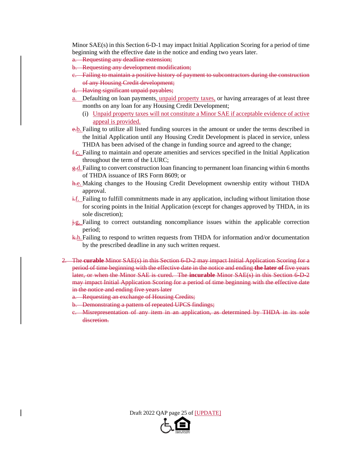Minor SAE(s) in this Section 6-D-1 may impact Initial Application Scoring for a period of time beginning with the effective date in the notice and ending two years later.

- a. Requesting any deadline extension;
- b. Requesting any development modification;
- c. Failing to maintain a positive history of payment to subcontractors during the construction of any Housing Credit development;
- d. Having significant unpaid payables;
- a. Defaulting on loan payments, unpaid property taxes, or having arrearages of at least three months on any loan for any Housing Credit Development;
	- (i) Unpaid property taxes will not constitute a Minor SAE if acceptable evidence of active appeal is provided.
- e.b. Failing to utilize all listed funding sources in the amount or under the terms described in the Initial Application until any Housing Credit Development is placed in service, unless THDA has been advised of the change in funding source and agreed to the change;
- f.c. Failing to maintain and operate amenities and services specified in the Initial Application throughout the term of the LURC;
- g.d.Failing to convert construction loan financing to permanent loan financing within 6 months of THDA issuance of IRS Form 8609; or
- h.e. Making changes to the Housing Credit Development ownership entity without THDA approval.
- $\frac{1}{n}$ . Failing to fulfill commitments made in any application, including without limitation those for scoring points in the Initial Application (except for changes approved by THDA, in its sole discretion);
- $\frac{1}{k}g$ . Failing to correct outstanding noncompliance issues within the applicable correction period;
- $k-h$ . Failing to respond to written requests from THDA for information and/or documentation by the prescribed deadline in any such written request.
- 2. The **curable** Minor SAE(s) in this Section 6-D-2 may impact Initial Application Scoring for a period of time beginning with the effective date in the notice and ending **the later of** five years later, or when the Minor SAE is cured. The **incurable** Minor SAE(s) in this Section 6-D-2 may impact Initial Application Scoring for a period of time beginning with the effective date in the notice and ending five years later
	- a. Requesting an exchange of Housing Credits;
	- b. Demonstrating a pattern of repeated UPCS findings;
	- c. Misrepresentation of any item in an application, as determined by THDA in its sole discretion.

Draft 2022 QAP page 25 of [UPDATE]

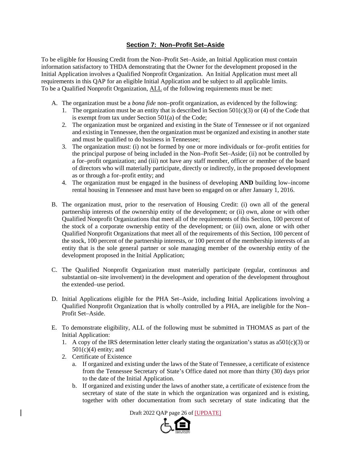## **Section 7: Non–Profit Set–Aside**

To be eligible for Housing Credit from the Non–Profit Set–Aside, an Initial Application must contain information satisfactory to THDA demonstrating that the Owner for the development proposed in the Initial Application involves a Qualified Nonprofit Organization. An Initial Application must meet all requirements in this QAP for an eligible Initial Application and be subject to all applicable limits. To be a Qualified Nonprofit Organization, ALL of the following requirements must be met:

- A. The organization must be a *bona fide* non–profit organization, as evidenced by the following:
	- 1. The organization must be an entity that is described in Section  $501(c)(3)$  or (4) of the Code that is exempt from tax under Section 501(a) of the Code;
	- 2. The organization must be organized and existing in the State of Tennessee or if not organized and existing in Tennessee, then the organization must be organized and existing in another state and must be qualified to do business in Tennessee;
	- 3. The organization must: (i) not be formed by one or more individuals or for–profit entities for the principal purpose of being included in the Non–Profit Set–Aside; (ii) not be controlled by a for–profit organization; and (iii) not have any staff member, officer or member of the board of directors who will materially participate, directly or indirectly, in the proposed development as or through a for–profit entity; and
	- 4. The organization must be engaged in the business of developing **AND** building low–income rental housing in Tennessee and must have been so engaged on or after January 1, 2016.
- B. The organization must, prior to the reservation of Housing Credit: (i) own all of the general partnership interests of the ownership entity of the development; or (ii) own, alone or with other Qualified Nonprofit Organizations that meet all of the requirements of this Section, 100 percent of the stock of a corporate ownership entity of the development; or (iii) own, alone or with other Qualified Nonprofit Organizations that meet all of the requirements of this Section, 100 percent of the stock, 100 percent of the partnership interests, or 100 percent of the membership interests of an entity that is the sole general partner or sole managing member of the ownership entity of the development proposed in the Initial Application;
- C. The Qualified Nonprofit Organization must materially participate (regular, continuous and substantial on–site involvement) in the development and operation of the development throughout the extended–use period.
- D. Initial Applications eligible for the PHA Set–Aside, including Initial Applications involving a Qualified Nonprofit Organization that is wholly controlled by a PHA, are ineligible for the Non– Profit Set–Aside.
- E. To demonstrate eligibility, ALL of the following must be submitted in THOMAS as part of the Initial Application:
	- 1. A copy of the IRS determination letter clearly stating the organization's status as  $a501(c)(3)$  or  $501(c)(4)$  entity; and
	- 2. Certificate of Existence
		- a. If organized and existing under the laws of the State of Tennessee, a certificate of existence from the Tennessee Secretary of State's Office dated not more than thirty (30) days prior to the date of the Initial Application.
		- b. If organized and existing under the laws of another state, a certificate of existence from the secretary of state of the state in which the organization was organized and is existing, together with other documentation from such secretary of state indicating that the

Draft 2022 QAP page 26 of [UPDATE]

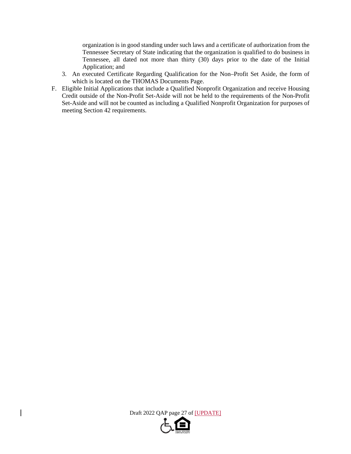organization is in good standing under such laws and a certificate of authorization from the Tennessee Secretary of State indicating that the organization is qualified to do business in Tennessee, all dated not more than thirty (30) days prior to the date of the Initial Application; and

- 3. An executed Certificate Regarding Qualification for the Non–Profit Set Aside, the form of which is located on the THOMAS Documents Page.
- F. Eligible Initial Applications that include a Qualified Nonprofit Organization and receive Housing Credit outside of the Non-Profit Set-Aside will not be held to the requirements of the Non-Profit Set-Aside and will not be counted as including a Qualified Nonprofit Organization for purposes of meeting Section 42 requirements.

Draft 2022 QAP page 27 of [UPDATE]

 $\overline{\phantom{a}}$ 

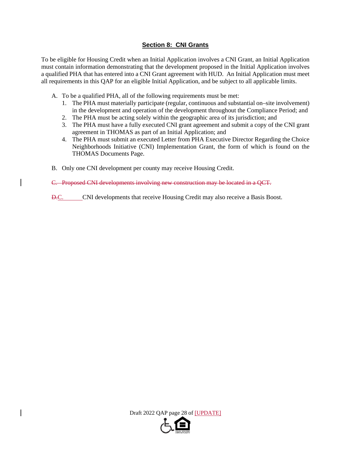## **Section 8: CNI Grants**

To be eligible for Housing Credit when an Initial Application involves a CNI Grant, an Initial Application must contain information demonstrating that the development proposed in the Initial Application involves a qualified PHA that has entered into a CNI Grant agreement with HUD. An Initial Application must meet all requirements in this QAP for an eligible Initial Application, and be subject to all applicable limits.

- A. To be a qualified PHA, all of the following requirements must be met:
	- 1. The PHA must materially participate (regular, continuous and substantial on–site involvement) in the development and operation of the development throughout the Compliance Period; and
	- 2. The PHA must be acting solely within the geographic area of its jurisdiction; and
	- 3. The PHA must have a fully executed CNI grant agreement and submit a copy of the CNI grant agreement in THOMAS as part of an Initial Application; and
	- 4. The PHA must submit an executed Letter from PHA Executive Director Regarding the Choice Neighborhoods Initiative (CNI) Implementation Grant, the form of which is found on the THOMAS Documents Page.
- B. Only one CNI development per county may receive Housing Credit.

C. Proposed CNI developments involving new construction may be located in a QCT.

D.C. CNI developments that receive Housing Credit may also receive a Basis Boost.

Draft 2022 QAP page 28 of [UPDATE]

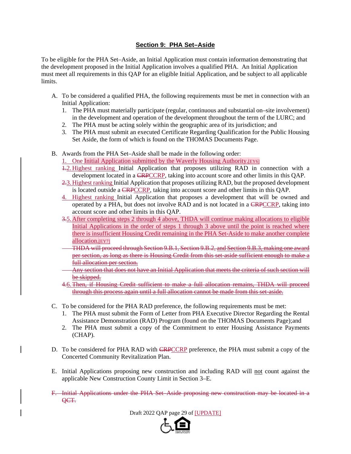## **Section 9: PHA Set–Aside**

To be eligible for the PHA Set–Aside, an Initial Application must contain information demonstrating that the development proposed in the Initial Application involves a qualified PHA. An Initial Application must meet all requirements in this QAP for an eligible Initial Application, and be subject to all applicable limits.

- A. To be considered a qualified PHA, the following requirements must be met in connection with an Initial Application:
	- 1. The PHA must materially participate (regular, continuous and substantial on–site involvement) in the development and operation of the development throughout the term of the LURC; and
	- 2. The PHA must be acting solely within the geographic area of its jurisdiction; and
	- 3. The PHA must submit an executed Certificate Regarding Qualification for the Public Housing Set Aside, the form of which is found on the THOMAS Documents Page.
- B. Awards from the PHA Set–Aside shall be made in the following order:

1. One Initial Application submitted by the Waverly Housing Authority.[EY6]

- 1.2.Highest ranking Initial Application that proposes utilizing RAD in connection with a development located in a **CRPCCRP**, taking into account score and other limits in this QAP.
- 2.3. Highest ranking Initial Application that proposes utilizing RAD, but the proposed development is located outside a CRPCCRP, taking into account score and other limits in this QAP.
- 4. Highest ranking Initial Application that proposes a development that will be owned and operated by a PHA, but does not involve RAD and is not located in a CRPCCRP, taking into account score and other limits in this QAP.
- 3.5.After completing steps 2 through 4 above, THDA will continue making allocations to eligible Initial Applications in the order of steps 1 through 3 above until the point is reached where there is insufficient Housing Credit remaining in the PHA Set-Aside to make another complete allocation.[EY7]
- THDA will proceed through Section 9.B.1, Section 9.B.2, and Section 9.B.3, making one award per section, as long as there is Housing Credit from this set-aside sufficient enough to make a full allocation per section.
- Any section that does not have an Initial Application that meets the criteria of such section will be skipped.
- 4.6.Then, if Housing Credit sufficient to make a full allocation remains, THDA will proceed through this process again until a full allocation cannot be made from this set-aside.
- C. To be considered for the PHA RAD preference, the following requirements must be met:
	- 1. The PHA must submit the Form of Letter from PHA Executive Director Regarding the Rental Assistance Demonstration (RAD) Program (found on the THOMAS Documents Page);and
	- 2. The PHA must submit a copy of the Commitment to enter Housing Assistance Payments (CHAP).
- D. To be considered for PHA RAD with **CRPCCRP** preference, the PHA must submit a copy of the Concerted Community Revitalization Plan.
- E. Initial Applications proposing new construction and including RAD will not count against the applicable New Construction County Limit in Section 3–E.
- F. Initial Applications under the PHA Set–Aside proposing new construction may be located in a QCT.

Draft 2022 QAP page 29 of [UPDATE]

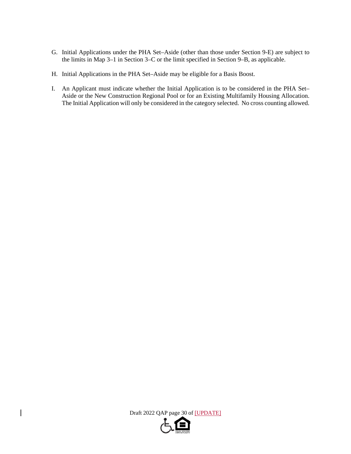- G. Initial Applications under the PHA Set–Aside (other than those under Section 9-E) are subject to the limits in Map 3–1 in Section 3–C or the limit specified in Section 9–B, as applicable.
- H. Initial Applications in the PHA Set–Aside may be eligible for a Basis Boost.
- I. An Applicant must indicate whether the Initial Application is to be considered in the PHA Set– Aside or the New Construction Regional Pool or for an Existing Multifamily Housing Allocation. The Initial Application will only be considered in the category selected. No cross counting allowed.

Draft 2022 QAP page 30 of [UPDATE]

 $\overline{\phantom{a}}$ 

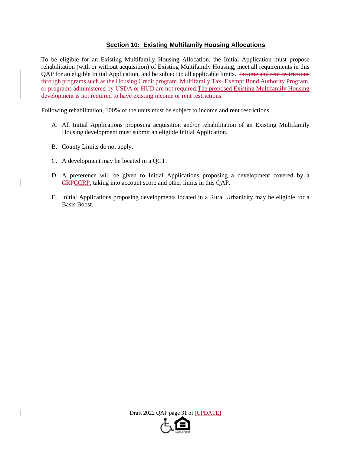## **Section 10: Existing Multifamily Housing Allocations**

To be eligible for an Existing Multifamily Housing Allocation, the Initial Application must propose rehabilitation (with or without acquisition) of Existing Multifamily Housing, meet all requirements in this QAP for an eligible Initial Application, and be subject to all applicable limits. Income and rent restrictions through programs such as the Housing Credit program, Multifamily Tax–Exempt Bond Authority Program, or programs administered by USDA or HUD are not required.The proposed Existing Multifamily Housing development is not required to have existing income or rent restrictions.

Following rehabilitation, 100% of the units must be subject to income and rent restrictions.

- A. All Initial Applications proposing acquisition and/or rehabilitation of an Existing Multifamily Housing development must submit an eligible Initial Application.
- B. County Limits do not apply.
- C. A development may be located in a QCT.
- D. A preference will be given to Initial Applications proposing a development covered by a CRPCCRP, taking into account score and other limits in this QAP.
- E. Initial Applications proposing developments located in a Rural Urbanicity may be eligible for a Basis Boost.

Draft 2022 QAP page 31 of [UPDATE]

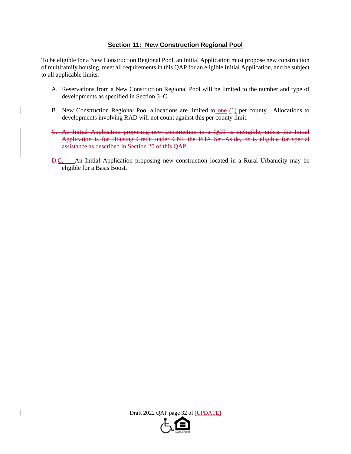## **Section 11: New Construction Regional Pool**

To be eligible for a New Construction Regional Pool, an Initial Application must propose new construction of multifamily housing, meet all requirements in this QAP for an eligible Initial Application, and be subject to all applicable limits.

- A. Reservations from a New Construction Regional Pool will be limited to the number and type of developments as specified in Section 3–C.
- B. New Construction Regional Pool allocations are limited to one (1) per county. Allocations to developments involving RAD will not count against this per county limit.
- C. An Initial Application proposing new construction in a QCT is ineligible, unless the Initial Application is for Housing Credit under CNI, the PHA Set–Aside, or is eligible for special assistance as described in Section 20 of this QAP.
- D.C. An Initial Application proposing new construction located in a Rural Urbanicity may be eligible for a Basis Boost.

Draft 2022 QAP page 32 of [UPDATE]

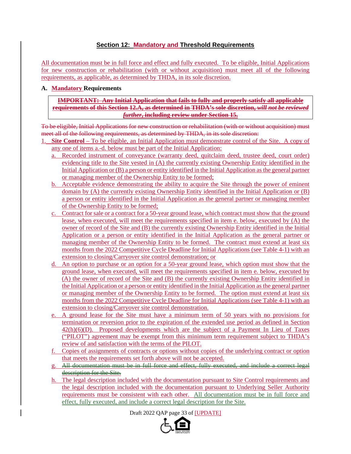# **Section 12: Mandatory and Threshold Requirements**

All documentation must be in full force and effect and fully executed. To be eligible, Initial Applications for new construction or rehabilitation (with or without acquisition) must meet all of the following requirements, as applicable, as determined by THDA, in its sole discretion.

## **A. Mandatory Requirements**

**IMPORTANT: Any Initial Application that fails to fully and properly satisfy all applicable requirements of this Section 12.A, as determined in THDA's sole discretion,** *will not be reviewed further***, including review under Section 15.** 

To be eligible, Initial Applications for new construction or rehabilitation (with or without acquisition) must meet all of the following requirements, as determined by THDA, in its sole discretion:

- 1. **Site Control** To be eligible, an Initial Application must demonstrate control of the Site. A copy of any one of items a.-d. below must be part of the Initial Application:
	- a. Recorded instrument of conveyance (warranty deed, quitclaim deed, trustee deed, court order) evidencing title to the Site vested in (A) the currently existing Ownership Entity identified in the Initial Application or (B) a person or entity identified in the Initial Application as the general partner or managing member of the Ownership Entity to be formed;
	- b. Acceptable evidence demonstrating the ability to acquire the Site through the power of eminent domain by (A) the currently existing Ownership Entity identified in the Initial Application or (B) a person or entity identified in the Initial Application as the general partner or managing member of the Ownership Entity to be formed;
	- c. Contract for sale or a contract for a 50-year ground lease, which contract must show that the ground lease, when executed, will meet the requirements specified in item e. below, executed by (A) the owner of record of the Site and (B) the currently existing Ownership Entity identified in the Initial Application or a person or entity identified in the Initial Application as the general partner or managing member of the Ownership Entity to be formed. The contract must extend at least six months from the 2022 Competitive Cycle Deadline for Initial Applications (see Table 4-1) with an extension to closing/Carryover site control demonstration; or
	- d. An option to purchase or an option for a 50-year ground lease, which option must show that the ground lease, when executed, will meet the requirements specified in item e. below, executed by (A) the owner of record of the Site and (B) the currently existing Ownership Entity identified in the Initial Application or a person or entity identified in the Initial Application as the general partner or managing member of the Ownership Entity to be formed. The option must extend at least six months from the 2022 Competitive Cycle Deadline for Initial Applications (see Table 4-1) with an extension to closing/Carryover site control demonstration.
	- e. A ground lease for the Site must have a minimum term of 50 years with no provisions for termination or reversion prior to the expiration of the extended use period as defined in Section 42(h)(6)(D). Proposed developments which are the subject of a Payment In Lieu of Taxes ("PILOT") agreement may be exempt from this minimum term requirement subject to THDA's review of and satisfaction with the terms of the PILOT.
	- f. Copies of assignments of contracts or options without copies of the underlying contract or option that meets the requirements set forth above will not be accepted.
	- g. All documentation must be in full force and effect, fully executed, and include a correct legal description for the Site.
	- h. The legal description included with the documentation pursuant to Site Control requirements and the legal description included with the documentation pursuant to Underlying Seller Authority requirements must be consistent with each other. All documentation must be in full force and effect, fully executed, and include a correct legal description for the Site.

Draft 2022 QAP page 33 of [UPDATE]

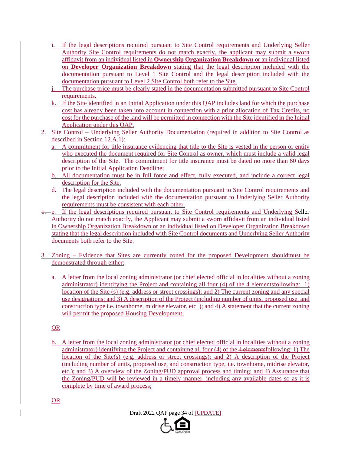- i. If the legal descriptions required pursuant to Site Control requirements and Underlying Seller Authority Site Control requirements do not match exactly, the applicant may submit a sworn affidavit from an individual listed in **Ownership Organization Breakdown** or an individual listed on **Developer Organization Breakdown** stating that the legal description included with the documentation pursuant to Level 1 Site Control and the legal description included with the documentation pursuant to Level 2 Site Control both refer to the Site.
- j. The purchase price must be clearly stated in the documentation submitted pursuant to Site Control requirements.
- k. If the Site identified in an Initial Application under this QAP includes land for which the purchase cost has already been taken into account in connection with a prior allocation of Tax Credits, no cost for the purchase of the land will be permitted in connection with the Site identified in the Initial Application under this QAP.
- 2. Site Control Underlying Seller Authority Documentation (required in addition to Site Control as described in Section 12.A.1):
	- a. A commitment for title insurance evidencing that title to the Site is vested in the person or entity who executed the document required for Site Control as owner, which must include a valid legal description of the Site. The commitment for title insurance must be dated no more than 60 days prior to the Initial Application Deadline;
	- b. All documentation must be in full force and effect, fully executed, and include a correct legal description for the Site.
	- d. The legal description included with the documentation pursuant to Site Control requirements and the legal description included with the documentation pursuant to Underlying Seller Authority requirements must be consistent with each other.
- 1. e. If the legal descriptions required pursuant to Site Control requirements and Underlying Seller Authority do not match exactly, the Applicant may submit a sworn affidavit from an individual listed in Ownership Organization Breakdown or an individual listed on Developer Organization Breakdown stating that the legal description included with Site Control documents and Underlying Seller Authority documents both refer to the Site.
- 3. Zoning Evidence that Sites are currently zoned for the proposed Development shouldmust be demonstrated through either:
	- a. A letter from the local zoning administrator (or chief elected official in localities without a zoning administrator) identifying the Project and containing all four (4) of the 4-elementsfollowing: 1) location of the Site (s) (e.g. address or street crossings); and 2) The current zoning and any special use designations; and 3) A description of the Project (including number of units, proposed use, and construction type i.e. townhome, midrise elevator, etc. ); and 4) A statement that the current zoning will permit the proposed Housing Development;

## OR

b. A letter from the local zoning administrator (or chief elected official in localities without a zoning administrator) identifying the Project and containing all four (4) of the 4 elementsfollowing: 1) The location of the Site(s) (e.g. address or street crossings); and 2) A description of the Project (including number of units, proposed use, and construction type, i.e. townhome, midrise elevator, etc.); and 3) A overview of the Zoning/PUD approval process and timing; and 4) Assurance that the Zoning/PUD will be reviewed in a timely manner, including any available dates so as it is complete by time of award process;

OR



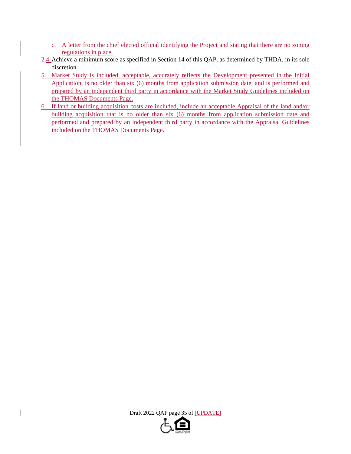- c. A letter from the chief elected official identifying the Project and stating that there are no zoning regulations in place.
- 2.4.Achieve a minimum score as specified in Section 14 of this QAP, as determined by THDA, in its sole discretion.
- 5. Market Study is included, acceptable, accurately reflects the Development presented in the Initial Application, is no older than six (6) months from application submission date, and is performed and prepared by an independent third party in accordance with the Market Study Guidelines included on the THOMAS Documents Page.
- 6. If land or building acquisition costs are included, include an acceptable Appraisal of the land and/or building acquisition that is no older than six (6) months from application submission date and performed and prepared by an independent third party in accordance with the Appraisal Guidelines included on the THOMAS Documents Page.

Draft 2022 QAP page 35 of [UPDATE]

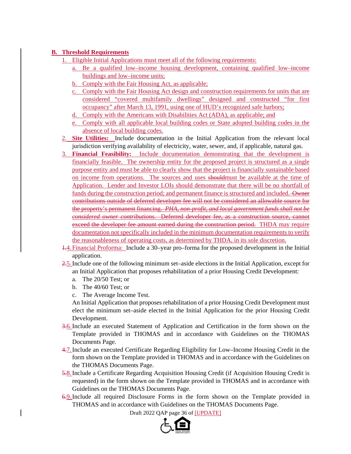# **B. Threshold Requirements**

- 1. Eligible Initial Applications must meet all of the following requirements:
	- a. Be a qualified low–income housing development, containing qualified low–income buildings and low–income units;
	- b. Comply with the Fair Housing Act, as applicable;
	- c. Comply with the Fair Housing Act design and construction requirements for units that are considered "covered multifamily dwellings" designed and constructed "for first occupancy" after March 13, 1991, using one of HUD's recognized safe harbors;
	- d. Comply with the Americans with Disabilities Act (ADA), as applicable; and
	- e. Comply with all applicable local building codes or State adopted building codes in the absence of local building codes.
- 2. **Site Utilities:** Include documentation in the Initial Application from the relevant local jurisdiction verifying availability of electricity, water, sewer, and, if applicable, natural gas.
- 3. **Financial Feasibility:** Include documentation demonstrating that the development is financially feasible. The ownership entity for the proposed project is structured as a single purpose entity and must be able to clearly show that the project is financially sustainable based on income from operations. The sources and uses shouldmust be available at the time of Application. Lender and Investor LOIs should demonstrate that there will be no shortfall of funds during the construction period; and permanent finance is structured and included. Owner contributions outside of deferred developer fee will not be considered an allowable source for the property's permanent financing. *PHA, non-profit, and local government funds shall not be considered owner contributions.* Deferred developer fee, as a construction source, cannot exceed the developer fee amount earned during the construction period. THDA may require documentation not specifically included in the minimum documentation requirements to verify the reasonableness of operating costs, as determined by THDA, in its sole discretion.
- 1.4.Financial Proforma: Include a 30–year pro–forma for the proposed development in the Initial application.
- 2.5.Include one of the following minimum set–aside elections in the Initial Application, except for an Initial Application that proposes rehabilitation of a prior Housing Credit Development:
	- a. The 20/50 Test; or
	- b. The 40/60 Test; or
	- c. The Average Income Test.

An Initial Application that proposes rehabilitation of a prior Housing Credit Development must elect the minimum set–aside elected in the Initial Application for the prior Housing Credit Development.

- 3.6.Include an executed Statement of Application and Certification in the form shown on the Template provided in THOMAS and in accordance with Guidelines on the THOMAS Documents Page.
- 4.7.Include an executed Certificate Regarding Eligibility for Low–Income Housing Credit in the form shown on the Template provided in THOMAS and in accordance with the Guidelines on the THOMAS Documents Page.
- 5.8.Include a Certificate Regarding Acquisition Housing Credit (if Acquisition Housing Credit is requested) in the form shown on the Template provided in THOMAS and in accordance with Guidelines on the THOMAS Documents Page.
- 6.9.Include all required Disclosure Forms in the form shown on the Template provided in THOMAS and in accordance with Guidelines on the THOMAS Documents Page.

Draft 2022 QAP page 36 of [UPDATE]

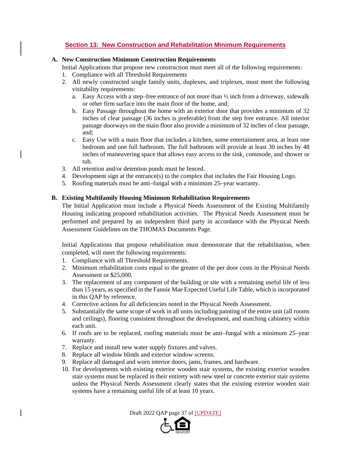# **Section 13: New Construction and Rehabilitation Minimum Requirements**

#### **A. New Construction Minimum Construction Requirements**

Initial Applications that propose new construction must meet all of the following requirements:

- 1. Compliance with all Threshold Requirements
- 2. All newly constructed single family units, duplexes, and triplexes, must meet the following visitability requirements:
	- a. Easy Access with a step–free entrance of not more than  $\frac{1}{2}$  inch from a driveway, sidewalk or other firm surface into the main floor of the home, and;
	- b. Easy Passage throughout the home with an exterior door that provides a minimum of 32 inches of clear passage (36 inches is preferable) from the step free entrance. All interior passage doorways on the main floor also provide a minimum of 32 inches of clear passage, and;
	- c. Easy Use with a main floor that includes a kitchen, some entertainment area, at least one bedroom and one full bathroom. The full bathroom will provide at least 30 inches by 48 inches of maneuvering space that allows easy access to the sink, commode, and shower or tub.
- 3. All retention and/or detention ponds must be fenced.
- 4. Development sign at the entrance(s) to the complex that includes the Fair Housing Logo.
- 5. Roofing materials must be anti–fungal with a minimum 25–year warranty.

### **B. Existing Multifamily Housing Minimum Rehabilitation Requirements**

The Initial Application must include a Physical Needs Assessment of the Existing Multifamily Housing indicating proposed rehabilitation activities. The Physical Needs Assessment must be performed and prepared by an independent third party in accordance with the Physical Needs Assessment Guidelines on the THOMAS Documents Page.

Initial Applications that propose rehabilitation must demonstrate that the rehabilitation, when completed, will meet the following requirements:

- 1. Compliance with all Threshold Requirements.
- 2. Minimum rehabilitation costs equal to the greater of the per door costs in the Physical Needs Assessment or \$25,000.
- 3. The replacement of any component of the building or site with a remaining useful life of less than 15 years, as specified in the Fannie Mae Expected Useful Life Table, which is incorporated in this QAP by reference.
- 4. Corrective actions for all deficiencies noted in the Physical Needs Assessment.
- 5. Substantially the same scope of work in all units including painting of the entire unit (all rooms and ceilings), flooring consistent throughout the development, and matching cabinetry within each unit.
- 6. If roofs are to be replaced, roofing materials must be anti–fungal with a minimum 25–year warranty.
- 7. Replace and install new water supply fixtures and valves.
- 8. Replace all window blinds and exterior window screens.
- 9. Replace all damaged and worn interior doors, jams, frames, and hardware.
- 10. For developments with existing exterior wooden stair systems, the existing exterior wooden stair systems must be replaced in their entirety with new steel or concrete exterior stair systems unless the Physical Needs Assessment clearly states that the existing exterior wooden stair systems have a remaining useful life of at least 10 years.

Draft 2022 QAP page 37 of [UPDATE]

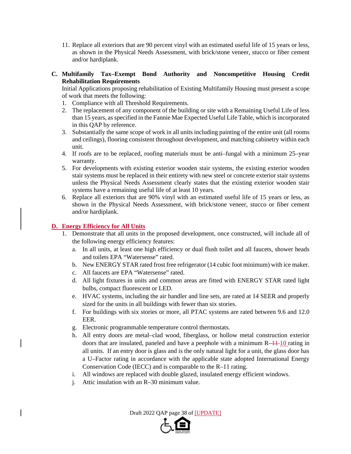- 11. Replace all exteriors that are 90 percent vinyl with an estimated useful life of 15 years or less, as shown in the Physical Needs Assessment, with brick/stone veneer, stucco or fiber cement and/or hardiplank.
- **C. Multifamily Tax–Exempt Bond Authority and Noncompetitive Housing Credit Rehabilitation Requirements**

Initial Applications proposing rehabilitation of Existing Multifamily Housing must present a scope of work that meets the following:

- 1. Compliance with all Threshold Requirements.
- 2. The replacement of any component of the building or site with a Remaining Useful Life of less than 15 years, as specified in the Fannie Mae Expected Useful Life Table, which is incorporated in this QAP by reference.
- 3. Substantially the same scope of work in all units including painting of the entire unit (all rooms and ceilings), flooring consistent throughout development, and matching cabinetry within each unit.
- 4. If roofs are to be replaced, roofing materials must be anti–fungal with a minimum 25–year warranty.
- 5. For developments with existing exterior wooden stair systems, the existing exterior wooden stair systems must be replaced in their entirety with new steel or concrete exterior stair systems unless the Physical Needs Assessment clearly states that the existing exterior wooden stair systems have a remaining useful life of at least 10 years.
- 6. Replace all exteriors that are 90% vinyl with an estimated useful life of 15 years or less, as shown in the Physical Needs Assessment, with brick/stone veneer, stucco or fiber cement and/or hardiplank.

# **D. Energy Efficiency for All Units**

- 1. Demonstrate that all units in the proposed development, once constructed, will include all of the following energy efficiency features:
	- a. In all units, at least one high efficiency or dual flush toilet and all faucets, shower heads and toilets EPA "Watersense" rated.
	- b. New ENERGY STAR rated frost free refrigerator (14 cubic foot minimum) with ice maker.
	- c. All faucets are EPA "Watersense" rated.
	- d. All light fixtures in units and common areas are fitted with ENERGY STAR rated light bulbs, compact fluorescent or LED.
	- e. HVAC systems, including the air handler and line sets, are rated at 14 SEER and properly sized for the units in all buildings with fewer than six stories.
	- f. For buildings with six stories or more, all PTAC systems are rated between 9.6 and 12.0 EER.
	- g. Electronic programmable temperature control thermostats.
	- h. All entry doors are metal–clad wood, fiberglass, or hollow metal construction exterior doors that are insulated, paneled and have a peephole with a minimum  $R-11-10$  rating in all units. If an entry door is glass and is the only natural light for a unit, the glass door has a U–Factor rating in accordance with the applicable state adopted International Energy Conservation Code (IECC) and is comparable to the R–11 rating.
	- i. All windows are replaced with double glazed, insulated energy efficient windows.
	- j. Attic insulation with an R–30 minimum value.

Draft 2022 QAP page 38 of [UPDATE]

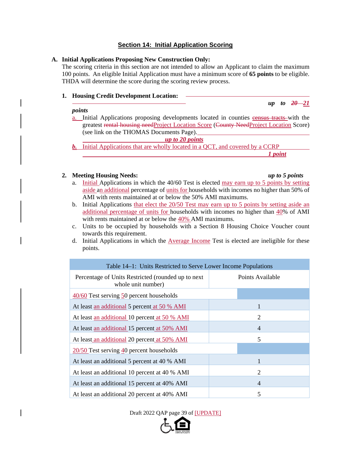# **Section 14: Initial Application Scoring**

### **A. Initial Applications Proposing New Construction Only:**

The scoring criteria in this section are not intended to allow an Applicant to claim the maximum 100 points. An eligible Initial Application must have a minimum score of **65 points** to be eligible. THDA will determine the score during the scoring review process.

### **1. Housing Credit Development Location:**

#### *points*

a. Initial Applications proposing developments located in counties census tracts with the greatest rental housing needProject Location Score (County NeedProject Location Score) (see link on the THOMAS Documents Page).

*up to 20 points*

*b.* Initial Applications that are wholly located in a QCT, and covered by a CCRP *1 point* 

# **2. Meeting Housing Needs:** *up to 5 points*

- a. Initial Applications in which the 40/60 Test is elected may earn up to 5 points by setting aside an additional percentage of units for households with incomes no higher than 50% of AMI with rents maintained at or below the 50% AMI maximums.
- b. Initial Applications that elect the 20/50 Test may earn up to 5 points by setting aside an additional percentage of units for households with incomes no higher than 40% of AMI with rents maintained at or below the 40% AMI maximums.
- c. Units to be occupied by households with a Section 8 Housing Choice Voucher count towards this requirement.
- d. Initial Applications in which the Average Income Test is elected are ineligible for these points.

| Table 14–1: Units Restricted to Serve Lower Income Populations            |                  |  |
|---------------------------------------------------------------------------|------------------|--|
| Percentage of Units Restricted (rounded up to next)<br>whole unit number) | Points Available |  |
| $\frac{40}{60}$ Test serving 50 percent households                        |                  |  |
| At least an additional 5 percent at 50 % AMI                              | 1                |  |
| At least an additional 10 percent at 50 % AMI                             | 2                |  |
| At least an additional 15 percent at 50% AMI                              | $\overline{4}$   |  |
| At least an additional 20 percent at 50% AMI                              | 5                |  |
| $20/50$ Test serving $40$ percent households                              |                  |  |
| At least an additional 5 percent at 40 % AMI                              | 1                |  |
| At least an additional 10 percent at 40 % AMI                             | $\overline{2}$   |  |
| At least an additional 15 percent at 40% AMI                              | $\overline{4}$   |  |
| At least an additional 20 percent at 40% AMI                              | 5                |  |

Draft 2022 QAP page 39 of [UPDATE]



 $up$  to  $20 - 21$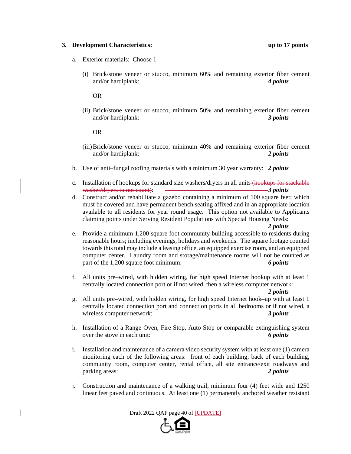#### **3. Development Characteristics: up to 17 points**

- a. Exterior materials: Choose 1
	- (i) Brick/stone veneer or stucco, minimum 60% and remaining exterior fiber cement and/or hardiplank: *4 points*

OR

(ii) Brick/stone veneer or stucco, minimum 50% and remaining exterior fiber cement and/or hardiplank: *3 points*

OR

- (iii)Brick/stone veneer or stucco, minimum 40% and remaining exterior fiber cement and/or hardiplank: *2 points*
- b. Use of anti–fungal roofing materials with a minimum 30 year warranty: *2 points*
- c. Installation of hookups for standard size washers/dryers in all units (hookups for stackable washer/dryers to not count): *3 points*
- d. Construct and/or rehabilitate a gazebo containing a minimum of 100 square feet; which must be covered and have permanent bench seating affixed and in an appropriate location available to all residents for year round usage. This option not available to Applicants claiming points under Serving Resident Populations with Special Housing Needs:

*2 points*

- e. Provide a minimum 1,200 square foot community building accessible to residents during reasonable hours; including evenings, holidays and weekends. The square footage counted towards this total may include a leasing office, an equipped exercise room, and an equipped computer center. Laundry room and storage/maintenance rooms will not be counted as part of the 1,200 square foot minimum: *6 points*
- f. All units pre–wired, with hidden wiring, for high speed Internet hookup with at least 1 centrally located connection port or if not wired, then a wireless computer network:

*2 points*

- g. All units pre–wired, with hidden wiring, for high speed Internet hook–up with at least 1 centrally located connection port and connection ports in all bedrooms or if not wired, a wireless computer network: *3 points*
- h. Installation of a Range Oven, Fire Stop, Auto Stop or comparable extinguishing system over the stove in each unit: *6 points*
- i. Installation and maintenance of a camera video security system with at least one (1) camera monitoring each of the following areas: front of each building, back of each building, community room, computer center, rental office, all site entrance/exit roadways and parking areas: *2 points*
- j. Construction and maintenance of a walking trail, minimum four (4) feet wide and 1250 linear feet paved and continuous. At least one (1) permanently anchored weather resistant

Draft 2022 QAP page 40 of [UPDATE]

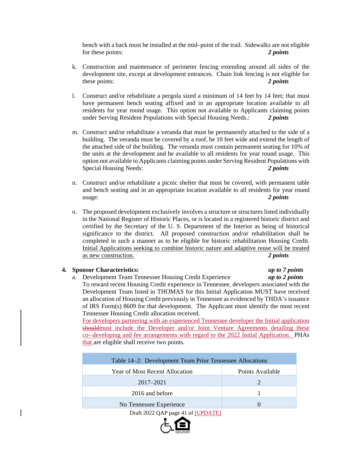bench with a back must be installed at the mid–point of the trail. Sidewalks are not eligible for these points: *2 points*

- k. Construction and maintenance of perimeter fencing extending around all sides of the development site, except at development entrances. Chain link fencing is not eligible for these points: *2 points*
- l. Construct and/or rehabilitate a pergola sized a minimum of 14 feet by 14 feet; that must have permanent bench seating affixed and in an appropriate location available to all residents for year round usage. This option not available to Applicants claiming points under Serving Resident Populations with Special Housing Needs.: *2 points*
- m. Construct and/or rehabilitate a veranda that must be permanently attached to the side of a building. The veranda must be covered by a roof, be 10 feet wide and extend the length of the attached side of the building. The veranda must contain permanent seating for 10% of the units at the development and be available to all residents for year round usage. This option not available to Applicants claiming points under Serving Resident Populations with Special Housing Needs: *2 points*
- n. Construct and/or rehabilitate a picnic shelter that must be covered, with permanent table and bench seating and in an appropriate location available to all residents for year round usage: *2 points*
- o. The proposed development exclusively involves a structure or structures listed individually in the National Register of Historic Places, or is located in a registered historic district and certified by the Secretary of the U. S. Department of the Interior as being of historical significance to the district. All proposed construction and/or rehabilitation shall be completed in such a manner as to be eligible for historic rehabilitation Housing Credit. Initial Applications seeking to combine historic nature and adaptive reuse will be treated as new construction. *2 points*

### **4. Sponsor Characteristics:** *up to 7 points*

a. Development Team Tennessee Housing Credit Experience *up to 2 points* To reward recent Housing Credit experience in Tennessee, developers associated with the Development Team listed in THOMAS for this Initial Application MUST have received an allocation of Housing Credit previously in Tennessee as evidenced by THDA's issuance of IRS Form(s) 8609 for that development. The Applicant must identify the most recent Tennessee Housing Credit allocation received.

For developers partnering with an experienced Tennessee developer the Initial application shouldmust include the Developer and/or Joint Venture Agreements detailing these co- developing and fee arrangements with regard to the 2022 Initial Application. PHAs that are eligible shall receive two points.

| Table 14–2: Development Team Prior Tennessee Allocations |                  |
|----------------------------------------------------------|------------------|
| <b>Year of Most Recent Allocation</b>                    | Points Available |
| 2017–2021                                                |                  |
| 2016 and before                                          |                  |
| No Tennessee Experience                                  |                  |
|                                                          |                  |

Draft 2022 QAP page 41 of [UPDATE]

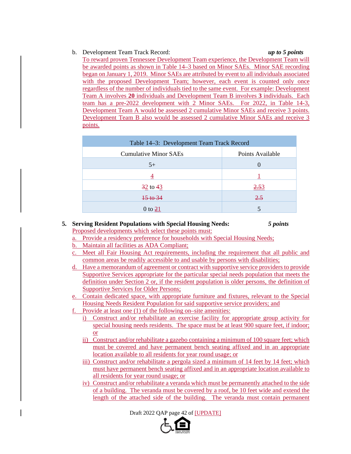# b. Development Team Track Record: *up to 5 points*

To reward proven Tennessee Development Team experience, the Development Team will be awarded points as shown in Table 14–3 based on Minor SAEs. Minor SAE recording began on January 1, 2019. Minor SAEs are attributed by event to all individuals associated with the proposed Development Team; however, each event is counted only once regardless of the number of individuals tied to the same event. For example: Development Team A involves **20** individuals and Development Team B involves **3** individuals. Each team has a pre-2022 development with 2 Minor SAEs. For 2022, in Table 14-3, Development Team A would be assessed 2 cumulative Minor SAEs and receive 3 points. Development Team B also would be assessed 2 cumulative Minor SAEs and receive 3 points.

| Table 14–3: Development Team Track Record |                  |
|-------------------------------------------|------------------|
| <b>Cumulative Minor SAEs</b>              | Points Available |
| $5+$                                      |                  |
|                                           |                  |
| $\frac{32}{2}$ to $\frac{43}{2}$          | 2.53             |
| $\frac{15 \text{ to } 34}{ }$             | 2.5              |
| $0$ to $21$                               |                  |

#### **5. Serving Resident Populations with Special Housing Needs:** *5 points* Proposed developments which select these points must:

- a. Provide a residency preference for households with Special Housing Needs;
- b. Maintain all facilities as ADA Compliant;
- c. Meet all Fair Housing Act requirements, including the requirement that all public and common areas be readily accessible to and usable by persons with disabilities;
- d. Have a memorandum of agreement or contract with supportive service providers to provide Supportive Services appropriate for the particular special needs population that meets the definition under Section 2 or, if the resident population is older persons, the definition of Supportive Services for Older Persons;
- e. Contain dedicated space, with appropriate furniture and fixtures, relevant to the Special Housing Needs Resident Population for said supportive service providers; and
- f. Provide at least one (1) of the following on–site amenities:
	- i) Construct and/or rehabilitate an exercise facility for appropriate group activity for special housing needs residents. The space must be at least 900 square feet, if indoor; or
	- ii) Construct and/or rehabilitate a gazebo containing a minimum of 100 square feet; which must be covered and have permanent bench seating affixed and in an appropriate location available to all residents for year round usage; or
	- iii) Construct and/or rehabilitate a pergola sized a minimum of 14 feet by 14 feet; which must have permanent bench seating affixed and in an appropriate location available to all residents for year round usage; or
	- iv) Construct and/or rehabilitate a veranda which must be permanently attached to the side of a building. The veranda must be covered by a roof, be 10 feet wide and extend the length of the attached side of the building. The veranda must contain permanent

Draft 2022 QAP page 42 of [UPDATE]

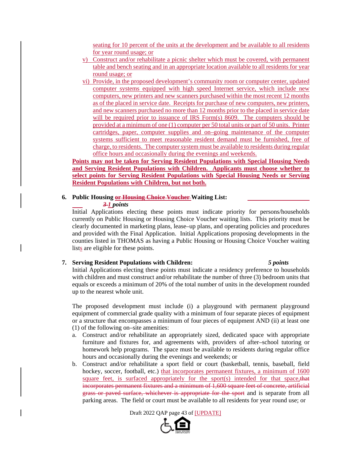seating for 10 percent of the units at the development and be available to all residents for year round usage; or

- v) Construct and/or rehabilitate a picnic shelter which must be covered, with permanent table and bench seating and in an appropriate location available to all residents for year round usage; or
- vi) Provide, in the proposed development's community room or computer center, updated computer systems equipped with high speed Internet service, which include new computers, new printers and new scanners purchased within the most recent 12 months as of the placed in service date. Receipts for purchase of new computers, new printers, and new scanners purchased no more than 12 months prior to the placed in service date will be required prior to issuance of IRS Form(s) 8609. The computers should be provided at a minimum of one (1) computer per 50 total units or part of 50 units. Printer cartridges, paper, computer supplies and on–going maintenance of the computer systems sufficient to meet reasonable resident demand must be furnished, free of charge, to residents. The computer system must be available to residents during regular office hours and occasionally during the evenings and weekends.

**Points may not be taken for Serving Resident Populations with Special Housing Needs and Serving Resident Populations with Children. Applicants must choose whether to select points for Serving Resident Populations with Special Housing Needs or Serving Resident Populations with Children, but not both.** 

# **6. Public Housing or Housing Choice Voucher Waiting List:**

#### *3 1 points*

Initial Applications electing these points must indicate priority for persons/households currently on Public Housing or Housing Choice Voucher waiting lists. This priority must be clearly documented in marketing plans, lease–up plans, and operating policies and procedures and provided with the Final Application. Initial Applications proposing developments in the counties listed in THOMAS as having a Public Housing or Housing Choice Voucher waiting lists are eligible for these points.

#### **7. Serving Resident Populations with Children:** *5 points*

Initial Applications electing these points must indicate a residency preference to households with children and must construct and/or rehabilitate the number of three (3) bedroom units that equals or exceeds a minimum of 20% of the total number of units in the development rounded up to the nearest whole unit.

The proposed development must include (i) a playground with permanent playground equipment of commercial grade quality with a minimum of four separate pieces of equipment or a structure that encompasses a minimum of four pieces of equipment AND (ii) at least one (1) of the following on–site amenities:

- a. Construct and/or rehabilitate an appropriately sized, dedicated space with appropriate furniture and fixtures for, and agreements with, providers of after–school tutoring or homework help programs. The space must be available to residents during regular office hours and occasionally during the evenings and weekends; or
- b. Construct and/or rehabilitate a sport field or court (basketball, tennis, baseball, field hockey, soccer, football, etc.) that incorporates permanent fixtures, a minimum of 1600 square feet, is surfaced appropriately for the sport(s) intended for that space, that incorporates permanent fixtures and a minimum of 1,600 square feet of concrete, artificial grass or paved surface, whichever is appropriate for the sport and is separate from all parking areas. The field or court must be available to all residents for year round use; or

Draft 2022 QAP page 43 of [UPDATE]

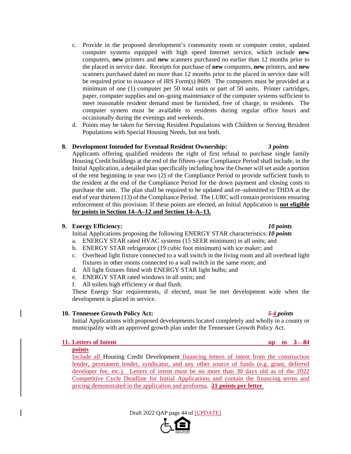- c. Provide in the proposed development's community room or computer center, updated computer systems equipped with high speed Internet service, which include **new** computers, **new** printers and **new** scanners purchased no earlier than 12 months prior to the placed in service date. Receipts for purchase of **new** computers, **new** printers, and **new** scanners purchased dated no more than 12 months prior to the placed in service date will be required prior to issuance of IRS Form(s) 8609. The computers must be provided at a minimum of one (1) computer per 50 total units or part of 50 units. Printer cartridges, paper, computer supplies and on–going maintenance of the computer systems sufficient to meet reasonable resident demand must be furnished, free of charge, to residents. The computer system must be available to residents during regular office hours and occasionally during the evenings and weekends.
- d. Points may be taken for Serving Resident Populations with Children or Serving Resident Populations with Special Housing Needs, but not both.

#### **8. Development Intended for Eventual Resident Ownership:** *3 points*

Applicants offering qualified residents the right of first refusal to purchase single family Housing Credit buildings at the end of the fifteen–year Compliance Period shall include, in the Initial Application, a detailed plan specifically including how the Owner will set aside a portion of the rent beginning in year two (2) of the Compliance Period to provide sufficient funds to the resident at the end of the Compliance Period for the down payment and closing costs to purchase the unit. The plan shall be required to be updated and re–submitted to THDA at the end of year thirteen (13) of the Compliance Period. The LURC will contain provisions ensuring enforcement of this provision. If these points are elected, an Initial Application is **not eligible for points in Section 14–A–12 and Section 14–A–13.** 

#### **9. Energy Efficiency:** *10 points*

Initial Applications proposing the following ENERGY STAR characteristics: *10 points*

- a. ENERGY STAR rated HVAC systems (15 SEER minimum) in all units; and
- b. ENERGY STAR refrigerator (19 cubic foot minimum) with ice maker; and
- c. Overhead light fixture connected to a wall switch in the living room and all overhead light fixtures in other rooms connected to a wall switch in the same room; and
- d. All light fixtures fitted with ENERGY STAR light bulbs; and
- e. ENERGY STAR rated windows in all units; and
- f. All toilets high efficiency or dual flush.

These Energy Star requirements, if elected, must be met development wide when the development is placed in service.

#### **10. Tennessee Growth Policy Act:** *5 4 points*

Initial Applications with proposed developments located completely and wholly in a county or municipality with an approved growth plan under the Tennessee Growth Policy Act.

# **11.** Letters of Intent up to 3 84

**points** 

Include all Housing Credit Development financing letters of intent from the construction lender, permanent lender, syndicator, and any other source of funds (e.g. grant, deferred developer fee, etc.). Letters of intent must be no more than 30 days old as of the 2022 Competitive Cycle Deadline for Initial Applications and contain the financing terms and pricing demonstrated in the application and proforma. **21 points per letter**.

Draft 2022 QAP page 44 of [UPDATE]

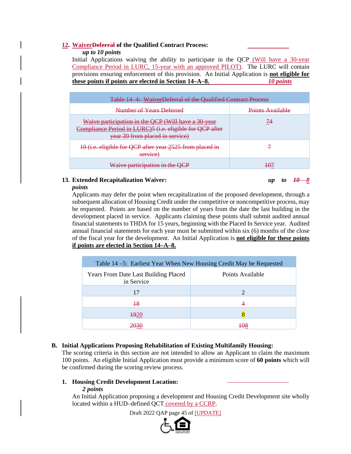### **12. WaiverDeferral of the Qualified Contract Process:**

*up to 10 points*

Initial Applications waiving the ability to participate in the QCP (Will have a 30-year Compliance Period in LURC, 15-year with an approved PILOT). The LURC will contain provisions ensuring enforcement of this provision. An Initial Application is **not eligible for these points if points are elected in Section 14–A–8.** *10 points*

| Table 14 4: WaiverDeferral of the Qualified Contract Process                                                                                       |                  |
|----------------------------------------------------------------------------------------------------------------------------------------------------|------------------|
| Number of Years Deferred                                                                                                                           | Points Available |
| Waive participation in the QCP (Will have a 30-year<br>Compliance Period in LURC)5 (i.e. eligible for QCP after<br>year 20 from placed in service) | 74               |
| 10 (i.e. eligible for QCP after year 2525 from placed in<br>service                                                                                |                  |
| Waive participation in the QCP                                                                                                                     |                  |

# **13. Extended Recapitalization Waiver:** *up to 10 8*

*points*

Applicants may defer the point when recapitalization of the proposed development, through a subsequent allocation of Housing Credit under the competitive or noncompetitive process, may be requested. Points are based on the number of years from the date the last building in the development placed in service. Applicants claiming these points shall submit audited annual financial statements to THDA for 15 years, beginning with the Placed In Service year. Audited annual financial statements for each year must be submitted within six (6) months of the close of the fiscal year for the development. An Initial Application is **not eligible for these points if points are elected in Section 14–A–8.** 

| Table 14 – 5: Earliest Year When New Housing Credit May be Requested |                  |
|----------------------------------------------------------------------|------------------|
| <b>Years From Date Last Building Placed</b><br>in Service            | Points Available |
| 17                                                                   | 2                |
| $+8$                                                                 |                  |
| <b>1920</b>                                                          |                  |
|                                                                      |                  |

# **B. Initial Applications Proposing Rehabilitation of Existing Multifamily Housing:**

The scoring criteria in this section are not intended to allow an Applicant to claim the maximum 100 points. An eligible Initial Application must provide a minimum score of **60 points** which will be confirmed during the scoring review process.

# **1. Housing Credit Development Location:**

### *2 points*

An Initial Application proposing a development and Housing Credit Development site wholly located within a HUD–defined QCT covered by a CCRP.

Draft 2022 QAP page 45 of [UPDATE]

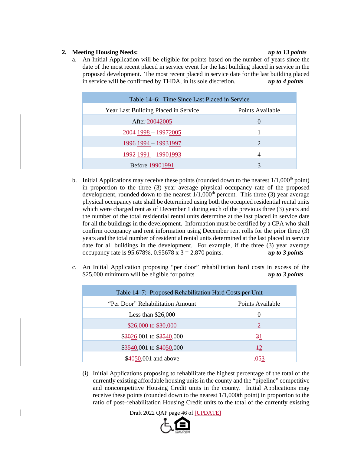### **2. Meeting Housing Needs:** *up to 13 points*

a. An Initial Application will be eligible for points based on the number of years since the date of the most recent placed in service event for the last building placed in service in the proposed development. The most recent placed in service date for the last building placed in service will be confirmed by THDA, in its sole discretion. *up to 4 points*

| Table 14–6: Time Since Last Placed in Service |                  |
|-----------------------------------------------|------------------|
| Year Last Building Placed in Service          | Points Available |
| After 20042005                                | $\theta$         |
| $2004 - 1998 - 19972005$                      |                  |
| 1996-1994 - 19931997                          | $\overline{2}$   |
| 1992-1991 - 19901993                          | 4                |
| Before 19901991                               | 3                |

- b. Initial Applications may receive these points (rounded down to the nearest  $1/1,000<sup>th</sup>$  point) in proportion to the three (3) year average physical occupancy rate of the proposed development, rounded down to the nearest  $1/1,000<sup>th</sup>$  percent. This three (3) year average physical occupancy rate shall be determined using both the occupied residential rental units which were charged rent as of December 1 during each of the previous three (3) years and the number of the total residential rental units determine at the last placed in service date for all the buildings in the development. Information must be certified by a CPA who shall confirm occupancy and rent information using December rent rolls for the prior three (3) years and the total number of residential rental units determined at the last placed in service date for all buildings in the development. For example, if the three (3) year average occupancy rate is  $95.678\%$ ,  $0.95678 \times 3 = 2.870$  points. *up to 3 points*
- c. An Initial Application proposing "per door" rehabilitation hard costs in excess of the \$25,000 minimum will be eligible for points *up to 3 points*

| Table 14–7: Proposed Rehabilitation Hard Costs per Unit |                  |
|---------------------------------------------------------|------------------|
| "Per Door" Rehabilitation Amount                        | Points Available |
| Less than $$26,000$                                     | $\left($         |
| \$26,000 to \$30,000                                    | $\mathfrak{D}$   |
| $$3026,001$ to $$3540,000$                              | 31               |
| \$3540,001 to \$4050,000                                | $+2$             |
| \$4050,001 and above                                    |                  |

(i) Initial Applications proposing to rehabilitate the highest percentage of the total of the currently existing affordable housing units in the county and the "pipeline" competitive and noncompetitive Housing Credit units in the county. Initial Applications may receive these points (rounded down to the nearest 1/1,000th point) in proportion to the ratio of post–rehabilitation Housing Credit units to the total of the currently existing

Draft 2022 QAP page 46 of [UPDATE]

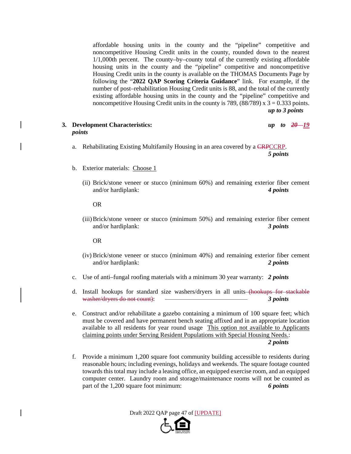affordable housing units in the county and the "pipeline" competitive and noncompetitive Housing Credit units in the county, rounded down to the nearest 1/1,000th percent. The county–by–county total of the currently existing affordable housing units in the county and the "pipeline" competitive and noncompetitive Housing Credit units in the county is available on the THOMAS Documents Page by following the "**2022 QAP Scoring Criteria Guidance**" link. For example, if the number of post–rehabilitation Housing Credit units is 88, and the total of the currently existing affordable housing units in the county and the "pipeline" competitive and noncompetitive Housing Credit units in the county is 789,  $(88/789)$  x 3 = 0.333 points. *up to 3 points*

#### **3. Development Characteristics:** *up to 20 19 points*

a. Rehabilitating Existing Multifamily Housing in an area covered by a CRPCCRP.

*5 points* 

- b. Exterior materials: Choose 1
	- (ii) Brick/stone veneer or stucco (minimum 60%) and remaining exterior fiber cement and/or hardiplank: *4 points*

OR

(iii)Brick/stone veneer or stucco (minimum 50%) and remaining exterior fiber cement and/or hardiplank: *3 points*

OR

- (iv) Brick/stone veneer or stucco (minimum 40%) and remaining exterior fiber cement and/or hardiplank: *2 points*
- c. Use of anti–fungal roofing materials with a minimum 30 year warranty: *2 points*
- d. Install hookups for standard size washers/dryers in all units (hookups for stackable washer/dryers do not count): *3 points*
- e. Construct and/or rehabilitate a gazebo containing a minimum of 100 square feet; which must be covered and have permanent bench seating affixed and in an appropriate location available to all residents for year round usage This option not available to Applicants claiming points under Serving Resident Populations with Special Housing Needs.: *2 points*
- f. Provide a minimum 1,200 square foot community building accessible to residents during reasonable hours; including evenings, holidays and weekends. The square footage counted towards this total may include a leasing office, an equipped exercise room, and an equipped computer center. Laundry room and storage/maintenance rooms will not be counted as part of the 1,200 square foot minimum: *6 points*

Draft 2022 QAP page 47 of [UPDATE]

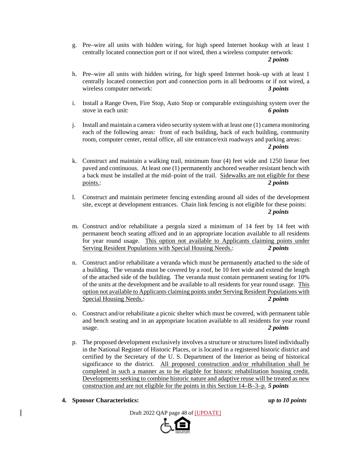g. Pre–wire all units with hidden wiring, for high speed Internet hookup with at least 1 centrally located connection port or if not wired, then a wireless computer network: *2 points*

- 
- h. Pre–wire all units with hidden wiring, for high speed Internet hook–up with at least 1 centrally located connection port and connection ports in all bedrooms or if not wired, a wireless computer network: *3 points*
- i. Install a Range Oven, Fire Stop, Auto Stop or comparable extinguishing system over the stove in each unit: *6 points*
- j. Install and maintain a camera video security system with at least one (1) camera monitoring each of the following areas: front of each building, back of each building, community room, computer center, rental office, all site entrance/exit roadways and parking areas: *2 points*
- k. Construct and maintain a walking trail, minimum four (4) feet wide and 1250 linear feet paved and continuous. At least one (1) permanently anchored weather resistant bench with a back must be installed at the mid–point of the trail. Sidewalks are not eligible for these points.: *2 points*
- l. Construct and maintain perimeter fencing extending around all sides of the development site, except at development entrances. Chain link fencing is not eligible for these points: *2 points*
- m. Construct and/or rehabilitate a pergola sized a minimum of 14 feet by 14 feet with permanent bench seating affixed and in an appropriate location available to all residents for year round usage. This option not available to Applicants claiming points under Serving Resident Populations with Special Housing Needs.: *2 points*
- n. Construct and/or rehabilitate a veranda which must be permanently attached to the side of a building. The veranda must be covered by a roof, be 10 feet wide and extend the length of the attached side of the building. The veranda must contain permanent seating for 10% of the units at the development and be available to all residents for year round usage. This option not available to Applicants claiming points under Serving Resident Populations with Special Housing Needs.: *2 points*
- o. Construct and/or rehabilitate a picnic shelter which must be covered, with permanent table and bench seating and in an appropriate location available to all residents for year round usage. *2 points*
- p. The proposed development exclusively involves a structure or structures listed individually in the National Register of Historic Places, or is located in a registered historic district and certified by the Secretary of the U. S. Department of the Interior as being of historical significance to the district. All proposed construction and/or rehabilitation shall be completed in such a manner as to be eligible for historic rehabilitation housing credit. Developments seeking to combine historic nature and adaptive reuse will be treated as new construction and are not eligible for the points in this Section 14–B–3–p. *5 points*
- **4. Sponsor Characteristics:** *up to 10 points*



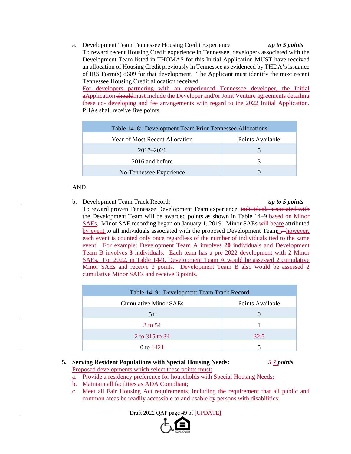a. Development Team Tennessee Housing Credit Experience *up to 5 points* To reward recent Housing Credit experience in Tennessee, developers associated with the Development Team listed in THOMAS for this Initial Application MUST have received an allocation of Housing Credit previously in Tennessee as evidenced by THDA's issuance of IRS Form(s) 8609 for that development. The Applicant must identify the most recent Tennessee Housing Credit allocation received. For developers partnering with an experienced Tennessee developer, the Initial

aApplication shouldmust include the Developer and/or Joint Venture agreements detailing these co- developing and fee arrangements with regard to the 2022 Initial Application. PHAs shall receive five points.

| Table 14–8: Development Team Prior Tennessee Allocations |                  |
|----------------------------------------------------------|------------------|
| Year of Most Recent Allocation                           | Points Available |
| $2017 - 2021$                                            |                  |
| 2016 and before                                          | 3                |
| No Tennessee Experience                                  |                  |

### AND

b. Development Team Track Record: *up to 5 points*

To reward proven Tennessee Development Team experience, individuals associated with the Development Team will be awarded points as shown in Table 14–9 based on Minor SAEs. Minor SAE recording began on January 1, 2019. Minor SAEs will beare attributed by event to all individuals associated with the proposed Development Team;  $\rightarrow$  however, each event is counted only once regardless of the number of individuals tied to the same event. For example: Development Team A involves **20** individuals and Development Team B involves **3** individuals. Each team has a pre-2022 development with 2 Minor SAEs. For 2022, in Table 14-9, Development Team A would be assessed 2 cumulative Minor SAEs and receive 3 points. Development Team B also would be assessed 2 cumulative Minor SAEs and receive 3 points.

| Table 14–9: Development Team Track Record |                  |
|-------------------------------------------|------------------|
| <b>Cumulative Minor SAEs</b>              | Points Available |
| $5+$                                      |                  |
| $3 + 654$                                 |                  |
| 2 to $315$ to $34$                        | 32.5             |
| 0 to $\frac{1421}{2}$                     |                  |

# **5. Serving Resident Populations with Special Housing Needs:** *5 7 points* Proposed developments which select these points must:

- a. Provide a residency preference for households with Special Housing Needs;
- b. Maintain all facilities as ADA Compliant;
- c. Meet all Fair Housing Act requirements, including the requirement that all public and common areas be readily accessible to and usable by persons with disabilities;

Draft 2022 QAP page 49 of [UPDATE]

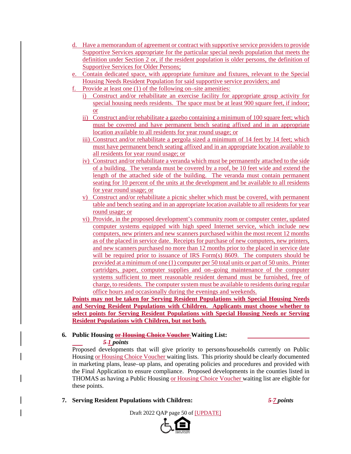- d. Have a memorandum of agreement or contract with supportive service providers to provide Supportive Services appropriate for the particular special needs population that meets the definition under Section 2 or, if the resident population is older persons, the definition of Supportive Services for Older Persons;
- e. Contain dedicated space, with appropriate furniture and fixtures, relevant to the Special Housing Needs Resident Population for said supportive service providers; and
- f. Provide at least one (1) of the following on–site amenities:
	- i) Construct and/or rehabilitate an exercise facility for appropriate group activity for special housing needs residents. The space must be at least 900 square feet, if indoor; or
	- ii) Construct and/or rehabilitate a gazebo containing a minimum of 100 square feet; which must be covered and have permanent bench seating affixed and in an appropriate location available to all residents for year round usage; or
	- iii) Construct and/or rehabilitate a pergola sized a minimum of 14 feet by 14 feet; which must have permanent bench seating affixed and in an appropriate location available to all residents for year round usage; or
	- iv) Construct and/or rehabilitate a veranda which must be permanently attached to the side of a building. The veranda must be covered by a roof, be 10 feet wide and extend the length of the attached side of the building. The veranda must contain permanent seating for 10 percent of the units at the development and be available to all residents for year round usage; or
	- v) Construct and/or rehabilitate a picnic shelter which must be covered, with permanent table and bench seating and in an appropriate location available to all residents for year round usage; or
	- vi) Provide, in the proposed development's community room or computer center, updated computer systems equipped with high speed Internet service, which include new computers, new printers and new scanners purchased within the most recent 12 months as of the placed in service date. Receipts for purchase of new computers, new printers, and new scanners purchased no more than 12 months prior to the placed in service date will be required prior to issuance of IRS Form(s) 8609. The computers should be provided at a minimum of one (1) computer per 50 total units or part of 50 units. Printer cartridges, paper, computer supplies and on–going maintenance of the computer systems sufficient to meet reasonable resident demand must be furnished, free of charge, to residents. The computer system must be available to residents during regular office hours and occasionally during the evenings and weekends.

**Points may not be taken for Serving Resident Populations with Special Housing Needs and Serving Resident Populations with Children. Applicants must choose whether to select points for Serving Resident Populations with Special Housing Needs or Serving Resident Populations with Children, but not both.** 

# **6. Public Housing or Housing Choice Voucher Waiting List:**

*5 1 points*

Proposed developments that will give priority to persons/households currently on Public Housing or Housing Choice Voucher waiting lists. This priority should be clearly documented in marketing plans, lease–up plans, and operating policies and procedures and provided with the Final Application to ensure compliance. Proposed developments in the counties listed in THOMAS as having a Public Housing or Housing Choice Voucher waiting list are eligible for these points.

**7. Serving Resident Populations with Children:** *5 7 points*

Draft 2022 QAP page 50 of [UPDATE]

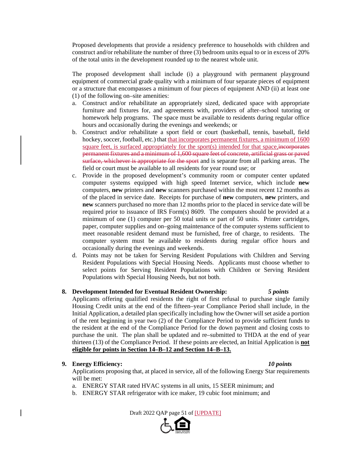Proposed developments that provide a residency preference to households with children and construct and/or rehabilitate the number of three (3) bedroom units equal to or in excess of 20% of the total units in the development rounded up to the nearest whole unit.

The proposed development shall include (i) a playground with permanent playground equipment of commercial grade quality with a minimum of four separate pieces of equipment or a structure that encompasses a minimum of four pieces of equipment AND (ii) at least one (1) of the following on–site amenities:

- a. Construct and/or rehabilitate an appropriately sized, dedicated space with appropriate furniture and fixtures for, and agreements with, providers of after–school tutoring or homework help programs. The space must be available to residents during regular office hours and occasionally during the evenings and weekends; or
- b. Construct and/or rehabilitate a sport field or court (basketball, tennis, baseball, field hockey, soccer, football, etc.) that that incorporates permanent fixtures, a minimum of 1600 square feet, is surfaced appropriately for the sport $(s)$  intended for that space, incorporates permanent fixtures and a minimum of 1,600 square feet of concrete, artificial grass or paved surface, whichever is appropriate for the sport and is separate from all parking areas. The field or court must be available to all residents for year round use; or
- c. Provide in the proposed development's community room or computer center updated computer systems equipped with high speed Internet service, which include **new** computers, **new** printers and **new** scanners purchased within the most recent 12 months as of the placed in service date. Receipts for purchase of **new** computers, **new** printers, and **new** scanners purchased no more than 12 months prior to the placed in service date will be required prior to issuance of IRS Form(s) 8609. The computers should be provided at a minimum of one (1) computer per 50 total units or part of 50 units. Printer cartridges, paper, computer supplies and on–going maintenance of the computer systems sufficient to meet reasonable resident demand must be furnished, free of charge, to residents. The computer system must be available to residents during regular office hours and occasionally during the evenings and weekends.
- d. Points may not be taken for Serving Resident Populations with Children and Serving Resident Populations with Special Housing Needs. Applicants must choose whether to select points for Serving Resident Populations with Children or Serving Resident Populations with Special Housing Needs, but not both.

### **8. Development Intended for Eventual Resident Ownership:** *5 points*

Applicants offering qualified residents the right of first refusal to purchase single family Housing Credit units at the end of the fifteen–year Compliance Period shall include, in the Initial Application, a detailed plan specifically including how the Owner will set aside a portion of the rent beginning in year two (2) of the Compliance Period to provide sufficient funds to the resident at the end of the Compliance Period for the down payment and closing costs to purchase the unit. The plan shall be updated and re–submitted to THDA at the end of year thirteen (13) of the Compliance Period. If these points are elected, an Initial Application is **not eligible for points in Section 14–B–12 and Section 14–B–13.** 

#### **9. Energy Efficiency:** *10 points*

Applications proposing that, at placed in service, all of the following Energy Star requirements will be met:

- a. ENERGY STAR rated HVAC systems in all units, 15 SEER minimum; and
- b. ENERGY STAR refrigerator with ice maker, 19 cubic foot minimum; and

Draft 2022 QAP page 51 of [UPDATE]

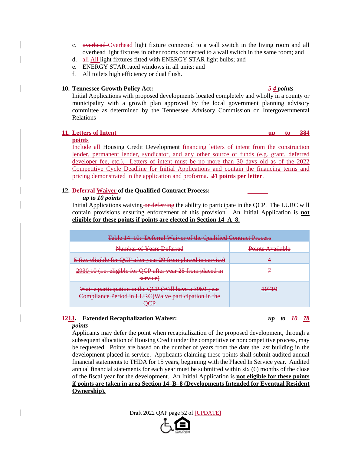- c. overhead Overhead light fixture connected to a wall switch in the living room and all overhead light fixtures in other rooms connected to a wall switch in the same room; and
- d. all All light fixtures fitted with ENERGY STAR light bulbs; and
- e. ENERGY STAR rated windows in all units; and
- f. All toilets high efficiency or dual flush.

#### **10. Tennessee Growth Policy Act:** *5 4 points*

Initial Applications with proposed developments located completely and wholly in a county or municipality with a growth plan approved by the local government planning advisory committee as determined by the Tennessee Advisory Commission on Intergovernmental Relations

#### **11.** Letters of Intent up to 384

# **points**

Include all Housing Credit Development financing letters of intent from the construction lender, permanent lender, syndicator, and any other source of funds (e.g. grant, deferred developer fee, etc.). Letters of intent must be no more than 30 days old as of the 2022 Competitive Cycle Deadline for Initial Applications and contain the financing terms and pricing demonstrated in the application and proforma. **21 points per letter**.

### **12. Deferral Waiver of the Qualified Contract Process:**

#### *up to 10 points*

Initial Applications waiving or deferring the ability to participate in the QCP. The LURC will contain provisions ensuring enforcement of this provision. An Initial Application is **not eligible for these points if points are elected in Section 14–A–8.**

| <b>Table 14 10: Deferral Waiver of the Qualified Contract Process</b>                                         |                  |
|---------------------------------------------------------------------------------------------------------------|------------------|
| Number of Years Deferred                                                                                      | Points Available |
| 5 (i.e. eligible for QCP after year 20 from placed in service)                                                |                  |
| 2930 10 (i.e. eligible for QCP after year 25 from placed in<br>service)                                       |                  |
| Waive participation in the QCP (Will have a 3050 year<br>Compliance Period in LURC)Waive participation in the |                  |

# **1213. Extended Recapitalization Waiver:** *up to 10 78*

#### *points*

Applicants may defer the point when recapitalization of the proposed development, through a subsequent allocation of Housing Credit under the competitive or noncompetitive process, may be requested. Points are based on the number of years from the date the last building in the development placed in service. Applicants claiming these points shall submit audited annual financial statements to THDA for 15 years, beginning with the Placed In Service year. Audited annual financial statements for each year must be submitted within six (6) months of the close of the fiscal year for the development. An Initial Application is **not eligible for these points if points are taken in area Section 14–B–8 (Developments Intended for Eventual Resident Ownership).** 

Draft 2022 QAP page 52 of [UPDATE]

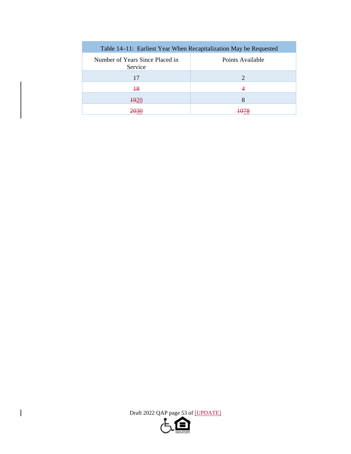| Table 14–11: Earliest Year When Recapitalization May be Requested |                  |
|-------------------------------------------------------------------|------------------|
| Number of Years Since Placed in<br>Service                        | Points Available |
| 17                                                                | 2                |
| $\overline{18}$                                                   |                  |
| <del>19</del> 20                                                  | 8                |
|                                                                   |                  |

Draft 2022 QAP page 53 of [UPDATE]

 $\begin{array}{c} \hline \end{array}$ 

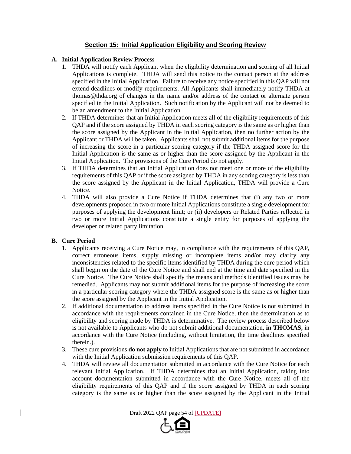# **Section 15: Initial Application Eligibility and Scoring Review**

### **A. Initial Application Review Process**

- 1. THDA will notify each Applicant when the eligibility determination and scoring of all Initial Applications is complete. THDA will send this notice to the contact person at the address specified in the Initial Application. Failure to receive any notice specified in this QAP will not extend deadlines or modify requirements. All Applicants shall immediately notify THDA at thomas@thda.org of changes in the name and/or address of the contact or alternate person specified in the Initial Application. Such notification by the Applicant will not be deemed to be an amendment to the Initial Application.
- 2. If THDA determines that an Initial Application meets all of the eligibility requirements of this QAP and if the score assigned by THDA in each scoring category is the same as or higher than the score assigned by the Applicant in the Initial Application, then no further action by the Applicant or THDA will be taken. Applicants shall not submit additional items for the purpose of increasing the score in a particular scoring category if the THDA assigned score for the Initial Application is the same as or higher than the score assigned by the Applicant in the Initial Application. The provisions of the Cure Period do not apply.
- 3. If THDA determines that an Initial Application does not meet one or more of the eligibility requirements of this QAP or if the score assigned by THDA in any scoring category is less than the score assigned by the Applicant in the Initial Application, THDA will provide a Cure Notice.
- 4. THDA will also provide a Cure Notice if THDA determines that (i) any two or more developments proposed in two or more Initial Applications constitute a single development for purposes of applying the development limit; or (ii) developers or Related Parties reflected in two or more Initial Applications constitute a single entity for purposes of applying the developer or related party limitation

### **B. Cure Period**

- 1. Applicants receiving a Cure Notice may, in compliance with the requirements of this QAP, correct erroneous items, supply missing or incomplete items and/or may clarify any inconsistencies related to the specific items identified by THDA during the cure period which shall begin on the date of the Cure Notice and shall end at the time and date specified in the Cure Notice. The Cure Notice shall specify the means and methods identified issues may be remedied. Applicants may not submit additional items for the purpose of increasing the score in a particular scoring category where the THDA assigned score is the same as or higher than the score assigned by the Applicant in the Initial Application.
- 2. If additional documentation to address items specified in the Cure Notice is not submitted in accordance with the requirements contained in the Cure Notice, then the determination as to eligibility and scoring made by THDA is determinative. The review process described below is not available to Applicants who do not submit additional documentation, **in THOMAS,** in accordance with the Cure Notice (including, without limitation, the time deadlines specified therein.).
- 3. These cure provisions **do not apply** to Initial Applications that are not submitted in accordance with the Initial Application submission requirements of this QAP.
- 4. THDA will review all documentation submitted in accordance with the Cure Notice for each relevant Initial Application. If THDA determines that an Initial Application, taking into account documentation submitted in accordance with the Cure Notice, meets all of the eligibility requirements of this QAP and if the score assigned by THDA in each scoring category is the same as or higher than the score assigned by the Applicant in the Initial

Draft 2022 QAP page 54 of [UPDATE]

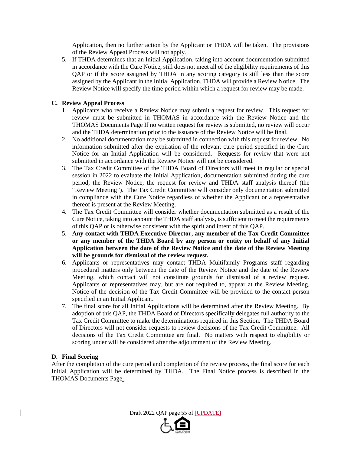Application, then no further action by the Applicant or THDA will be taken. The provisions of the Review Appeal Process will not apply.

5. If THDA determines that an Initial Application, taking into account documentation submitted in accordance with the Cure Notice, still does not meet all of the eligibility requirements of this QAP or if the score assigned by THDA in any scoring category is still less than the score assigned by the Applicant in the Initial Application, THDA will provide a Review Notice. The Review Notice will specify the time period within which a request for review may be made.

### **C. Review Appeal Process**

- 1. Applicants who receive a Review Notice may submit a request for review. This request for review must be submitted in THOMAS in accordance with the Review Notice and the THOMAS Documents Page If no written request for review is submitted, no review will occur and the THDA determination prior to the issuance of the Review Notice will be final.
- 2. No additional documentation may be submitted in connection with this request for review. No information submitted after the expiration of the relevant cure period specified in the Cure Notice for an Initial Application will be considered. Requests for review that were not submitted in accordance with the Review Notice will not be considered.
- 3. The Tax Credit Committee of the THDA Board of Directors will meet in regular or special session in 2022 to evaluate the Initial Application, documentation submitted during the cure period, the Review Notice, the request for review and THDA staff analysis thereof (the "Review Meeting"). The Tax Credit Committee will consider only documentation submitted in compliance with the Cure Notice regardless of whether the Applicant or a representative thereof is present at the Review Meeting.
- 4. The Tax Credit Committee will consider whether documentation submitted as a result of the Cure Notice, taking into account the THDA staff analysis, is sufficient to meet the requirements of this QAP or is otherwise consistent with the spirit and intent of this QAP.
- 5. **Any contact with THDA Executive Director, any member of the Tax Credit Committee or any member of the THDA Board by any person or entity on behalf of any Initial Application between the date of the Review Notice and the date of the Review Meeting will be grounds for dismissal of the review request.**
- 6. Applicants or representatives may contact THDA Multifamily Programs staff regarding procedural matters only between the date of the Review Notice and the date of the Review Meeting, which contact will not constitute grounds for dismissal of a review request. Applicants or representatives may, but are not required to, appear at the Review Meeting. Notice of the decision of the Tax Credit Committee will be provided to the contact person specified in an Initial Applicant.
- 7. The final score for all Initial Applications will be determined after the Review Meeting. By adoption of this QAP, the THDA Board of Directors specifically delegates full authority to the Tax Credit Committee to make the determinations required in this Section. The THDA Board of Directors will not consider requests to review decisions of the Tax Credit Committee. All decisions of the Tax Credit Committee are final. No matters with respect to eligibility or scoring under will be considered after the adjournment of the Review Meeting.

### **D. Final Scoring**

After the completion of the cure period and completion of the review process, the final score for each Initial Application will be determined by THDA. The Final Notice process is described in the THOMAS Documents Page.

Draft 2022 QAP page 55 of [UPDATE]

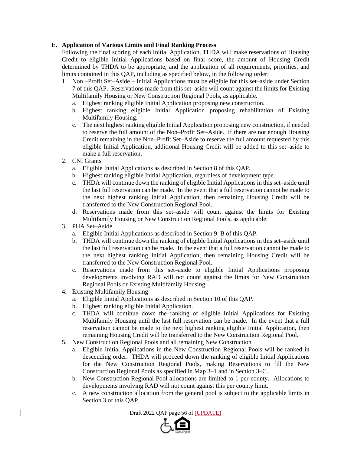# **E. Application of Various Limits and Final Ranking Process**

Following the final scoring of each Initial Application, THDA will make reservations of Housing Credit to eligible Initial Applications based on final score, the amount of Housing Credit determined by THDA to be appropriate, and the application of all requirements, priorities, and limits contained in this QAP, including as specified below, in the following order:

- 1. Non –Profit Set–Aside Initial Applications must be eligible for this set–aside under Section 7 of this QAP. Reservations made from this set–aside will count against the limits for Existing Multifamily Housing or New Construction Regional Pools, as applicable.
	- a. Highest ranking eligible Initial Application proposing new construction.
	- b. Highest ranking eligible Initial Application proposing rehabilitation of Existing Multifamily Housing.
	- c. The next highest ranking eligible Initial Application proposing new construction, if needed to reserve the full amount of the Non–Profit Set–Aside. If there are not enough Housing Credit remaining in the Non–Profit Set–Aside to reserve the full amount requested by this eligible Initial Application, additional Housing Credit will be added to this set–aside to make a full reservation.
- 2. CNI Grants
	- a. Eligible Initial Applications as described in Section 8 of this QAP.
	- b. Highest ranking eligible Initial Application, regardless of development type.
	- c. THDA will continue down the ranking of eligible Initial Applications in this set–aside until the last full reservation can be made. In the event that a full reservation cannot be made to the next highest ranking Initial Application, then remaining Housing Credit will be transferred to the New Construction Regional Pool.
	- d. Reservations made from this set–aside will count against the limits for Existing Multifamily Housing or New Construction Regional Pools, as applicable.
- 3. PHA Set–Aside
	- a. Eligible Initial Applications as described in Section 9–B of this QAP.
	- b. THDA will continue down the ranking of eligible Initial Applications in this set–aside until the last full reservation can be made. In the event that a full reservation cannot be made to the next highest ranking Initial Application, then remaining Housing Credit will be transferred to the New Construction Regional Pool.
	- c. Reservations made from this set–aside to eligible Initial Applications proposing developments involving RAD will not count against the limits for New Construction Regional Pools or Existing Multifamily Housing.
- 4. Existing Multifamily Housing
	- a. Eligible Initial Applications as described in Section 10 of this QAP.
	- b. Highest ranking eligible Initial Application.
	- c. THDA will continue down the ranking of eligible Initial Applications for Existing Multifamily Housing until the last full reservation can be made. In the event that a full reservation cannot be made to the next highest ranking eligible Initial Application, then remaining Housing Credit will be transferred to the New Construction Regional Pool.
- 5. New Construction Regional Pools and all remaining New Construction
	- a. Eligible Initial Applications in the New Construction Regional Pools will be ranked in descending order. THDA will proceed down the ranking of eligible Initial Applications for the New Construction Regional Pools, making Reservations to fill the New Construction Regional Pools as specified in Map 3–1 and in Section 3–C.
	- b. New Construction Regional Pool allocations are limited to 1 per county. Allocations to developments involving RAD will not count against this per county limit.
	- c. A new construction allocation from the general pool is subject to the applicable limits in Section 3 of this QAP.

Draft 2022 QAP page 56 of [UPDATE]

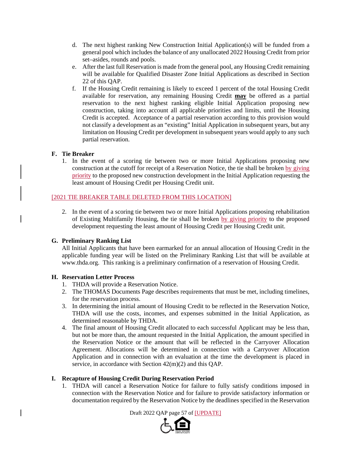- d. The next highest ranking New Construction Initial Application(s) will be funded from a general pool which includes the balance of any unallocated 2022 Housing Credit from prior set–asides, rounds and pools.
- e. After the last full Reservation is made from the general pool, any Housing Credit remaining will be available for Qualified Disaster Zone Initial Applications as described in Section 22 of this QAP.
- f. If the Housing Credit remaining is likely to exceed 1 percent of the total Housing Credit available for reservation, any remaining Housing Credit **may** be offered as a partial reservation to the next highest ranking eligible Initial Application proposing new construction, taking into account all applicable priorities and limits, until the Housing Credit is accepted. Acceptance of a partial reservation according to this provision would not classify a development as an "existing" Initial Application in subsequent years, but any limitation on Housing Credit per development in subsequent years would apply to any such partial reservation.

# **F. Tie Breaker**

1. In the event of a scoring tie between two or more Initial Applications proposing new construction at the cutoff for receipt of a Reservation Notice, the tie shall be broken by giving priority to the proposed new construction development in the Initial Application requesting the least amount of Housing Credit per Housing Credit unit.

# [2021 TIE BREAKER TABLE DELETED FROM THIS LOCATION]

2. In the event of a scoring tie between two or more Initial Applications proposing rehabilitation of Existing Multifamily Housing, the tie shall be broken by giving priority to the proposed development requesting the least amount of Housing Credit per Housing Credit unit.

# **G. Preliminary Ranking List**

All Initial Applicants that have been earmarked for an annual allocation of Housing Credit in the applicable funding year will be listed on the Preliminary Ranking List that will be available at www.thda.org. This ranking is a preliminary confirmation of a reservation of Housing Credit.

### **H. Reservation Letter Process**

- 1. THDA will provide a Reservation Notice.
- 2. The THOMAS Documents Page describes requirements that must be met, including timelines, for the reservation process.
- 3. In determining the initial amount of Housing Credit to be reflected in the Reservation Notice, THDA will use the costs, incomes, and expenses submitted in the Initial Application, as determined reasonable by THDA.
- 4. The final amount of Housing Credit allocated to each successful Applicant may be less than, but not be more than, the amount requested in the Initial Application, the amount specified in the Reservation Notice or the amount that will be reflected in the Carryover Allocation Agreement. Allocations will be determined in connection with a Carryover Allocation Application and in connection with an evaluation at the time the development is placed in service, in accordance with Section 42(m)(2) and this QAP.

### **I. Recapture of Housing Credit During Reservation Period**

1. THDA will cancel a Reservation Notice for failure to fully satisfy conditions imposed in connection with the Reservation Notice and for failure to provide satisfactory information or documentation required by the Reservation Notice by the deadlines specified in the Reservation

Draft 2022 QAP page 57 of [UPDATE]

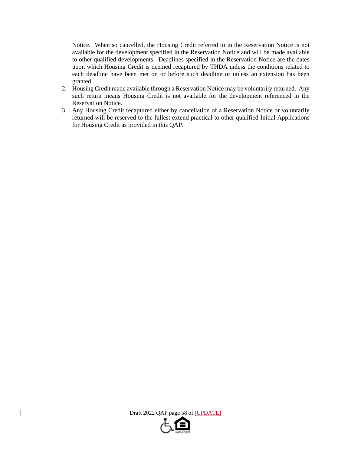Notice. When so cancelled, the Housing Credit referred to in the Reservation Notice is not available for the development specified in the Reservation Notice and will be made available to other qualified developments. Deadlines specified in the Reservation Notice are the dates upon which Housing Credit is deemed recaptured by THDA unless the conditions related to each deadline have been met on or before such deadline or unless an extension has been granted.

- 2. Housing Credit made available through a Reservation Notice may be voluntarily returned. Any such return means Housing Credit is not available for the development referenced in the Reservation Notice.
- 3. Any Housing Credit recaptured either by cancellation of a Reservation Notice or voluntarily returned will be reserved to the fullest extend practical to other qualified Initial Applications for Housing Credit as provided in this QAP.

Draft 2022 QAP page 58 of [UPDATE]

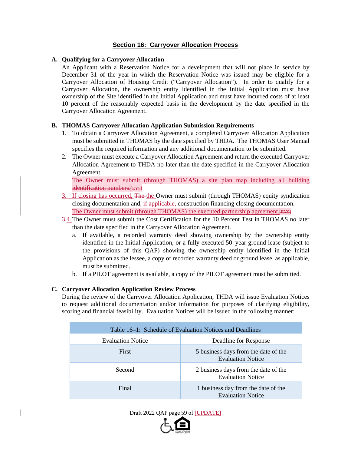# **Section 16: Carryover Allocation Process**

### **A. Qualifying for a Carryover Allocation**

An Applicant with a Reservation Notice for a development that will not place in service by December 31 of the year in which the Reservation Notice was issued may be eligible for a Carryover Allocation of Housing Credit ("Carryover Allocation"). In order to qualify for a Carryover Allocation, the ownership entity identified in the Initial Application must have ownership of the Site identified in the Initial Application and must have incurred costs of at least 10 percent of the reasonably expected basis in the development by the date specified in the Carryover Allocation Agreement.

# **B. THOMAS Carryover Allocation Application Submission Requirements**

- 1. To obtain a Carryover Allocation Agreement, a completed Carryover Allocation Application must be submitted in THOMAS by the date specified by THDA. The THOMAS User Manual specifies the required information and any additional documentation to be submitted.
- 2. The Owner must execute a Carryover Allocation Agreement and return the executed Carryover Allocation Agreement to THDA no later than the date specified in the Carryover Allocation Agreement.
- The Owner must submit (through THOMAS) a site plan map including all building identification numbers.**[EY8]**
- 3. If closing has occurred, The the Owner must submit (through THOMAS) equity syndication closing documentation and<del>, if applicable,</del> construction financing closing documentation. The Owner must submit (through THOMAS) the executed partnership agreement. [EY9]
- 3.4.The Owner must submit the Cost Certification for the 10 Percent Test in THOMAS no later than the date specified in the Carryover Allocation Agreement.
	- a. If available, a recorded warranty deed showing ownership by the ownership entity identified in the Initial Application, or a fully executed 50–year ground lease (subject to the provisions of this QAP) showing the ownership entity identified in the Initial Application as the lessee, a copy of recorded warranty deed or ground lease, as applicable, must be submitted.
	- b. If a PILOT agreement is available, a copy of the PILOT agreement must be submitted.

### **C. Carryover Allocation Application Review Process**

During the review of the Carryover Allocation Application, THDA will issue Evaluation Notices to request additional documentation and/or information for purposes of clarifying eligibility, scoring and financial feasibility. Evaluation Notices will be issued in the following manner:

| Table 16–1: Schedule of Evaluation Notices and Deadlines |                                                                  |
|----------------------------------------------------------|------------------------------------------------------------------|
| <b>Evaluation Notice</b>                                 | Deadline for Response                                            |
| First                                                    | 5 business days from the date of the<br><b>Evaluation Notice</b> |
| Second                                                   | 2 business days from the date of the<br><b>Evaluation Notice</b> |
| Final                                                    | 1 business day from the date of the<br><b>Evaluation Notice</b>  |

Draft 2022 QAP page 59 of [UPDATE]

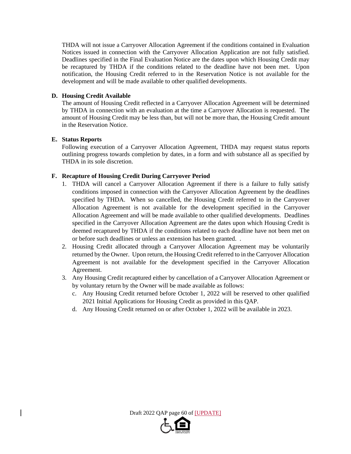THDA will not issue a Carryover Allocation Agreement if the conditions contained in Evaluation Notices issued in connection with the Carryover Allocation Application are not fully satisfied. Deadlines specified in the Final Evaluation Notice are the dates upon which Housing Credit may be recaptured by THDA if the conditions related to the deadline have not been met. Upon notification, the Housing Credit referred to in the Reservation Notice is not available for the development and will be made available to other qualified developments.

### **D. Housing Credit Available**

The amount of Housing Credit reflected in a Carryover Allocation Agreement will be determined by THDA in connection with an evaluation at the time a Carryover Allocation is requested. The amount of Housing Credit may be less than, but will not be more than, the Housing Credit amount in the Reservation Notice.

### **E. Status Reports**

Following execution of a Carryover Allocation Agreement, THDA may request status reports outlining progress towards completion by dates, in a form and with substance all as specified by THDA in its sole discretion.

# **F. Recapture of Housing Credit During Carryover Period**

- 1. THDA will cancel a Carryover Allocation Agreement if there is a failure to fully satisfy conditions imposed in connection with the Carryover Allocation Agreement by the deadlines specified by THDA. When so cancelled, the Housing Credit referred to in the Carryover Allocation Agreement is not available for the development specified in the Carryover Allocation Agreement and will be made available to other qualified developments. Deadlines specified in the Carryover Allocation Agreement are the dates upon which Housing Credit is deemed recaptured by THDA if the conditions related to each deadline have not been met on or before such deadlines or unless an extension has been granted. .
- 2. Housing Credit allocated through a Carryover Allocation Agreement may be voluntarily returned by the Owner. Upon return, the Housing Credit referred to in the Carryover Allocation Agreement is not available for the development specified in the Carryover Allocation Agreement.
- 3. Any Housing Credit recaptured either by cancellation of a Carryover Allocation Agreement or by voluntary return by the Owner will be made available as follows:
	- c. Any Housing Credit returned before October 1, 2022 will be reserved to other qualified 2021 Initial Applications for Housing Credit as provided in this QAP.
	- d. Any Housing Credit returned on or after October 1, 2022 will be available in 2023.

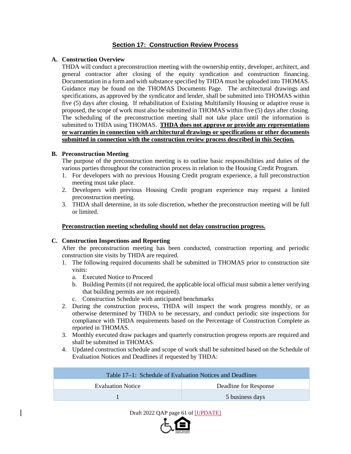# **Section 17: Construction Review Process**

# **A. Construction Overview**

THDA will conduct a preconstruction meeting with the ownership entity, developer, architect, and general contractor after closing of the equity syndication and construction financing. Documentation in a form and with substance specified by THDA must be uploaded into THOMAS. Guidance may be found on the THOMAS Documents Page. The architectural drawings and specifications, as approved by the syndicator and lender, shall be submitted into THOMAS within five (5) days after closing. If rehabilitation of Existing Multifamily Housing or adaptive reuse is proposed, the scope of work must also be submitted in THOMAS within five (5) days after closing. The scheduling of the preconstruction meeting shall not take place until the information is submitted to THDA using THOMAS. **THDA does not approve or provide any representations or warranties in connection with architectural drawings or specifications or other documents submitted in connection with the construction review process described in this Section.**

# **B. Preconstruction Meeting**

The purpose of the preconstruction meeting is to outline basic responsibilities and duties of the various parties throughout the construction process in relation to the Housing Credit Program.

- 1. For developers with no previous Housing Credit program experience, a full preconstruction meeting must take place.
- 2. Developers with previous Housing Credit program experience may request a limited preconstruction meeting.
- 3. THDA shall determine, in its sole discretion, whether the preconstruction meeting will be full or limited.

### **Preconstruction meeting scheduling should not delay construction progress.**

### **C. Construction Inspections and Reporting**

After the preconstruction meeting has been conducted, construction reporting and periodic construction site visits by THDA are required.

- 1. The following required documents shall be submitted in THOMAS prior to construction site visits:
	- a. Executed Notice to Proceed
	- b. Building Permits (if not required, the applicable local official must submit a letter verifying that building permits are not required).
	- c. Construction Schedule with anticipated benchmarks
- 2. During the construction process, THDA will inspect the work progress monthly, or as otherwise determined by THDA to be necessary, and conduct periodic site inspections for compliance with THDA requirements based on the Percentage of Construction Complete as reported in THOMAS.
- 3. Monthly executed draw packages and quarterly construction progress reports are required and shall be submitted in THOMAS.
- 4. Updated construction schedule and scope of work shall be submitted based on the Schedule of Evaluation Notices and Deadlines if requested by THDA:

| Table 17–1: Schedule of Evaluation Notices and Deadlines |                       |
|----------------------------------------------------------|-----------------------|
| Evaluation Notice                                        | Deadline for Response |
|                                                          | 5 business days       |



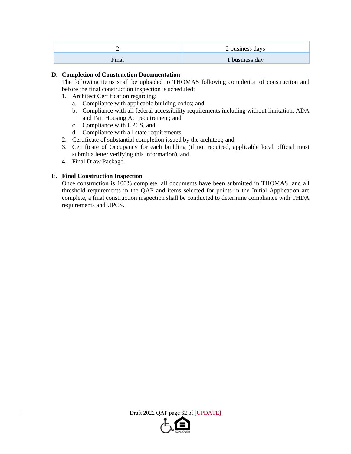| -     | 2 business days |
|-------|-----------------|
| Final | 1 business day  |

# **D. Completion of Construction Documentation**

The following items shall be uploaded to THOMAS following completion of construction and before the final construction inspection is scheduled:

- 1. Architect Certification regarding:
	- a. Compliance with applicable building codes; and
	- b. Compliance with all federal accessibility requirements including without limitation, ADA and Fair Housing Act requirement; and
	- c. Compliance with UPCS, and
	- d. Compliance with all state requirements.
- 2. Certificate of substantial completion issued by the architect; and
- 3. Certificate of Occupancy for each building (if not required, applicable local official must submit a letter verifying this information), and
- 4. Final Draw Package.

# **E. Final Construction Inspection**

Once construction is 100% complete, all documents have been submitted in THOMAS, and all threshold requirements in the QAP and items selected for points in the Initial Application are complete, a final construction inspection shall be conducted to determine compliance with THDA requirements and UPCS.



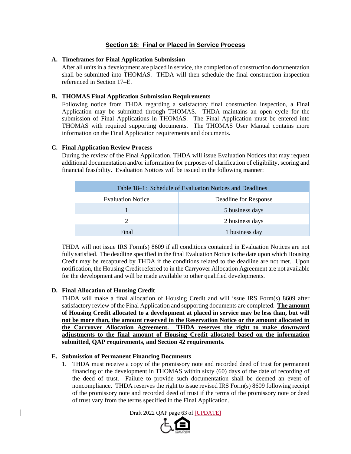# **Section 18: Final or Placed in Service Process**

#### **A. Timeframes for Final Application Submission**

After all units in a development are placed in service, the completion of construction documentation shall be submitted into THOMAS. THDA will then schedule the final construction inspection referenced in Section 17–E.

### **B. THOMAS Final Application Submission Requirements**

Following notice from THDA regarding a satisfactory final construction inspection, a Final Application may be submitted through THOMAS. THDA maintains an open cycle for the submission of Final Applications in THOMAS. The Final Application must be entered into THOMAS with required supporting documents. The THOMAS User Manual contains more information on the Final Application requirements and documents.

#### **C. Final Application Review Process**

During the review of the Final Application, THDA will issue Evaluation Notices that may request additional documentation and/or information for purposes of clarification of eligibility, scoring and financial feasibility. Evaluation Notices will be issued in the following manner:

| Table 18–1: Schedule of Evaluation Notices and Deadlines |                       |
|----------------------------------------------------------|-----------------------|
| <b>Evaluation Notice</b>                                 | Deadline for Response |
|                                                          | 5 business days       |
| 2                                                        | 2 business days       |
| Final                                                    | 1 business day        |

THDA will not issue IRS Form(s) 8609 if all conditions contained in Evaluation Notices are not fully satisfied. The deadline specified in the final Evaluation Notice is the date upon which Housing Credit may be recaptured by THDA if the conditions related to the deadline are not met. Upon notification, the Housing Credit referred to in the Carryover Allocation Agreement are not available for the development and will be made available to other qualified developments.

### **D. Final Allocation of Housing Credit**

THDA will make a final allocation of Housing Credit and will issue IRS Form(s) 8609 after satisfactory review of the Final Application and supporting documents are completed. **The amount of Housing Credit allocated to a development at placed in service may be less than, but will not be more than, the amount reserved in the Reservation Notice or the amount allocated in the Carryover Allocation Agreement. THDA reserves the right to make downward adjustments to the final amount of Housing Credit allocated based on the information submitted, QAP requirements, and Section 42 requirements.** 

### **E. Submission of Permanent Financing Documents**

1. THDA must receive a copy of the promissory note and recorded deed of trust for permanent financing of the development in THOMAS within sixty (60) days of the date of recording of the deed of trust. Failure to provide such documentation shall be deemed an event of noncompliance. THDA reserves the right to issue revised IRS Form(s) 8609 following receipt of the promissory note and recorded deed of trust if the terms of the promissory note or deed of trust vary from the terms specified in the Final Application.

Draft 2022 QAP page 63 of [UPDATE]

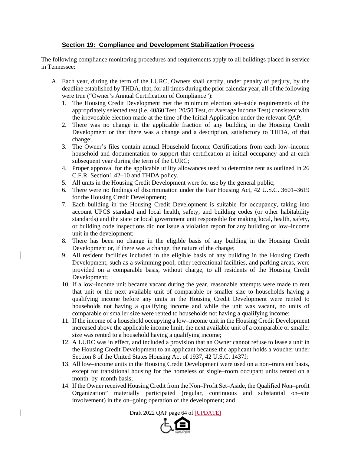# **Section 19: Compliance and Development Stabilization Process**

The following compliance monitoring procedures and requirements apply to all buildings placed in service in Tennessee:

- A. Each year, during the term of the LURC, Owners shall certify, under penalty of perjury, by the deadline established by THDA, that, for all times during the prior calendar year, all of the following were true ("Owner's Annual Certification of Compliance"):
	- 1. The Housing Credit Development met the minimum election set–aside requirements of the appropriately selected test (i.e. 40/60 Test, 20/50 Test, or Average Income Test) consistent with the irrevocable election made at the time of the Initial Application under the relevant QAP;
	- 2. There was no change in the applicable fraction of any building in the Housing Credit Development or that there was a change and a description, satisfactory to THDA, of that change;
	- 3. The Owner's files contain annual Household Income Certifications from each low–income household and documentation to support that certification at initial occupancy and at each subsequent year during the term of the LURC;
	- 4. Proper approval for the applicable utility allowances used to determine rent as outlined in 26 C.F.R. Section1.42–10 and THDA policy.
	- 5. All units in the Housing Credit Development were for use by the general public;
	- 6. There were no findings of discrimination under the Fair Housing Act, 42 U.S.C. 3601–3619 for the Housing Credit Development;
	- 7. Each building in the Housing Credit Development is suitable for occupancy, taking into account UPCS standard and local health, safety, and building codes (or other habitability standards) and the state or local government unit responsible for making local, health, safety, or building code inspections did not issue a violation report for any building or low–income unit in the development;
	- 8. There has been no change in the eligible basis of any building in the Housing Credit Development or, if there was a change, the nature of the change;
	- 9. All resident facilities included in the eligible basis of any building in the Housing Credit Development, such as a swimming pool, other recreational facilities, and parking areas, were provided on a comparable basis, without charge, to all residents of the Housing Credit Development;
	- 10. If a low–income unit became vacant during the year, reasonable attempts were made to rent that unit or the next available unit of comparable or smaller size to households having a qualifying income before any units in the Housing Credit Development were rented to households not having a qualifying income and while the unit was vacant, no units of comparable or smaller size were rented to households not having a qualifying income;
	- 11. If the income of a household occupying a low–income unit in the Housing Credit Development increased above the applicable income limit, the next available unit of a comparable or smaller size was rented to a household having a qualifying income;
	- 12. A LURC was in effect, and included a provision that an Owner cannot refuse to lease a unit in the Housing Credit Development to an applicant because the applicant holds a voucher under Section 8 of the United States Housing Act of 1937, 42 U.S.C. 1437f;
	- 13. All low–income units in the Housing Credit Development were used on a non–transient basis, except for transitional housing for the homeless or single–room occupant units rented on a month–by–month basis;
	- 14. If the Owner received Housing Credit from the Non–Profit Set–Aside, the Qualified Non–profit Organization" materially participated (regular, continuous and substantial on–site involvement) in the on–going operation of the development; and

Draft 2022 QAP page 64 of [UPDATE]

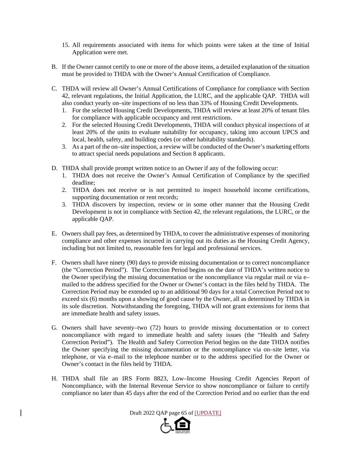- 15. All requirements associated with items for which points were taken at the time of Initial Application were met.
- B. If the Owner cannot certify to one or more of the above items, a detailed explanation of the situation must be provided to THDA with the Owner's Annual Certification of Compliance.
- C. THDA will review all Owner's Annual Certifications of Compliance for compliance with Section 42, relevant regulations, the Initial Application, the LURC, and the applicable QAP. THDA will also conduct yearly on–site inspections of no less than 33% of Housing Credit Developments.
	- 1. For the selected Housing Credit Developments, THDA will review at least 20% of tenant files for compliance with applicable occupancy and rent restrictions.
	- 2. For the selected Housing Credit Developments, THDA will conduct physical inspections of at least 20% of the units to evaluate suitability for occupancy, taking into account UPCS and local, health, safety, and building codes (or other habitability standards).
	- 3. As a part of the on–site inspection, a review will be conducted of the Owner's marketing efforts to attract special needs populations and Section 8 applicants.
- D. THDA shall provide prompt written notice to an Owner if any of the following occur:
	- 1. THDA does not receive the Owner's Annual Certification of Compliance by the specified deadline;
	- 2. THDA does not receive or is not permitted to inspect household income certifications, supporting documentation or rent records;
	- 3. THDA discovers by inspection, review or in some other manner that the Housing Credit Development is not in compliance with Section 42, the relevant regulations, the LURC, or the applicable QAP.
- E. Owners shall pay fees, as determined by THDA, to cover the administrative expenses of monitoring compliance and other expenses incurred in carrying out its duties as the Housing Credit Agency, including but not limited to, reasonable fees for legal and professional services.
- F. Owners shall have ninety (90) days to provide missing documentation or to correct noncompliance (the "Correction Period"). The Correction Period begins on the date of THDA's written notice to the Owner specifying the missing documentation or the noncompliance via regular mail or via e– mailed to the address specified for the Owner or Owner's contact in the files held by THDA. The Correction Period may be extended up to an additional 90 days for a total Correction Period not to exceed six (6) months upon a showing of good cause by the Owner, all as determined by THDA in its sole discretion. Notwithstanding the foregoing, THDA will not grant extensions for items that are immediate health and safety issues.
- G. Owners shall have seventy–two (72) hours to provide missing documentation or to correct noncompliance with regard to immediate health and safety issues (the "Health and Safety Correction Period"). The Health and Safety Correction Period begins on the date THDA notifies the Owner specifying the missing documentation or the noncompliance via on–site letter, via telephone, or via e–mail to the telephone number or to the address specified for the Owner or Owner's contact in the files held by THDA.
- H. THDA shall file an IRS Form 8823, Low–Income Housing Credit Agencies Report of Noncompliance, with the Internal Revenue Service to show noncompliance or failure to certify compliance no later than 45 days after the end of the Correction Period and no earlier than the end

Draft 2022 QAP page 65 of [UPDATE]

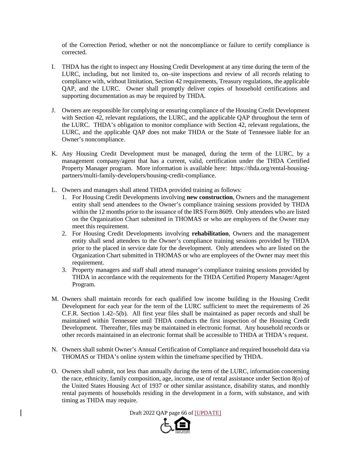of the Correction Period, whether or not the noncompliance or failure to certify compliance is corrected.

- I. THDA has the right to inspect any Housing Credit Development at any time during the term of the LURC, including, but not limited to, on–site inspections and review of all records relating to compliance with, without limitation, Section 42 requirements, Treasury regulations, the applicable QAP, and the LURC. Owner shall promptly deliver copies of household certifications and supporting documentation as may be required by THDA.
- J. Owners are responsible for complying or ensuring compliance of the Housing Credit Development with Section 42, relevant regulations, the LURC, and the applicable QAP throughout the term of the LURC. THDA's obligation to monitor compliance with Section 42, relevant regulations, the LURC, and the applicable QAP does not make THDA or the State of Tennessee liable for an Owner's noncompliance.
- K. Any Housing Credit Development must be managed, during the term of the LURC, by a management company/agent that has a current, valid, certification under the THDA Certified Property Manager program. More information is available here: https://thda.org/rental-housingpartners/multi-family-developers/housing-credit-compliance.
- L. Owners and managers shall attend THDA provided training as follows:
	- 1. For Housing Credit Developments involving **new construction**, Owners and the management entity shall send attendees to the Owner's compliance training sessions provided by THDA within the 12 months prior to the issuance of the IRS Form 8609. Only attendees who are listed on the Organization Chart submitted in THOMAS or who are employees of the Owner may meet this requirement.
	- 2. For Housing Credit Developments involving **rehabilitation**, Owners and the management entity shall send attendees to the Owner's compliance training sessions provided by THDA prior to the placed in service date for the development. Only attendees who are listed on the Organization Chart submitted in THOMAS or who are employees of the Owner may meet this requirement.
	- 3. Property managers and staff shall attend manager's compliance training sessions provided by THDA in accordance with the requirements for the THDA Certified Property Manager/Agent Program.
- M. Owners shall maintain records for each qualified low income building in the Housing Credit Development for each year for the term of the LURC sufficient to meet the requirements of 26 C.F.R. Section 1.42–5(b). All first year files shall be maintained as paper records and shall be maintained within Tennessee until THDA conducts the first inspection of the Housing Credit Development. Thereafter, files may be maintained in electronic format. Any household records or other records maintained in an electronic format shall be accessible to THDA at THDA's request.
- N. Owners shall submit Owner's Annual Certification of Compliance and required household data via THOMAS or THDA's online system within the timeframe specified by THDA.
- O. Owners shall submit, not less than annually during the term of the LURC, information concerning the race, ethnicity, family composition, age, income, use of rental assistance under Section 8(o) of the United States Housing Act of 1937 or other similar assistance, disability status, and monthly rental payments of households residing in the development in a form, with substance, and with timing as THDA may require.

Draft 2022 QAP page 66 of [UPDATE]

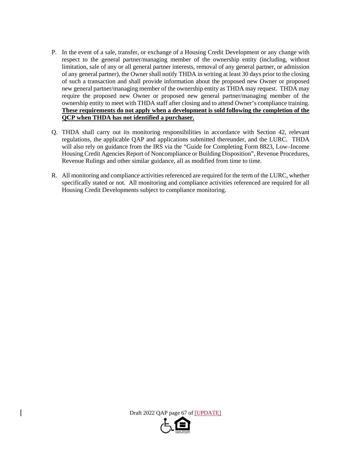- P. In the event of a sale, transfer, or exchange of a Housing Credit Development or any change with respect to the general partner/managing member of the ownership entity (including, without limitation, sale of any or all general partner interests, removal of any general partner, or admission of any general partner), the Owner shall notify THDA in writing at least 30 days prior to the closing of such a transaction and shall provide information about the proposed new Owner or proposed new general partner/managing member of the ownership entity as THDA may request. THDA may require the proposed new Owner or proposed new general partner/managing member of the ownership entity to meet with THDA staff after closing and to attend Owner's compliance training. **These requirements do not apply when a development is sold following the completion of the QCP when THDA has not identified a purchaser.**
- Q. THDA shall carry out its monitoring responsibilities in accordance with Section 42, relevant regulations, the applicable QAP and applications submitted thereunder, and the LURC. THDA will also rely on guidance from the IRS via the "Guide for Completing Form 8823, Low–Income Housing Credit Agencies Report of Noncompliance or Building Disposition", Revenue Procedures, Revenue Rulings and other similar guidance, all as modified from time to time.
- R. All monitoring and compliance activities referenced are required for the term of the LURC, whether specifically stated or not. All monitoring and compliance activities referenced are required for all Housing Credit Developments subject to compliance monitoring.

Draft 2022 QAP page 67 of [UPDATE]

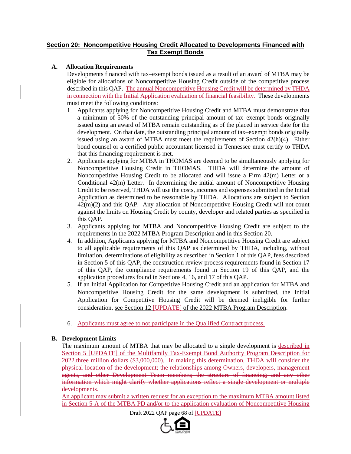# **Section 20: Noncompetitive Housing Credit Allocated to Developments Financed with Tax Exempt Bonds**

# **A. Allocation Requirements**

Developments financed with tax–exempt bonds issued as a result of an award of MTBA may be eligible for allocations of Noncompetitive Housing Credit outside of the competitive process described in this QAP. The annual Noncompetitive Housing Credit will be determined by THDA in connection with the Initial Application evaluation of financial feasibility. These developments must meet the following conditions:

- 1. Applicants applying for Noncompetitive Housing Credit and MTBA must demonstrate that a minimum of 50% of the outstanding principal amount of tax–exempt bonds originally issued using an award of MTBA remain outstanding as of the placed in service date for the development. On that date, the outstanding principal amount of tax–exempt bonds originally issued using an award of MTBA must meet the requirements of Section 42(h)(4). Either bond counsel or a certified public accountant licensed in Tennessee must certify to THDA that this financing requirement is met.
- 2. Applicants applying for MTBA in THOMAS are deemed to be simultaneously applying for Noncompetitive Housing Credit in THOMAS. THDA will determine the amount of Noncompetitive Housing Credit to be allocated and will issue a Firm 42(m) Letter or a Conditional 42(m) Letter. In determining the initial amount of Noncompetitive Housing Credit to be reserved, THDA will use the costs, incomes and expenses submitted in the Initial Application as determined to be reasonable by THDA. Allocations are subject to Section 42(m)(2) and this QAP. Any allocation of Noncompetitive Housing Credit will not count against the limits on Housing Credit by county, developer and related parties as specified in this QAP.
- 3. Applicants applying for MTBA and Noncompetitive Housing Credit are subject to the requirements in the 2022 MTBA Program Description and in this Section 20.
- 4. In addition, Applicants applying for MTBA and Noncompetitive Housing Credit are subject to all applicable requirements of this QAP as determined by THDA, including, without limitation, determinations of eligibility as described in Section 1 of this QAP, fees described in Section 5 of this QAP, the construction review process requirements found in Section 17 of this QAP, the compliance requirements found in Section 19 of this QAP, and the application procedures found in Sections 4, 16, and 17 of this QAP.
- 5. If an Initial Application for Competitive Housing Credit and an application for MTBA and Noncompetitive Housing Credit for the same development is submitted, the Initial Application for Competitive Housing Credit will be deemed ineligible for further consideration, see Section 12 [UPDATE] of the 2022 MTBA Program Description.
- 6. Applicants must agree to not participate in the Qualified Contract process.

### **B. Development Limits**

The maximum amount of MTBA that may be allocated to a single development is described in Section 5 [UPDATE] of the Multifamily Tax-Exempt Bond Authority Program Description for 2022.three million dollars (\$3,000,000). In making this determination, THDA will consider the physical location of the development; the relationships among Owners, developers, management agents, and other Development Team members; the structure of financing; and any other information which might clarify whether applications reflect a single development or multiple developments.

An applicant may submit a written request for an exception to the maximum MTBA amount listed in Section 5-A of the MTBA PD and/or to the application evaluation of Noncompetitive Housing

Draft 2022 QAP page 68 of [UPDATE]

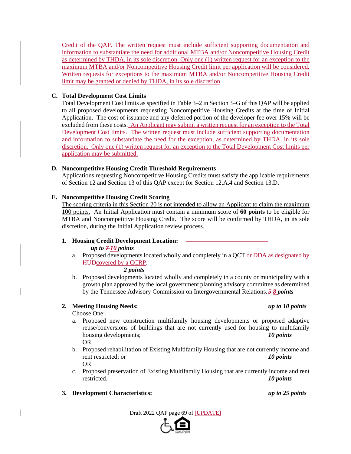Credit of the QAP. The written request must include sufficient supporting documentation and information to substantiate the need for additional MTBA and/or Noncompetitive Housing Credit as determined by THDA, in its sole discretion. Only one (1) written request for an exception to the maximum MTBA and/or Noncompetitive Housing Credit limit per application will be considered. Written requests for exceptions to the maximum MTBA and/or Noncompetitive Housing Credit limit may be granted or denied by THDA, in its sole discretion

### **C. Total Development Cost Limits**

Total Development Cost limits as specified in Table 3–2 in Section 3–G of this QAP will be applied to all proposed developments requesting Noncompetitive Housing Credits at the time of Initial Application. The cost of issuance and any deferred portion of the developer fee over 15% will be excluded from these costs. An Applicant may submit a written request for an exception to the Total Development Cost limits. The written request must include sufficient supporting documentation and information to substantiate the need for the exception, as determined by THDA, in its sole discretion. Only one (1) written request for an exception to the Total Development Cost limits per application may be submitted.

# **D. Noncompetitive Housing Credit Threshold Requirements**

Applications requesting Noncompetitive Housing Credits must satisfy the applicable requirements of Section 12 and Section 13 of this QAP except for Section 12.A.4 and Section 13.D.

# **E. Noncompetitive Housing Credit Scoring**

The scoring criteria in this Section 20 is not intended to allow an Applicant to claim the maximum 100 points. An Initial Application must contain a minimum score of **60 points** to be eligible for MTBA and Noncompetitive Housing Credit. The score will be confirmed by THDA, in its sole discretion, during the Initial Application review process.

### **1. Housing Credit Development Location:**

### $up to 710 points$

a. Proposed developments located wholly and completely in a QCT or DDA as designated by HUDcovered by a CCRP.

### *2 points*

b. Proposed developments located wholly and completely in a county or municipality with a growth plan approved by the local government planning advisory committee as determined by the Tennessee Advisory Commission on Intergovernmental Relations. *5 8 points*

# **2. Meeting Housing Needs:** *up to 10 points*

### Choose One:

- a. Proposed new construction multifamily housing developments or proposed adaptive reuse/conversions of buildings that are not currently used for housing to multifamily housing developments; *10 points* OR
- b. Proposed rehabilitation of Existing Multifamily Housing that are not currently income and rent restricted; or *10 points* OR
- c. Proposed preservation of Existing Multifamily Housing that are currently income and rent restricted. *10 points*

# **3. Development Characteristics:** *up to 25 points*

Draft 2022 QAP page 69 of [UPDATE]

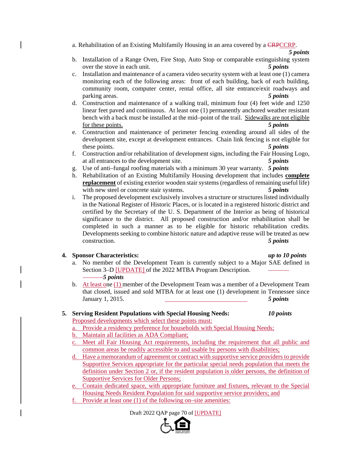a. Rehabilitation of an Existing Multifamily Housing in an area covered by a CRPCCRP.

*5 points*

- b. Installation of a Range Oven, Fire Stop, Auto Stop or comparable extinguishing system over the stove in each unit. *5 points*
- c. Installation and maintenance of a camera video security system with at least one (1) camera monitoring each of the following areas: front of each building, back of each building, community room, computer center, rental office, all site entrance/exit roadways and parking areas. *5 points*
- d. Construction and maintenance of a walking trail, minimum four (4) feet wide and 1250 linear feet paved and continuous. At least one (1) permanently anchored weather resistant bench with a back must be installed at the mid–point of the trail. Sidewalks are not eligible for these points. *5 points*
- e. Construction and maintenance of perimeter fencing extending around all sides of the development site, except at development entrances. Chain link fencing is not eligible for these points. *5 points*
- f. Construction and/or rehabilitation of development signs, including the Fair Housing Logo, at all entrances to the development site. *5 points*
- g. Use of anti–fungal roofing materials with a minimum 30 year warranty. *5 points*
- h. Rehabilitation of an Existing Multifamily Housing development that includes **complete replacement** of existing exterior wooden stair systems (regardless of remaining useful life) with new steel or concrete stair systems. **5 points**
- i. The proposed development exclusively involves a structure or structures listed individually in the National Register of Historic Places, or is located in a registered historic district and certified by the Secretary of the U. S. Department of the Interior as being of historical significance to the district. All proposed construction and/or rehabilitation shall be completed in such a manner as to be eligible for historic rehabilitation credits. Developments seeking to combine historic nature and adaptive reuse will be treated as new construction. *5 points*

### **4. Sponsor Characteristics:** *up to 10 points*

- a. No member of the Development Team is currently subject to a Major SAE defined in Section 3–D [UPDATE] of the 2022 MTBA Program Description. *5 points*
- b. At least one (1) member of the Development Team was a member of a Development Team that closed, issued and sold MTBA for at least one (1) development in Tennessee since January 1, 2015. *5 points*

# **5. Serving Resident Populations with Special Housing Needs:** *10 points*

Proposed developments which select these points must:

- a. Provide a residency preference for households with Special Housing Needs;
- b. Maintain all facilities as ADA Compliant;
- c. Meet all Fair Housing Act requirements, including the requirement that all public and common areas be readily accessible to and usable by persons with disabilities;
- d. Have a memorandum of agreement or contract with supportive service providers to provide Supportive Services appropriate for the particular special needs population that meets the definition under Section 2 or, if the resident population is older persons, the definition of Supportive Services for Older Persons;
- e. Contain dedicated space, with appropriate furniture and fixtures, relevant to the Special Housing Needs Resident Population for said supportive service providers; and
- f. Provide at least one (1) of the following on–site amenities:

Draft 2022 QAP page 70 of [UPDATE]

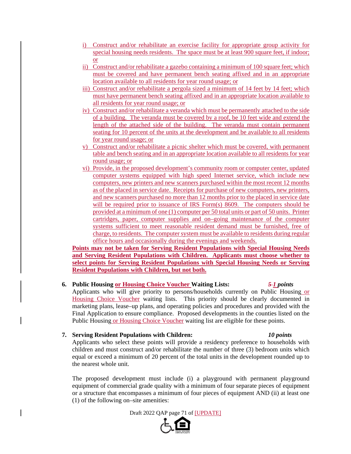- i) Construct and/or rehabilitate an exercise facility for appropriate group activity for special housing needs residents. The space must be at least 900 square feet, if indoor; or
- ii) Construct and/or rehabilitate a gazebo containing a minimum of 100 square feet; which must be covered and have permanent bench seating affixed and in an appropriate location available to all residents for year round usage; or
- iii) Construct and/or rehabilitate a pergola sized a minimum of 14 feet by 14 feet; which must have permanent bench seating affixed and in an appropriate location available to all residents for year round usage; or
- iv) Construct and/or rehabilitate a veranda which must be permanently attached to the side of a building. The veranda must be covered by a roof, be 10 feet wide and extend the length of the attached side of the building. The veranda must contain permanent seating for 10 percent of the units at the development and be available to all residents for year round usage; or
- v) Construct and/or rehabilitate a picnic shelter which must be covered, with permanent table and bench seating and in an appropriate location available to all residents for year round usage; or
- vi) Provide, in the proposed development's community room or computer center, updated computer systems equipped with high speed Internet service, which include new computers, new printers and new scanners purchased within the most recent 12 months as of the placed in service date. Receipts for purchase of new computers, new printers, and new scanners purchased no more than 12 months prior to the placed in service date will be required prior to issuance of IRS Form(s) 8609. The computers should be provided at a minimum of one (1) computer per 50 total units or part of 50 units. Printer cartridges, paper, computer supplies and on–going maintenance of the computer systems sufficient to meet reasonable resident demand must be furnished, free of charge, to residents. The computer system must be available to residents during regular office hours and occasionally during the evenings and weekends.

**Points may not be taken for Serving Resident Populations with Special Housing Needs and Serving Resident Populations with Children. Applicants must choose whether to select points for Serving Resident Populations with Special Housing Needs or Serving Resident Populations with Children, but not both.** 

## **6. Public Housing or Housing Choice Voucher Waiting Lists:** *5 1 points*

Applicants who will give priority to persons/households currently on Public Housing or Housing Choice Voucher waiting lists. This priority should be clearly documented in marketing plans, lease–up plans, and operating policies and procedures and provided with the Final Application to ensure compliance. Proposed developments in the counties listed on the Public Housing or Housing Choice Voucher waiting list are eligible for these points.

#### **7. Serving Resident Populations with Children:** *10 points*

Applicants who select these points will provide a residency preference to households with children and must construct and/or rehabilitate the number of three (3) bedroom units which equal or exceed a minimum of 20 percent of the total units in the development rounded up to the nearest whole unit.

The proposed development must include (i) a playground with permanent playground equipment of commercial grade quality with a minimum of four separate pieces of equipment or a structure that encompasses a minimum of four pieces of equipment AND (ii) at least one (1) of the following on–site amenities:

Draft 2022 QAP page 71 of [UPDATE]

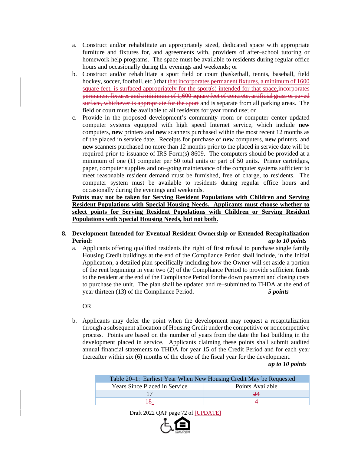- a. Construct and/or rehabilitate an appropriately sized, dedicated space with appropriate furniture and fixtures for, and agreements with, providers of after–school tutoring or homework help programs. The space must be available to residents during regular office hours and occasionally during the evenings and weekends; or
- b. Construct and/or rehabilitate a sport field or court (basketball, tennis, baseball, field hockey, soccer, football, etc.) that that incorporates permanent fixtures, a minimum of 1600 square feet, is surfaced appropriately for the sport(s) intended for that space, incorporates permanent fixtures and a minimum of 1,600 square feet of concrete, artificial grass or paved surface, whichever is appropriate for the sport and is separate from all parking areas. The field or court must be available to all residents for year round use; or
- c. Provide in the proposed development's community room or computer center updated computer systems equipped with high speed Internet service, which include **new** computers, **new** printers and **new** scanners purchased within the most recent 12 months as of the placed in service date. Receipts for purchase of **new** computers, **new** printers, and **new** scanners purchased no more than 12 months prior to the placed in service date will be required prior to issuance of IRS Form(s) 8609. The computers should be provided at a minimum of one (1) computer per 50 total units or part of 50 units. Printer cartridges, paper, computer supplies and on–going maintenance of the computer systems sufficient to meet reasonable resident demand must be furnished, free of charge, to residents. The computer system must be available to residents during regular office hours and occasionally during the evenings and weekends.

**Points may not be taken for Serving Resident Populations with Children and Serving Resident Populations with Special Housing Needs. Applicants must choose whether to select points for Serving Resident Populations with Children or Serving Resident Populations with Special Housing Needs, but not both.** 

#### **8. Development Intended for Eventual Resident Ownership or Extended Recapitalization Period:** *up to 10 points*

a. Applicants offering qualified residents the right of first refusal to purchase single family Housing Credit buildings at the end of the Compliance Period shall include, in the Initial Application, a detailed plan specifically including how the Owner will set aside a portion of the rent beginning in year two (2) of the Compliance Period to provide sufficient funds to the resident at the end of the Compliance Period for the down payment and closing costs to purchase the unit. The plan shall be updated and re–submitted to THDA at the end of year thirteen (13) of the Compliance Period. *5 points*

#### OR

b. Applicants may defer the point when the development may request a recapitalization through a subsequent allocation of Housing Credit under the competitive or noncompetitive process. Points are based on the number of years from the date the last building in the development placed in service. Applicants claiming these points shall submit audited annual financial statements to THDA for year 15 of the Credit Period and for each year thereafter within six (6) months of the close of the fiscal year for the development.

#### *up to 10 points*

| Table 20–1: Earliest Year When New Housing Credit May be Requested |                  |
|--------------------------------------------------------------------|------------------|
| <b>Years Since Placed in Service</b>                               | Points Available |
|                                                                    |                  |
|                                                                    |                  |

Draft 2022 QAP page 72 of [UPDATE]

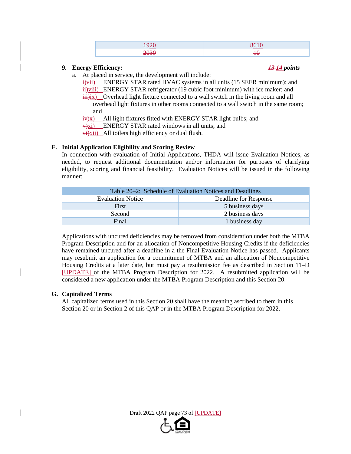| _____ |
|-------|
|       |

#### **9. Energy Efficiency:** *13 14 points*

a. At placed in service, the development will include:

 $\frac{1}{2}$ vii) ENERGY STAR rated HVAC systems in all units (15 SEER minimum); and  $\ddot{H}$ )viii) ENERGY STAR refrigerator (19 cubic foot minimum) with ice maker; and  $\overrightarrow{iii}$ ix) Overhead light fixture connected to a wall switch in the living room and all overhead light fixtures in other rooms connected to a wall switch in the same room; and

 $\frac{1}{2}$  All light fixtures fitted with ENERGY STAR light bulbs; and

 $\overrightarrow{v}$ xi) ENERGY STAR rated windows in all units; and

 $\overrightarrow{v_i}$ xii) All toilets high efficiency or dual flush.

## **F. Initial Application Eligibility and Scoring Review**

In connection with evaluation of Initial Applications, THDA will issue Evaluation Notices, as needed, to request additional documentation and/or information for purposes of clarifying eligibility, scoring and financial feasibility. Evaluation Notices will be issued in the following manner:

| Table 20–2: Schedule of Evaluation Notices and Deadlines |                       |  |
|----------------------------------------------------------|-----------------------|--|
| <b>Evaluation Notice</b>                                 | Deadline for Response |  |
| First                                                    | 5 business days       |  |
| Second                                                   | 2 business days       |  |
| Final                                                    | 1 business day        |  |

Applications with uncured deficiencies may be removed from consideration under both the MTBA Program Description and for an allocation of Noncompetitive Housing Credits if the deficiencies have remained uncured after a deadline in a the Final Evaluation Notice has passed. Applicants may resubmit an application for a commitment of MTBA and an allocation of Noncompetitive Housing Credits at a later date, but must pay a resubmission fee as described in Section 11–D [UPDATE] of the MTBA Program Description for 2022. A resubmitted application will be considered a new application under the MTBA Program Description and this Section 20.

#### **G. Capitalized Terms**

All capitalized terms used in this Section 20 shall have the meaning ascribed to them in this Section 20 or in Section 2 of this QAP or in the MTBA Program Description for 2022.



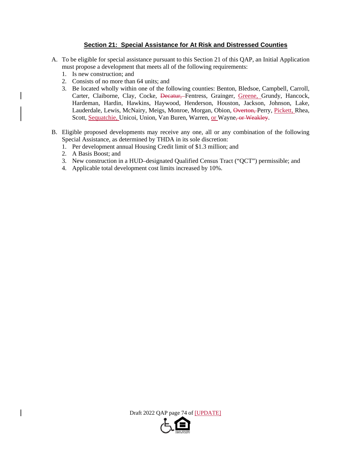## **Section 21: Special Assistance for At Risk and Distressed Counties**

- A. To be eligible for special assistance pursuant to this Section 21 of this QAP, an Initial Application must propose a development that meets all of the following requirements:
	- 1. Is new construction; and
	- 2. Consists of no more than 64 units; and
	- 3. Be located wholly within one of the following counties: Benton, Bledsoe, Campbell, Carroll, Carter, Claiborne, Clay, Cocke, <del>Decatur, F</del>entress, Grainger, Greene, Grundy, Hancock, Hardeman, Hardin, Hawkins, Haywood, Henderson, Houston, Jackson, Johnson, Lake, Lauderdale, Lewis, McNairy, Meigs, Monroe, Morgan, Obion, Overton, Perry, Pickett, Rhea, Scott, Sequatchie, Unicoi, Union, Van Buren, Warren, or Wayne<del>, or Weakley</del>.
- B. Eligible proposed developments may receive any one, all or any combination of the following Special Assistance, as determined by THDA in its sole discretion:
	- 1. Per development annual Housing Credit limit of \$1.3 million; and
	- 2. A Basis Boost; and
	- 3. New construction in a HUD–designated Qualified Census Tract ("QCT") permissible; and
	- 4. Applicable total development cost limits increased by 10%.

Draft 2022 QAP page 74 of [UPDATE]

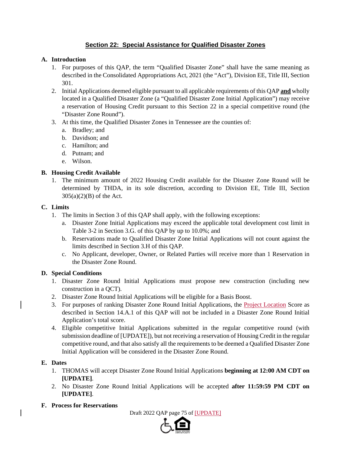# **Section 22: Special Assistance for Qualified Disaster Zones**

### **A. Introduction**

- 1. For purposes of this QAP, the term "Qualified Disaster Zone" shall have the same meaning as described in the Consolidated Appropriations Act, 2021 (the "Act"), Division EE, Title III, Section 301.
- 2. Initial Applications deemed eligible pursuant to all applicable requirements of this QAP **and** wholly located in a Qualified Disaster Zone (a "Qualified Disaster Zone Initial Application") may receive a reservation of Housing Credit pursuant to this Section 22 in a special competitive round (the "Disaster Zone Round").
- 3. At this time, the Qualified Disaster Zones in Tennessee are the counties of:
	- a. Bradley; and
	- b. Davidson; and
	- c. Hamilton; and
	- d. Putnam; and
	- e. Wilson.

#### **B. Housing Credit Available**

1. The minimum amount of 2022 Housing Credit available for the Disaster Zone Round will be determined by THDA, in its sole discretion, according to Division EE, Title III, Section  $305(a)(2)(B)$  of the Act.

#### **C. Limits**

- 1. The limits in Section 3 of this QAP shall apply, with the following exceptions:
	- a. Disaster Zone Initial Applications may exceed the applicable total development cost limit in Table 3-2 in Section 3.G. of this QAP by up to 10.0%; and
	- b. Reservations made to Qualified Disaster Zone Initial Applications will not count against the limits described in Section 3.H of this QAP.
	- c. No Applicant, developer, Owner, or Related Parties will receive more than 1 Reservation in the Disaster Zone Round.

## **D. Special Conditions**

- 1. Disaster Zone Round Initial Applications must propose new construction (including new construction in a QCT).
- 2. Disaster Zone Round Initial Applications will be eligible for a Basis Boost.
- 3. For purposes of ranking Disaster Zone Round Initial Applications, the Project Location Score as described in Section 14.A.1 of this QAP will not be included in a Disaster Zone Round Initial Application's total score.
- 4. Eligible competitive Initial Applications submitted in the regular competitive round (with submission deadline of [UPDATE]), but not receiving a reservation of Housing Credit in the regular competitive round, and that also satisfy all the requirements to be deemed a Qualified Disaster Zone Initial Application will be considered in the Disaster Zone Round.

## **E. Dates**

- 1. THOMAS will accept Disaster Zone Round Initial Applications **beginning at 12:00 AM CDT on [UPDATE]**.
- 2. No Disaster Zone Round Initial Applications will be accepted **after 11:59:59 PM CDT on [UPDATE]**.
- **F. Process for Reservations**

Draft 2022 QAP page 75 of [UPDATE]

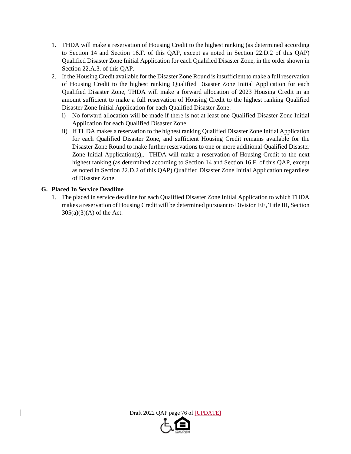- 1. THDA will make a reservation of Housing Credit to the highest ranking (as determined according to Section 14 and Section 16.F. of this QAP, except as noted in Section 22.D.2 of this QAP) Qualified Disaster Zone Initial Application for each Qualified Disaster Zone, in the order shown in Section 22.A.3. of this QAP.
- 2. If the Housing Credit available for the Disaster Zone Round is insufficient to make a full reservation of Housing Credit to the highest ranking Qualified Disaster Zone Initial Application for each Qualified Disaster Zone, THDA will make a forward allocation of 2023 Housing Credit in an amount sufficient to make a full reservation of Housing Credit to the highest ranking Qualified Disaster Zone Initial Application for each Qualified Disaster Zone.
	- i) No forward allocation will be made if there is not at least one Qualified Disaster Zone Initial Application for each Qualified Disaster Zone.
	- ii) If THDA makes a reservation to the highest ranking Qualified Disaster Zone Initial Application for each Qualified Disaster Zone, and sufficient Housing Credit remains available for the Disaster Zone Round to make further reservations to one or more additional Qualified Disaster Zone Initial Application(s),. THDA will make a reservation of Housing Credit to the next highest ranking (as determined according to Section 14 and Section 16.F. of this QAP, except as noted in Section 22.D.2 of this QAP) Qualified Disaster Zone Initial Application regardless of Disaster Zone.

## **G. Placed In Service Deadline**

1. The placed in service deadline for each Qualified Disaster Zone Initial Application to which THDA makes a reservation of Housing Credit will be determined pursuant to Division EE, Title III, Section 305(a)(3)(A) of the Act.

Draft 2022 QAP page 76 of [UPDATE]